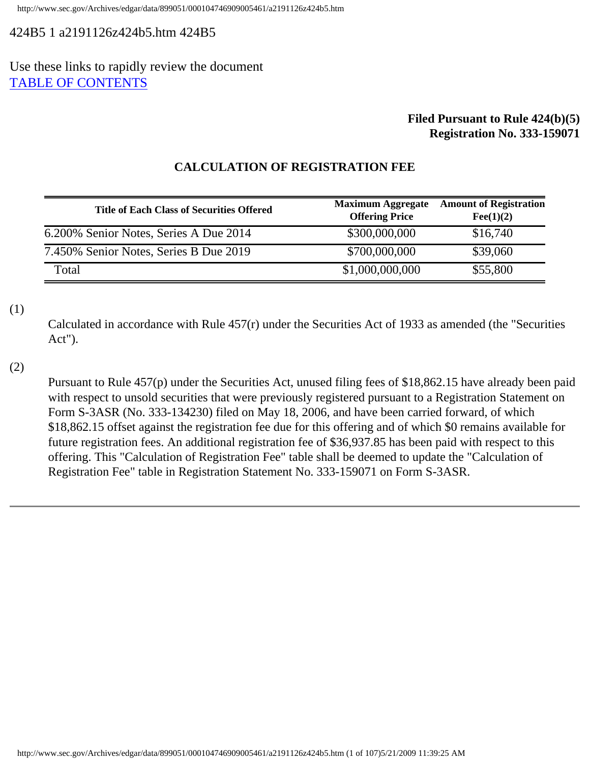# <span id="page-0-0"></span>424B5 1 a2191126z424b5.htm 424B5

# Use these links to rapidly review the document [TABLE OF CONTENTS](#page-30-0)

# **Filed Pursuant to Rule 424(b)(5) Registration No. 333-159071**

| <b>Title of Each Class of Securities Offered</b> | <b>Maximum Aggregate</b><br><b>Offering Price</b> | <b>Amount of Registration</b><br>$\text{Fe}(1)(2)$ |
|--------------------------------------------------|---------------------------------------------------|----------------------------------------------------|
| 6.200% Senior Notes, Series A Due 2014           | \$300,000,000                                     | \$16,740                                           |
| 7.450% Senior Notes, Series B Due 2019           | \$700,000,000                                     | \$39,060                                           |
| Total                                            | \$1,000,000,000                                   | \$55,800                                           |

# **CALCULATION OF REGISTRATION FEE**

(1)

Calculated in accordance with Rule 457(r) under the Securities Act of 1933 as amended (the "Securities Act").

(2)

Pursuant to Rule 457(p) under the Securities Act, unused filing fees of \$18,862.15 have already been paid with respect to unsold securities that were previously registered pursuant to a Registration Statement on Form S-3ASR (No. 333-134230) filed on May 18, 2006, and have been carried forward, of which \$18,862.15 offset against the registration fee due for this offering and of which \$0 remains available for future registration fees. An additional registration fee of \$36,937.85 has been paid with respect to this offering. This "Calculation of Registration Fee" table shall be deemed to update the "Calculation of Registration Fee" table in Registration Statement No. 333-159071 on Form S-3ASR.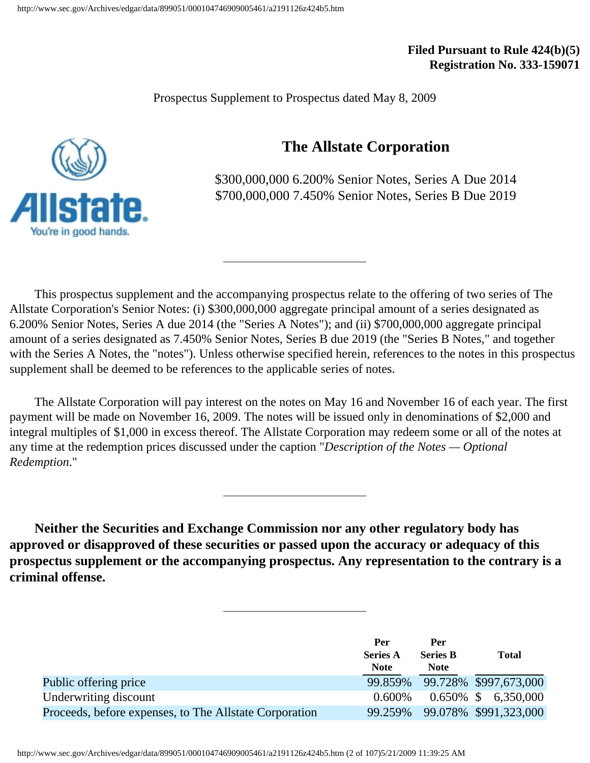**Filed Pursuant to Rule 424(b)(5) Registration No. 333-159071** 

Prospectus Supplement to Prospectus dated May 8, 2009

# **The Allstate Corporation**

\$300,000,000 6.200% Senior Notes, Series A Due 2014 \$700,000,000 7.450% Senior Notes, Series B Due 2019

 This prospectus supplement and the accompanying prospectus relate to the offering of two series of The Allstate Corporation's Senior Notes: (i) \$300,000,000 aggregate principal amount of a series designated as 6.200% Senior Notes, Series A due 2014 (the "Series A Notes"); and (ii) \$700,000,000 aggregate principal amount of a series designated as 7.450% Senior Notes, Series B due 2019 (the "Series B Notes," and together with the Series A Notes, the "notes"). Unless otherwise specified herein, references to the notes in this prospectus supplement shall be deemed to be references to the applicable series of notes.

 The Allstate Corporation will pay interest on the notes on May 16 and November 16 of each year. The first payment will be made on November 16, 2009. The notes will be issued only in denominations of \$2,000 and integral multiples of \$1,000 in excess thereof. The Allstate Corporation may redeem some or all of the notes at any time at the redemption prices discussed under the caption "*Description of the Notes — Optional Redemption*."

 **Neither the Securities and Exchange Commission nor any other regulatory body has approved or disapproved of these securities or passed upon the accuracy or adequacy of this prospectus supplement or the accompanying prospectus. Any representation to the contrary is a criminal offense.**

|                                                        | Per<br><b>Series A</b><br><b>Note</b> | Per<br><b>Series B</b><br><b>Note</b> | <b>Total</b>                  |
|--------------------------------------------------------|---------------------------------------|---------------------------------------|-------------------------------|
| Public offering price                                  |                                       |                                       | 99.859% 99.728% \$997,673,000 |
| Underwriting discount                                  | $0.600\%$                             |                                       | $0.650\%$ \$ 6,350,000        |
| Proceeds, before expenses, to The Allstate Corporation | 99.259%                               |                                       | 99.078% \$991,323,000         |

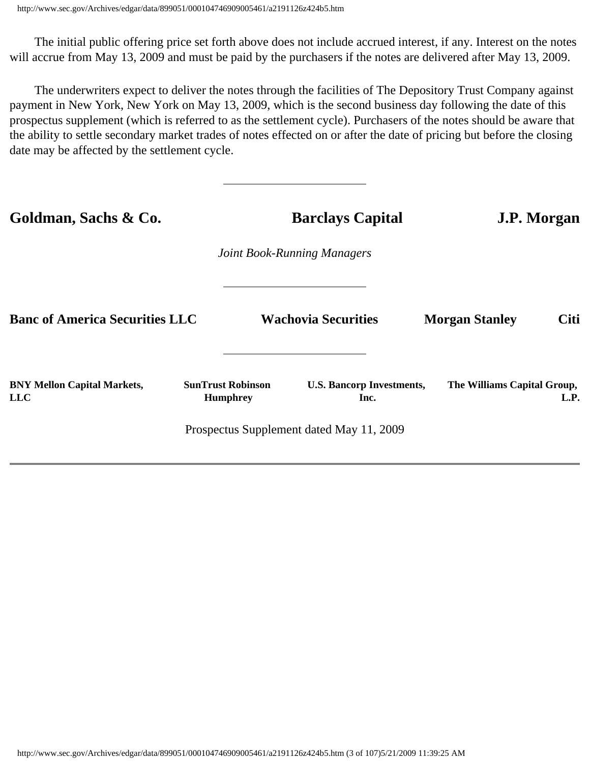The initial public offering price set forth above does not include accrued interest, if any. Interest on the notes will accrue from May 13, 2009 and must be paid by the purchasers if the notes are delivered after May 13, 2009.

 The underwriters expect to deliver the notes through the facilities of The Depository Trust Company against payment in New York, New York on May 13, 2009, which is the second business day following the date of this prospectus supplement (which is referred to as the settlement cycle). Purchasers of the notes should be aware that the ability to settle secondary market trades of notes effected on or after the date of pricing but before the closing date may be affected by the settlement cycle.

| Goldman, Sachs & Co.                             |                                             | <b>Barclays Capital</b>                  | <b>J.P. Morgan</b>                   |  |  |  |  |  |  |
|--------------------------------------------------|---------------------------------------------|------------------------------------------|--------------------------------------|--|--|--|--|--|--|
|                                                  |                                             | <b>Joint Book-Running Managers</b>       |                                      |  |  |  |  |  |  |
| <b>Banc of America Securities LLC</b>            |                                             | <b>Wachovia Securities</b>               | <b>Citi</b><br><b>Morgan Stanley</b> |  |  |  |  |  |  |
| <b>BNY Mellon Capital Markets,</b><br><b>LLC</b> | <b>SunTrust Robinson</b><br><b>Humphrey</b> | <b>U.S. Bancorp Investments,</b><br>Inc. | The Williams Capital Group,<br>L.P.  |  |  |  |  |  |  |
|                                                  |                                             | Prospectus Supplement dated May 11, 2009 |                                      |  |  |  |  |  |  |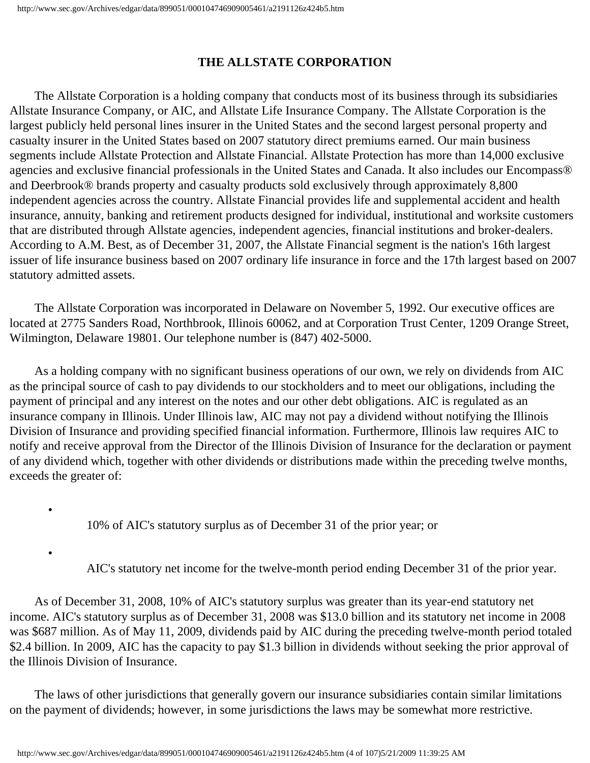# **THE ALLSTATE CORPORATION**

 The Allstate Corporation is a holding company that conducts most of its business through its subsidiaries Allstate Insurance Company, or AIC, and Allstate Life Insurance Company. The Allstate Corporation is the largest publicly held personal lines insurer in the United States and the second largest personal property and casualty insurer in the United States based on 2007 statutory direct premiums earned. Our main business segments include Allstate Protection and Allstate Financial. Allstate Protection has more than 14,000 exclusive agencies and exclusive financial professionals in the United States and Canada. It also includes our Encompass® and Deerbrook® brands property and casualty products sold exclusively through approximately 8,800 independent agencies across the country. Allstate Financial provides life and supplemental accident and health insurance, annuity, banking and retirement products designed for individual, institutional and worksite customers that are distributed through Allstate agencies, independent agencies, financial institutions and broker-dealers. According to A.M. Best, as of December 31, 2007, the Allstate Financial segment is the nation's 16th largest issuer of life insurance business based on 2007 ordinary life insurance in force and the 17th largest based on 2007 statutory admitted assets.

 The Allstate Corporation was incorporated in Delaware on November 5, 1992. Our executive offices are located at 2775 Sanders Road, Northbrook, Illinois 60062, and at Corporation Trust Center, 1209 Orange Street, Wilmington, Delaware 19801. Our telephone number is (847) 402-5000.

 As a holding company with no significant business operations of our own, we rely on dividends from AIC as the principal source of cash to pay dividends to our stockholders and to meet our obligations, including the payment of principal and any interest on the notes and our other debt obligations. AIC is regulated as an insurance company in Illinois. Under Illinois law, AIC may not pay a dividend without notifying the Illinois Division of Insurance and providing specified financial information. Furthermore, Illinois law requires AIC to notify and receive approval from the Director of the Illinois Division of Insurance for the declaration or payment of any dividend which, together with other dividends or distributions made within the preceding twelve months, exceeds the greater of:

10% of AIC's statutory surplus as of December 31 of the prior year; or

•

•

AIC's statutory net income for the twelve-month period ending December 31 of the prior year.

 As of December 31, 2008, 10% of AIC's statutory surplus was greater than its year-end statutory net income. AIC's statutory surplus as of December 31, 2008 was \$13.0 billion and its statutory net income in 2008 was \$687 million. As of May 11, 2009, dividends paid by AIC during the preceding twelve-month period totaled \$2.4 billion. In 2009, AIC has the capacity to pay \$1.3 billion in dividends without seeking the prior approval of the Illinois Division of Insurance.

 The laws of other jurisdictions that generally govern our insurance subsidiaries contain similar limitations on the payment of dividends; however, in some jurisdictions the laws may be somewhat more restrictive.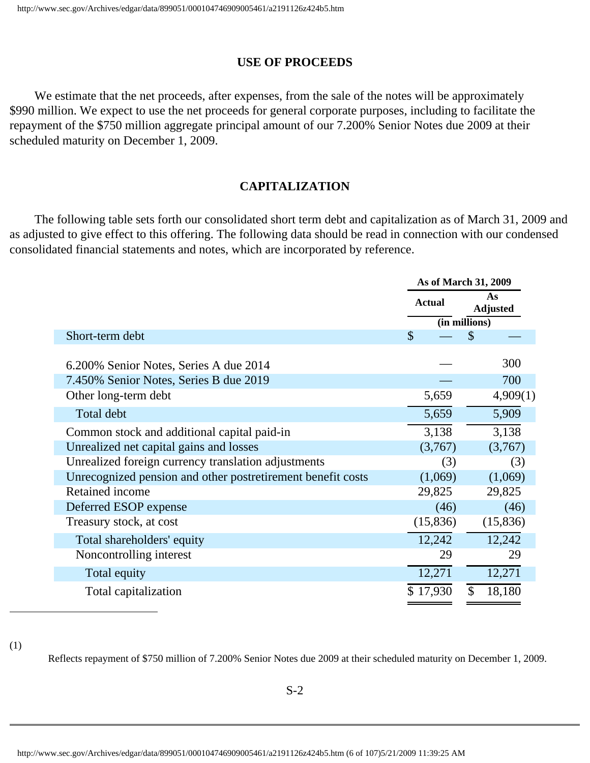#### **USE OF PROCEEDS**

We estimate that the net proceeds, after expenses, from the sale of the notes will be approximately \$990 million. We expect to use the net proceeds for general corporate purposes, including to facilitate the repayment of the \$750 million aggregate principal amount of our 7.200% Senior Notes due 2009 at their scheduled maturity on December 1, 2009.

#### **CAPITALIZATION**

 The following table sets forth our consolidated short term debt and capitalization as of March 31, 2009 and as adjusted to give effect to this offering. The following data should be read in connection with our condensed consolidated financial statements and notes, which are incorporated by reference.

|                                                             | As of March 31, 2009 |                         |  |  |
|-------------------------------------------------------------|----------------------|-------------------------|--|--|
|                                                             | <b>Actual</b>        | As<br><b>Adjusted</b>   |  |  |
|                                                             |                      | (in millions)           |  |  |
| Short-term debt                                             | $\mathcal{S}$        | $\mathcal{S}$           |  |  |
| 6.200% Senior Notes, Series A due 2014                      |                      | 300                     |  |  |
| 7.450% Senior Notes, Series B due 2019                      |                      | 700                     |  |  |
| Other long-term debt                                        | 5,659                | 4,909(1)                |  |  |
| Total debt                                                  | 5,659                | 5,909                   |  |  |
| Common stock and additional capital paid-in                 | 3,138                | 3,138                   |  |  |
| Unrealized net capital gains and losses                     | (3,767)              | (3,767)                 |  |  |
| Unrealized foreign currency translation adjustments         | (3)                  | (3)                     |  |  |
| Unrecognized pension and other postretirement benefit costs | (1,069)              | (1,069)                 |  |  |
| Retained income                                             | 29,825               | 29,825                  |  |  |
| Deferred ESOP expense                                       | (46)                 | (46)                    |  |  |
| Treasury stock, at cost                                     | (15, 836)            | (15,836)                |  |  |
| Total shareholders' equity                                  | 12,242               | 12,242                  |  |  |
| Noncontrolling interest                                     | 29                   | 29                      |  |  |
| Total equity                                                | 12,271               | 12,271                  |  |  |
| Total capitalization                                        | \$17,930             | $\mathcal{S}$<br>18,180 |  |  |

(1)

Reflects repayment of \$750 million of 7.200% Senior Notes due 2009 at their scheduled maturity on December 1, 2009.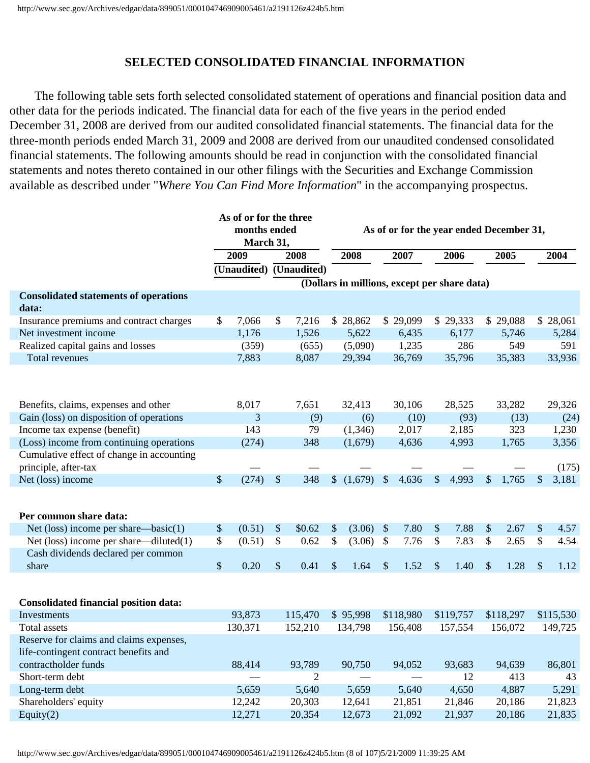#### **SELECTED CONSOLIDATED FINANCIAL INFORMATION**

 The following table sets forth selected consolidated statement of operations and financial position data and other data for the periods indicated. The financial data for each of the five years in the period ended December 31, 2008 are derived from our audited consolidated financial statements. The financial data for the three-month periods ended March 31, 2009 and 2008 are derived from our unaudited condensed consolidated financial statements. The following amounts should be read in conjunction with the consolidated financial statements and notes thereto contained in our other filings with the Securities and Exchange Commission available as described under "*Where You Can Find More Information*" in the accompanying prospectus.

|                                              | As of or for the three<br>months ended |           |    | As of or for the year ended December 31, |    |                                              |                           |        |                           |           |                           |           |    |           |
|----------------------------------------------|----------------------------------------|-----------|----|------------------------------------------|----|----------------------------------------------|---------------------------|--------|---------------------------|-----------|---------------------------|-----------|----|-----------|
|                                              |                                        | March 31, |    |                                          |    |                                              |                           |        |                           |           |                           |           |    |           |
|                                              |                                        | 2009      |    | 2008                                     |    | 2008                                         | 2007                      |        |                           | 2006      |                           | 2005      |    | 2004      |
|                                              |                                        |           |    | (Unaudited) (Unaudited)                  |    |                                              |                           |        |                           |           |                           |           |    |           |
|                                              |                                        |           |    |                                          |    | (Dollars in millions, except per share data) |                           |        |                           |           |                           |           |    |           |
| <b>Consolidated statements of operations</b> |                                        |           |    |                                          |    |                                              |                           |        |                           |           |                           |           |    |           |
| data:                                        |                                        |           |    |                                          |    |                                              |                           |        |                           |           |                           |           |    |           |
| Insurance premiums and contract charges      | \$                                     | 7,066     | \$ | 7,216                                    | S. | 28,862                                       | \$29,099                  |        |                           | \$29,333  |                           | \$29,088  |    | \$28,061  |
| Net investment income                        |                                        | 1,176     |    | 1,526                                    |    | 5,622                                        |                           | 6,435  |                           | 6,177     |                           | 5,746     |    | 5,284     |
| Realized capital gains and losses            |                                        | (359)     |    | (655)                                    |    | (5,090)                                      |                           | 1,235  |                           | 286       |                           | 549       |    | 591       |
| Total revenues                               |                                        | 7,883     |    | 8,087                                    |    | 29,394                                       |                           | 36,769 |                           | 35,796    |                           | 35,383    |    | 33,936    |
|                                              |                                        |           |    |                                          |    |                                              |                           |        |                           |           |                           |           |    |           |
|                                              |                                        |           |    |                                          |    |                                              |                           |        |                           |           |                           |           |    |           |
| Benefits, claims, expenses and other         |                                        | 8,017     |    | 7,651                                    |    | 32,413                                       |                           | 30,106 |                           | 28,525    |                           | 33,282    |    | 29,326    |
| Gain (loss) on disposition of operations     |                                        | 3         |    | (9)                                      |    | (6)                                          |                           | (10)   |                           | (93)      |                           | (13)      |    | (24)      |
| Income tax expense (benefit)                 |                                        | 143       |    | 79                                       |    | (1,346)                                      |                           | 2,017  |                           | 2,185     |                           | 323       |    | 1,230     |
| (Loss) income from continuing operations     |                                        | (274)     |    | 348                                      |    | (1,679)                                      |                           | 4,636  |                           | 4,993     |                           | 1,765     |    | 3,356     |
| Cumulative effect of change in accounting    |                                        |           |    |                                          |    |                                              |                           |        |                           |           |                           |           |    |           |
| principle, after-tax                         |                                        |           |    |                                          |    |                                              |                           |        |                           |           |                           |           |    | (175)     |
| Net (loss) income                            | \$                                     | (274)     | \$ | 348                                      |    | (1,679)                                      | $\sqrt{\ }$               | 4,636  | $\boldsymbol{\mathsf{S}}$ | 4,993     | $\boldsymbol{\mathsf{S}}$ | 1,765     | \$ | 3,181     |
|                                              |                                        |           |    |                                          |    |                                              |                           |        |                           |           |                           |           |    |           |
|                                              |                                        |           |    |                                          |    |                                              |                           |        |                           |           |                           |           |    |           |
| Per common share data:                       |                                        |           |    |                                          |    |                                              |                           |        |                           |           |                           |           |    |           |
| Net (loss) income per share—basic $(1)$      | \$                                     | (0.51)    | \$ | \$0.62                                   | \$ | (3.06)                                       | $\boldsymbol{\mathsf{S}}$ | 7.80   | \$                        | 7.88      | \$                        | 2.67      | \$ | 4.57      |
| Net (loss) income per share—diluted(1)       | \$                                     | (0.51)    | \$ | 0.62                                     | \$ | (3.06)                                       | $\mathcal{S}$             | 7.76   | \$                        | 7.83      | \$                        | 2.65      | \$ | 4.54      |
| Cash dividends declared per common           |                                        |           |    |                                          |    |                                              |                           |        |                           |           |                           |           |    |           |
| share                                        | \$                                     | 0.20      | \$ | 0.41                                     | \$ | 1.64                                         | \$                        | 1.52   | \$                        | 1.40      | \$                        | 1.28      | \$ | 1.12      |
|                                              |                                        |           |    |                                          |    |                                              |                           |        |                           |           |                           |           |    |           |
|                                              |                                        |           |    |                                          |    |                                              |                           |        |                           |           |                           |           |    |           |
| <b>Consolidated financial position data:</b> |                                        |           |    |                                          |    |                                              |                           |        |                           |           |                           |           |    |           |
| Investments                                  |                                        | 93,873    |    | 115,470                                  |    | \$95,998                                     | \$118,980                 |        |                           | \$119,757 |                           | \$118,297 |    | \$115,530 |
| <b>Total assets</b>                          |                                        | 130,371   |    | 152,210                                  |    | 134,798                                      | 156,408                   |        |                           | 157,554   |                           | 156,072   |    | 149,725   |
| Reserve for claims and claims expenses,      |                                        |           |    |                                          |    |                                              |                           |        |                           |           |                           |           |    |           |
| life-contingent contract benefits and        |                                        |           |    |                                          |    |                                              |                           |        |                           |           |                           |           |    |           |
| contractholder funds                         |                                        | 88,414    |    | 93,789                                   |    | 90,750                                       |                           | 94,052 |                           | 93,683    |                           | 94,639    |    | 86,801    |
| Short-term debt                              |                                        |           |    | 2                                        |    |                                              |                           |        |                           | 12        |                           | 413       |    | 43        |
| Long-term debt                               |                                        | 5,659     |    | 5,640                                    |    | 5,659                                        |                           | 5,640  |                           | 4,650     |                           | 4,887     |    | 5,291     |
| Shareholders' equity                         |                                        | 12,242    |    | 20,303                                   |    | 12,641                                       |                           | 21,851 |                           | 21,846    |                           | 20,186    |    | 21,823    |
| Equity $(2)$                                 |                                        | 12,271    |    | 20,354                                   |    | 12,673                                       |                           | 21,092 |                           | 21,937    |                           | 20,186    |    | 21,835    |
|                                              |                                        |           |    |                                          |    |                                              |                           |        |                           |           |                           |           |    |           |

http://www.sec.gov/Archives/edgar/data/899051/000104746909005461/a2191126z424b5.htm (8 of 107)5/21/2009 11:39:25 AM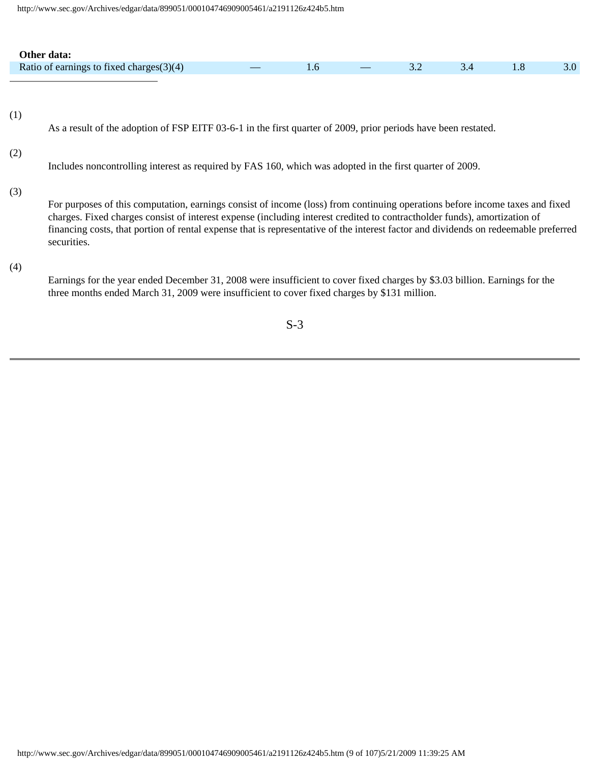| Other data:                                 |                   |  |  |                  |
|---------------------------------------------|-------------------|--|--|------------------|
| Ratio of earnings to fixed charges $(3)(4)$ | <b>Commercial</b> |  |  | 5.0 <sub>l</sub> |
|                                             |                   |  |  |                  |

(1)

As a result of the adoption of FSP EITF 03-6-1 in the first quarter of 2009, prior periods have been restated.

#### (2)

Includes noncontrolling interest as required by FAS 160, which was adopted in the first quarter of 2009.

#### (3)

For purposes of this computation, earnings consist of income (loss) from continuing operations before income taxes and fixed charges. Fixed charges consist of interest expense (including interest credited to contractholder funds), amortization of financing costs, that portion of rental expense that is representative of the interest factor and dividends on redeemable preferred securities.

#### (4)

Earnings for the year ended December 31, 2008 were insufficient to cover fixed charges by \$3.03 billion. Earnings for the three months ended March 31, 2009 were insufficient to cover fixed charges by \$131 million.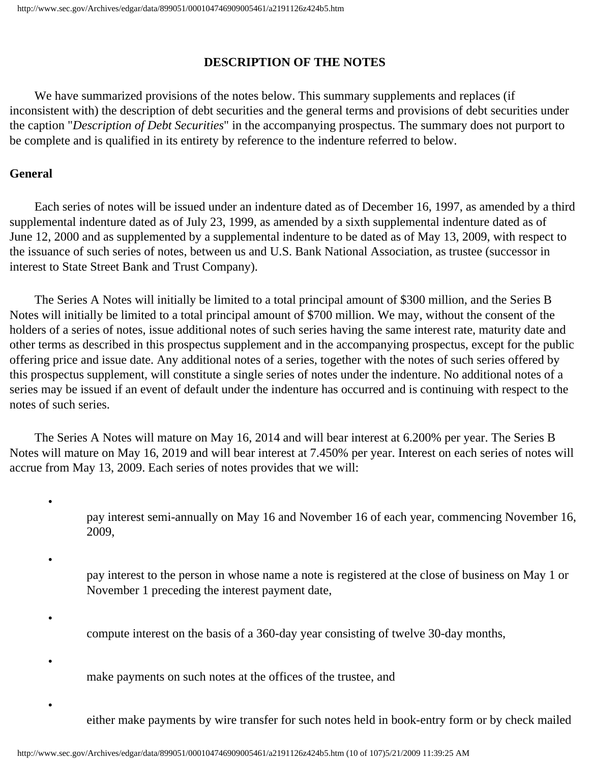#### **DESCRIPTION OF THE NOTES**

 We have summarized provisions of the notes below. This summary supplements and replaces (if inconsistent with) the description of debt securities and the general terms and provisions of debt securities under the caption "*Description of Debt Securities*" in the accompanying prospectus. The summary does not purport to be complete and is qualified in its entirety by reference to the indenture referred to below.

#### **General**

•

•

•

•

•

 Each series of notes will be issued under an indenture dated as of December 16, 1997, as amended by a third supplemental indenture dated as of July 23, 1999, as amended by a sixth supplemental indenture dated as of June 12, 2000 and as supplemented by a supplemental indenture to be dated as of May 13, 2009, with respect to the issuance of such series of notes, between us and U.S. Bank National Association, as trustee (successor in interest to State Street Bank and Trust Company).

 The Series A Notes will initially be limited to a total principal amount of \$300 million, and the Series B Notes will initially be limited to a total principal amount of \$700 million. We may, without the consent of the holders of a series of notes, issue additional notes of such series having the same interest rate, maturity date and other terms as described in this prospectus supplement and in the accompanying prospectus, except for the public offering price and issue date. Any additional notes of a series, together with the notes of such series offered by this prospectus supplement, will constitute a single series of notes under the indenture. No additional notes of a series may be issued if an event of default under the indenture has occurred and is continuing with respect to the notes of such series.

 The Series A Notes will mature on May 16, 2014 and will bear interest at 6.200% per year. The Series B Notes will mature on May 16, 2019 and will bear interest at 7.450% per year. Interest on each series of notes will accrue from May 13, 2009. Each series of notes provides that we will:

> pay interest semi-annually on May 16 and November 16 of each year, commencing November 16, 2009,

pay interest to the person in whose name a note is registered at the close of business on May 1 or November 1 preceding the interest payment date,

- compute interest on the basis of a 360-day year consisting of twelve 30-day months,
- make payments on such notes at the offices of the trustee, and

either make payments by wire transfer for such notes held in book-entry form or by check mailed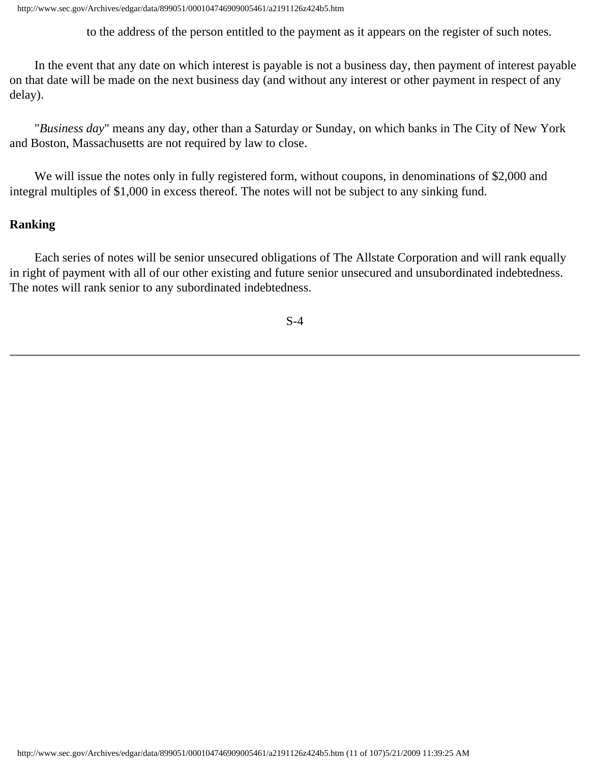to the address of the person entitled to the payment as it appears on the register of such notes.

 In the event that any date on which interest is payable is not a business day, then payment of interest payable on that date will be made on the next business day (and without any interest or other payment in respect of any delay).

 "*Business day*" means any day, other than a Saturday or Sunday, on which banks in The City of New York and Boston, Massachusetts are not required by law to close.

 We will issue the notes only in fully registered form, without coupons, in denominations of \$2,000 and integral multiples of \$1,000 in excess thereof. The notes will not be subject to any sinking fund.

#### **Ranking**

 Each series of notes will be senior unsecured obligations of The Allstate Corporation and will rank equally in right of payment with all of our other existing and future senior unsecured and unsubordinated indebtedness. The notes will rank senior to any subordinated indebtedness.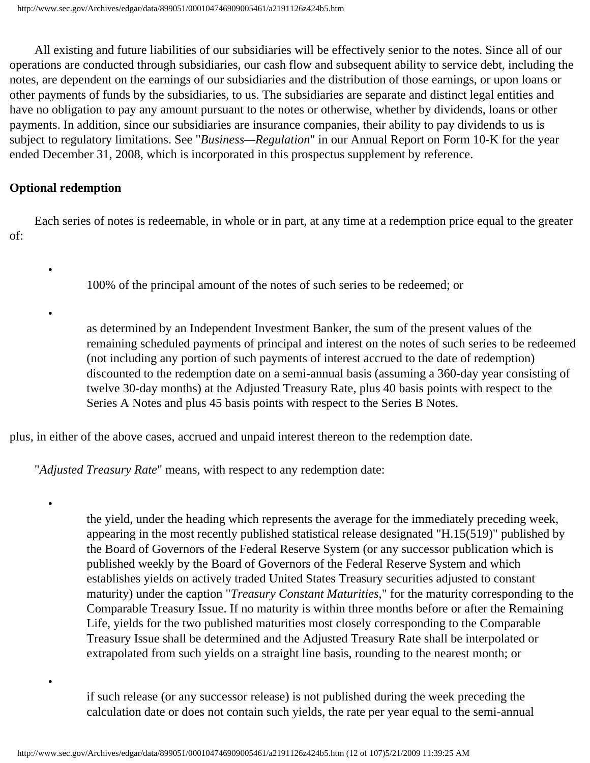All existing and future liabilities of our subsidiaries will be effectively senior to the notes. Since all of our operations are conducted through subsidiaries, our cash flow and subsequent ability to service debt, including the notes, are dependent on the earnings of our subsidiaries and the distribution of those earnings, or upon loans or other payments of funds by the subsidiaries, to us. The subsidiaries are separate and distinct legal entities and have no obligation to pay any amount pursuant to the notes or otherwise, whether by dividends, loans or other payments. In addition, since our subsidiaries are insurance companies, their ability to pay dividends to us is subject to regulatory limitations. See "*Business—Regulation*" in our Annual Report on Form 10-K for the year ended December 31, 2008, which is incorporated in this prospectus supplement by reference.

#### **Optional redemption**

•

•

•

•

 Each series of notes is redeemable, in whole or in part, at any time at a redemption price equal to the greater of:

100% of the principal amount of the notes of such series to be redeemed; or

as determined by an Independent Investment Banker, the sum of the present values of the remaining scheduled payments of principal and interest on the notes of such series to be redeemed (not including any portion of such payments of interest accrued to the date of redemption) discounted to the redemption date on a semi-annual basis (assuming a 360-day year consisting of twelve 30-day months) at the Adjusted Treasury Rate, plus 40 basis points with respect to the Series A Notes and plus 45 basis points with respect to the Series B Notes.

plus, in either of the above cases, accrued and unpaid interest thereon to the redemption date.

"*Adjusted Treasury Rate*" means, with respect to any redemption date:

the yield, under the heading which represents the average for the immediately preceding week, appearing in the most recently published statistical release designated "H.15(519)" published by the Board of Governors of the Federal Reserve System (or any successor publication which is published weekly by the Board of Governors of the Federal Reserve System and which establishes yields on actively traded United States Treasury securities adjusted to constant maturity) under the caption "*Treasury Constant Maturities*," for the maturity corresponding to the Comparable Treasury Issue. If no maturity is within three months before or after the Remaining Life, yields for the two published maturities most closely corresponding to the Comparable Treasury Issue shall be determined and the Adjusted Treasury Rate shall be interpolated or extrapolated from such yields on a straight line basis, rounding to the nearest month; or

if such release (or any successor release) is not published during the week preceding the calculation date or does not contain such yields, the rate per year equal to the semi-annual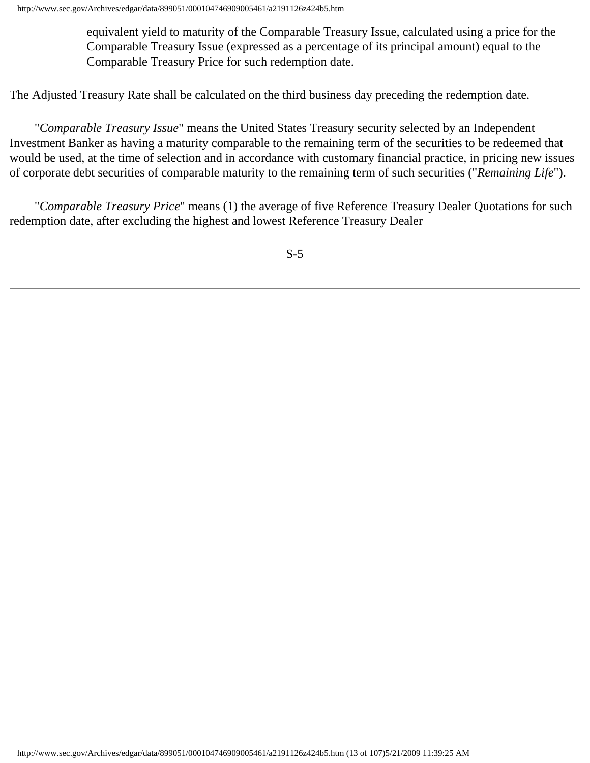equivalent yield to maturity of the Comparable Treasury Issue, calculated using a price for the Comparable Treasury Issue (expressed as a percentage of its principal amount) equal to the Comparable Treasury Price for such redemption date.

The Adjusted Treasury Rate shall be calculated on the third business day preceding the redemption date.

 "*Comparable Treasury Issue*" means the United States Treasury security selected by an Independent Investment Banker as having a maturity comparable to the remaining term of the securities to be redeemed that would be used, at the time of selection and in accordance with customary financial practice, in pricing new issues of corporate debt securities of comparable maturity to the remaining term of such securities ("*Remaining Life*").

 "*Comparable Treasury Price*" means (1) the average of five Reference Treasury Dealer Quotations for such redemption date, after excluding the highest and lowest Reference Treasury Dealer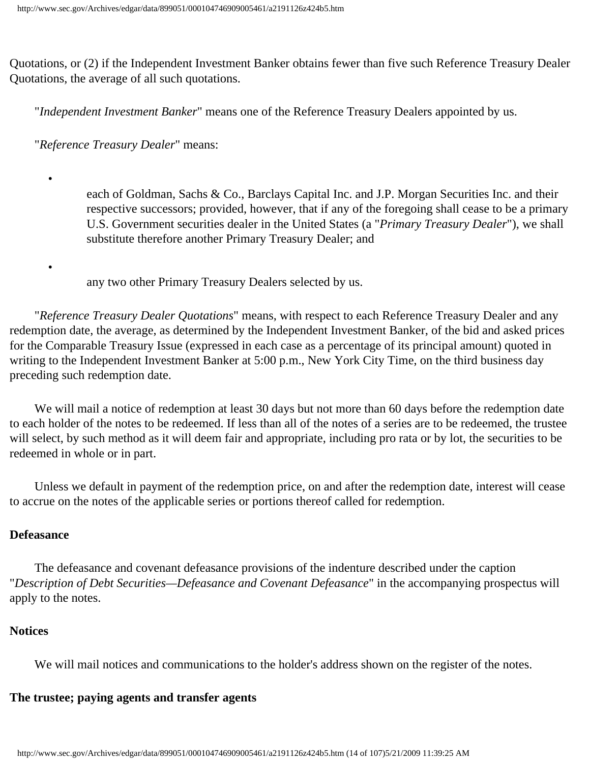Quotations, or (2) if the Independent Investment Banker obtains fewer than five such Reference Treasury Dealer Quotations, the average of all such quotations.

"*Independent Investment Banker*" means one of the Reference Treasury Dealers appointed by us.

"*Reference Treasury Dealer*" means:

each of Goldman, Sachs & Co., Barclays Capital Inc. and J.P. Morgan Securities Inc. and their respective successors; provided, however, that if any of the foregoing shall cease to be a primary U.S. Government securities dealer in the United States (a "*Primary Treasury Dealer*"), we shall substitute therefore another Primary Treasury Dealer; and

any two other Primary Treasury Dealers selected by us.

 "*Reference Treasury Dealer Quotations*" means, with respect to each Reference Treasury Dealer and any redemption date, the average, as determined by the Independent Investment Banker, of the bid and asked prices for the Comparable Treasury Issue (expressed in each case as a percentage of its principal amount) quoted in writing to the Independent Investment Banker at 5:00 p.m., New York City Time, on the third business day preceding such redemption date.

 We will mail a notice of redemption at least 30 days but not more than 60 days before the redemption date to each holder of the notes to be redeemed. If less than all of the notes of a series are to be redeemed, the trustee will select, by such method as it will deem fair and appropriate, including pro rata or by lot, the securities to be redeemed in whole or in part.

 Unless we default in payment of the redemption price, on and after the redemption date, interest will cease to accrue on the notes of the applicable series or portions thereof called for redemption.

#### **Defeasance**

•

•

 The defeasance and covenant defeasance provisions of the indenture described under the caption "*Description of Debt Securities—Defeasance and Covenant Defeasance*" in the accompanying prospectus will apply to the notes.

#### **Notices**

We will mail notices and communications to the holder's address shown on the register of the notes.

# **The trustee; paying agents and transfer agents**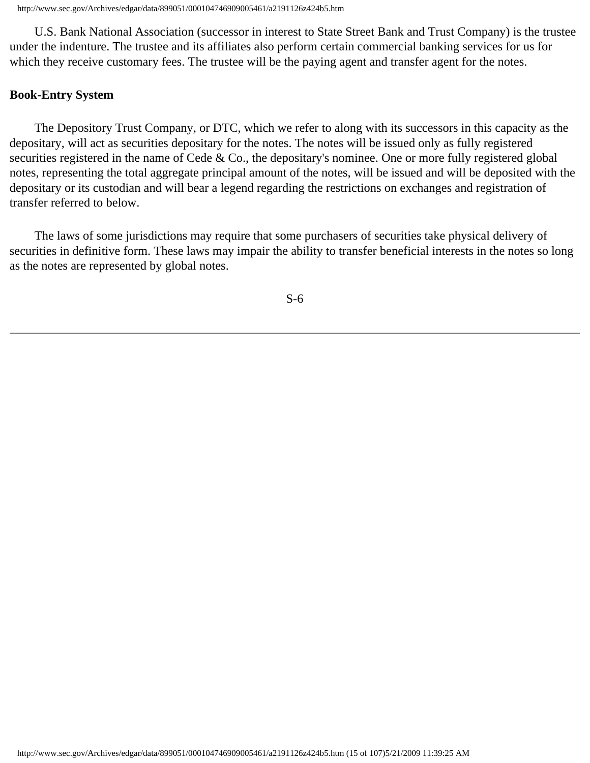U.S. Bank National Association (successor in interest to State Street Bank and Trust Company) is the trustee under the indenture. The trustee and its affiliates also perform certain commercial banking services for us for which they receive customary fees. The trustee will be the paying agent and transfer agent for the notes.

#### **Book-Entry System**

 The Depository Trust Company, or DTC, which we refer to along with its successors in this capacity as the depositary, will act as securities depositary for the notes. The notes will be issued only as fully registered securities registered in the name of Cede & Co., the depositary's nominee. One or more fully registered global notes, representing the total aggregate principal amount of the notes, will be issued and will be deposited with the depositary or its custodian and will bear a legend regarding the restrictions on exchanges and registration of transfer referred to below.

 The laws of some jurisdictions may require that some purchasers of securities take physical delivery of securities in definitive form. These laws may impair the ability to transfer beneficial interests in the notes so long as the notes are represented by global notes.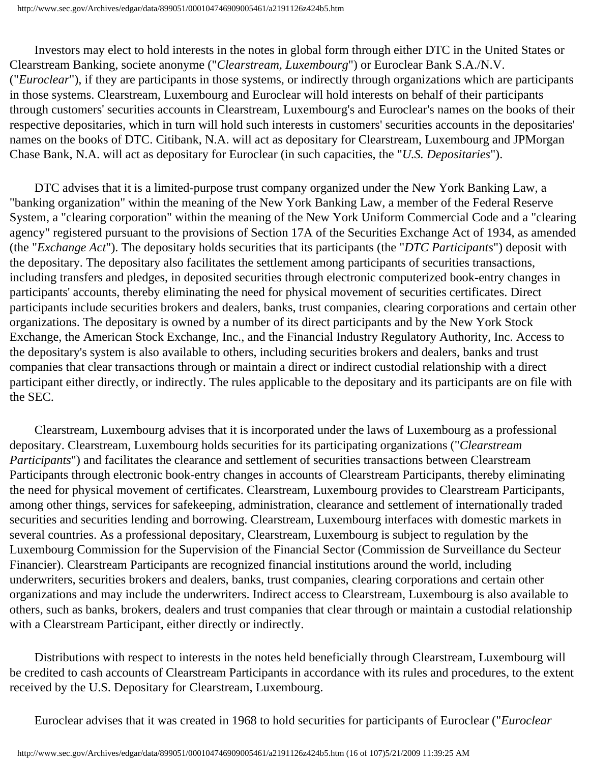Investors may elect to hold interests in the notes in global form through either DTC in the United States or Clearstream Banking, societe anonyme ("*Clearstream, Luxembourg*") or Euroclear Bank S.A./N.V. ("*Euroclear*"), if they are participants in those systems, or indirectly through organizations which are participants in those systems. Clearstream, Luxembourg and Euroclear will hold interests on behalf of their participants through customers' securities accounts in Clearstream, Luxembourg's and Euroclear's names on the books of their respective depositaries, which in turn will hold such interests in customers' securities accounts in the depositaries' names on the books of DTC. Citibank, N.A. will act as depositary for Clearstream, Luxembourg and JPMorgan Chase Bank, N.A. will act as depositary for Euroclear (in such capacities, the "*U.S. Depositaries*").

 DTC advises that it is a limited-purpose trust company organized under the New York Banking Law, a "banking organization" within the meaning of the New York Banking Law, a member of the Federal Reserve System, a "clearing corporation" within the meaning of the New York Uniform Commercial Code and a "clearing agency" registered pursuant to the provisions of Section 17A of the Securities Exchange Act of 1934, as amended (the "*Exchange Act*"). The depositary holds securities that its participants (the "*DTC Participants*") deposit with the depositary. The depositary also facilitates the settlement among participants of securities transactions, including transfers and pledges, in deposited securities through electronic computerized book-entry changes in participants' accounts, thereby eliminating the need for physical movement of securities certificates. Direct participants include securities brokers and dealers, banks, trust companies, clearing corporations and certain other organizations. The depositary is owned by a number of its direct participants and by the New York Stock Exchange, the American Stock Exchange, Inc., and the Financial Industry Regulatory Authority, Inc. Access to the depositary's system is also available to others, including securities brokers and dealers, banks and trust companies that clear transactions through or maintain a direct or indirect custodial relationship with a direct participant either directly, or indirectly. The rules applicable to the depositary and its participants are on file with the SEC.

 Clearstream, Luxembourg advises that it is incorporated under the laws of Luxembourg as a professional depositary. Clearstream, Luxembourg holds securities for its participating organizations ("*Clearstream Participants*") and facilitates the clearance and settlement of securities transactions between Clearstream Participants through electronic book-entry changes in accounts of Clearstream Participants, thereby eliminating the need for physical movement of certificates. Clearstream, Luxembourg provides to Clearstream Participants, among other things, services for safekeeping, administration, clearance and settlement of internationally traded securities and securities lending and borrowing. Clearstream, Luxembourg interfaces with domestic markets in several countries. As a professional depositary, Clearstream, Luxembourg is subject to regulation by the Luxembourg Commission for the Supervision of the Financial Sector (Commission de Surveillance du Secteur Financier). Clearstream Participants are recognized financial institutions around the world, including underwriters, securities brokers and dealers, banks, trust companies, clearing corporations and certain other organizations and may include the underwriters. Indirect access to Clearstream, Luxembourg is also available to others, such as banks, brokers, dealers and trust companies that clear through or maintain a custodial relationship with a Clearstream Participant, either directly or indirectly.

 Distributions with respect to interests in the notes held beneficially through Clearstream, Luxembourg will be credited to cash accounts of Clearstream Participants in accordance with its rules and procedures, to the extent received by the U.S. Depositary for Clearstream, Luxembourg.

Euroclear advises that it was created in 1968 to hold securities for participants of Euroclear ("*Euroclear*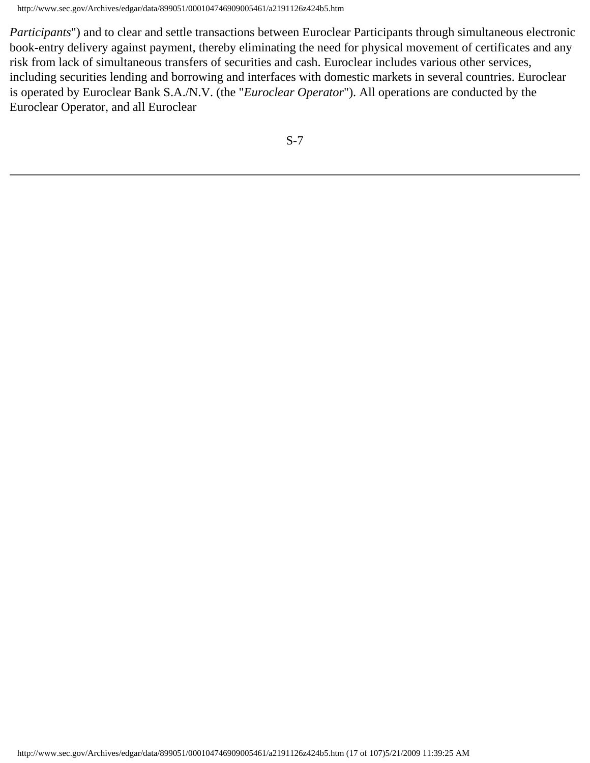*Participants*") and to clear and settle transactions between Euroclear Participants through simultaneous electronic book-entry delivery against payment, thereby eliminating the need for physical movement of certificates and any risk from lack of simultaneous transfers of securities and cash. Euroclear includes various other services, including securities lending and borrowing and interfaces with domestic markets in several countries. Euroclear is operated by Euroclear Bank S.A./N.V. (the "*Euroclear Operator*"). All operations are conducted by the Euroclear Operator, and all Euroclear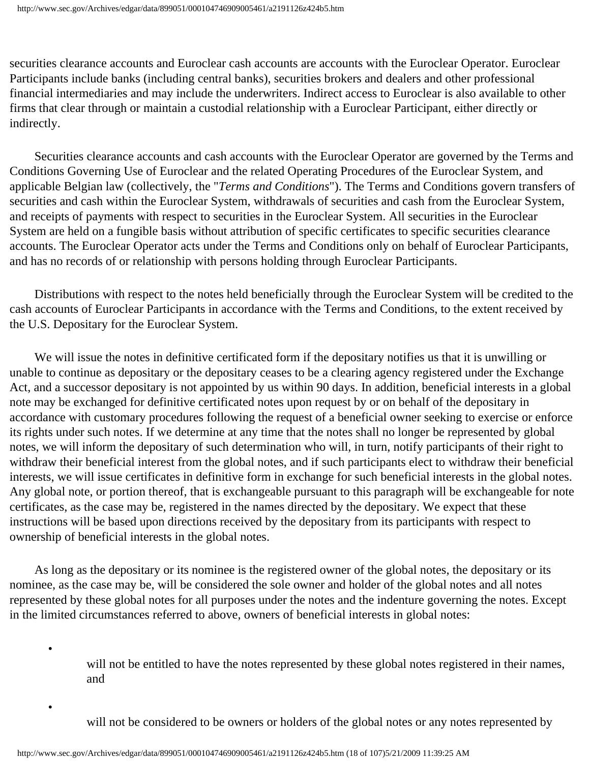securities clearance accounts and Euroclear cash accounts are accounts with the Euroclear Operator. Euroclear Participants include banks (including central banks), securities brokers and dealers and other professional financial intermediaries and may include the underwriters. Indirect access to Euroclear is also available to other firms that clear through or maintain a custodial relationship with a Euroclear Participant, either directly or indirectly.

 Securities clearance accounts and cash accounts with the Euroclear Operator are governed by the Terms and Conditions Governing Use of Euroclear and the related Operating Procedures of the Euroclear System, and applicable Belgian law (collectively, the "*Terms and Conditions*"). The Terms and Conditions govern transfers of securities and cash within the Euroclear System, withdrawals of securities and cash from the Euroclear System, and receipts of payments with respect to securities in the Euroclear System. All securities in the Euroclear System are held on a fungible basis without attribution of specific certificates to specific securities clearance accounts. The Euroclear Operator acts under the Terms and Conditions only on behalf of Euroclear Participants, and has no records of or relationship with persons holding through Euroclear Participants.

 Distributions with respect to the notes held beneficially through the Euroclear System will be credited to the cash accounts of Euroclear Participants in accordance with the Terms and Conditions, to the extent received by the U.S. Depositary for the Euroclear System.

 We will issue the notes in definitive certificated form if the depositary notifies us that it is unwilling or unable to continue as depositary or the depositary ceases to be a clearing agency registered under the Exchange Act, and a successor depositary is not appointed by us within 90 days. In addition, beneficial interests in a global note may be exchanged for definitive certificated notes upon request by or on behalf of the depositary in accordance with customary procedures following the request of a beneficial owner seeking to exercise or enforce its rights under such notes. If we determine at any time that the notes shall no longer be represented by global notes, we will inform the depositary of such determination who will, in turn, notify participants of their right to withdraw their beneficial interest from the global notes, and if such participants elect to withdraw their beneficial interests, we will issue certificates in definitive form in exchange for such beneficial interests in the global notes. Any global note, or portion thereof, that is exchangeable pursuant to this paragraph will be exchangeable for note certificates, as the case may be, registered in the names directed by the depositary. We expect that these instructions will be based upon directions received by the depositary from its participants with respect to ownership of beneficial interests in the global notes.

 As long as the depositary or its nominee is the registered owner of the global notes, the depositary or its nominee, as the case may be, will be considered the sole owner and holder of the global notes and all notes represented by these global notes for all purposes under the notes and the indenture governing the notes. Except in the limited circumstances referred to above, owners of beneficial interests in global notes:

> will not be entitled to have the notes represented by these global notes registered in their names, and

will not be considered to be owners or holders of the global notes or any notes represented by

•

•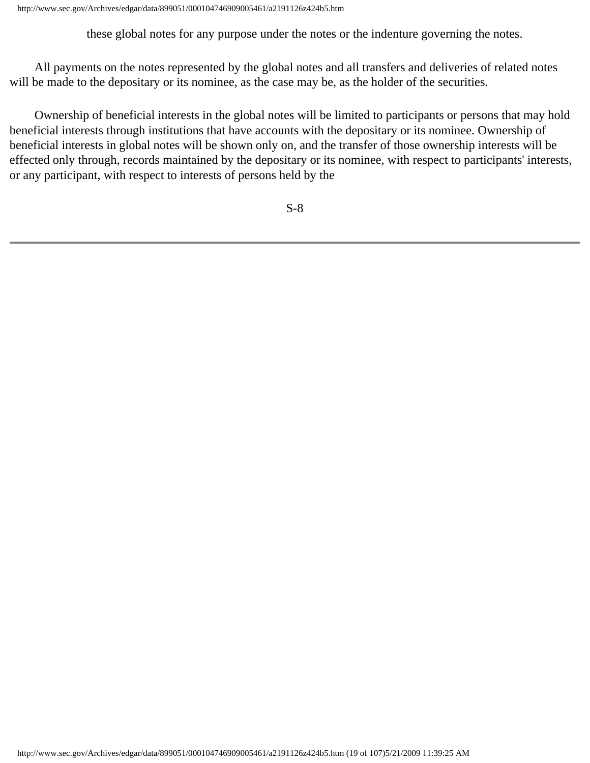these global notes for any purpose under the notes or the indenture governing the notes.

 All payments on the notes represented by the global notes and all transfers and deliveries of related notes will be made to the depositary or its nominee, as the case may be, as the holder of the securities.

 Ownership of beneficial interests in the global notes will be limited to participants or persons that may hold beneficial interests through institutions that have accounts with the depositary or its nominee. Ownership of beneficial interests in global notes will be shown only on, and the transfer of those ownership interests will be effected only through, records maintained by the depositary or its nominee, with respect to participants' interests, or any participant, with respect to interests of persons held by the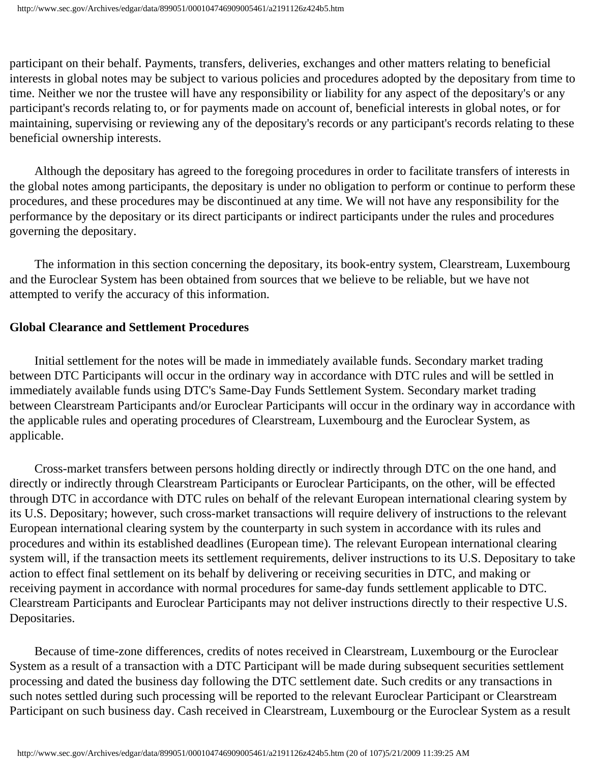participant on their behalf. Payments, transfers, deliveries, exchanges and other matters relating to beneficial interests in global notes may be subject to various policies and procedures adopted by the depositary from time to time. Neither we nor the trustee will have any responsibility or liability for any aspect of the depositary's or any participant's records relating to, or for payments made on account of, beneficial interests in global notes, or for maintaining, supervising or reviewing any of the depositary's records or any participant's records relating to these beneficial ownership interests.

 Although the depositary has agreed to the foregoing procedures in order to facilitate transfers of interests in the global notes among participants, the depositary is under no obligation to perform or continue to perform these procedures, and these procedures may be discontinued at any time. We will not have any responsibility for the performance by the depositary or its direct participants or indirect participants under the rules and procedures governing the depositary.

 The information in this section concerning the depositary, its book-entry system, Clearstream, Luxembourg and the Euroclear System has been obtained from sources that we believe to be reliable, but we have not attempted to verify the accuracy of this information.

#### **Global Clearance and Settlement Procedures**

 Initial settlement for the notes will be made in immediately available funds. Secondary market trading between DTC Participants will occur in the ordinary way in accordance with DTC rules and will be settled in immediately available funds using DTC's Same-Day Funds Settlement System. Secondary market trading between Clearstream Participants and/or Euroclear Participants will occur in the ordinary way in accordance with the applicable rules and operating procedures of Clearstream, Luxembourg and the Euroclear System, as applicable.

 Cross-market transfers between persons holding directly or indirectly through DTC on the one hand, and directly or indirectly through Clearstream Participants or Euroclear Participants, on the other, will be effected through DTC in accordance with DTC rules on behalf of the relevant European international clearing system by its U.S. Depositary; however, such cross-market transactions will require delivery of instructions to the relevant European international clearing system by the counterparty in such system in accordance with its rules and procedures and within its established deadlines (European time). The relevant European international clearing system will, if the transaction meets its settlement requirements, deliver instructions to its U.S. Depositary to take action to effect final settlement on its behalf by delivering or receiving securities in DTC, and making or receiving payment in accordance with normal procedures for same-day funds settlement applicable to DTC. Clearstream Participants and Euroclear Participants may not deliver instructions directly to their respective U.S. Depositaries.

 Because of time-zone differences, credits of notes received in Clearstream, Luxembourg or the Euroclear System as a result of a transaction with a DTC Participant will be made during subsequent securities settlement processing and dated the business day following the DTC settlement date. Such credits or any transactions in such notes settled during such processing will be reported to the relevant Euroclear Participant or Clearstream Participant on such business day. Cash received in Clearstream, Luxembourg or the Euroclear System as a result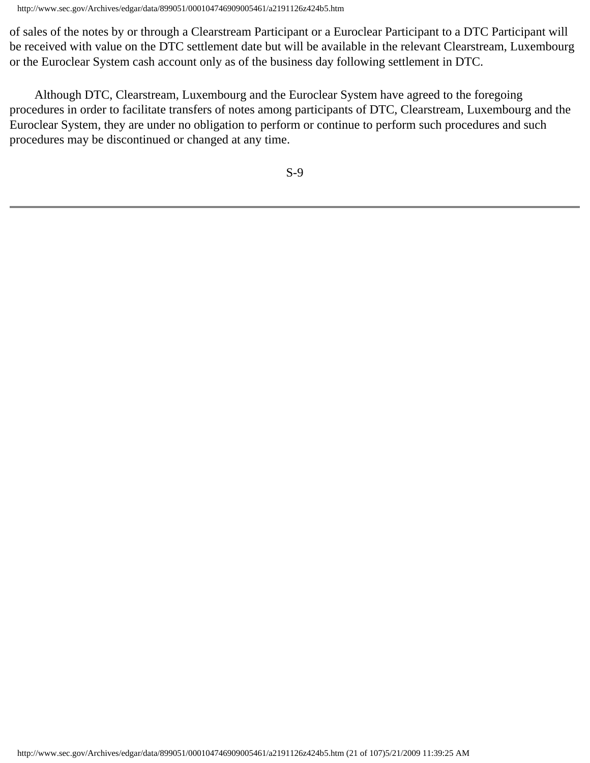of sales of the notes by or through a Clearstream Participant or a Euroclear Participant to a DTC Participant will be received with value on the DTC settlement date but will be available in the relevant Clearstream, Luxembourg or the Euroclear System cash account only as of the business day following settlement in DTC.

 Although DTC, Clearstream, Luxembourg and the Euroclear System have agreed to the foregoing procedures in order to facilitate transfers of notes among participants of DTC, Clearstream, Luxembourg and the Euroclear System, they are under no obligation to perform or continue to perform such procedures and such procedures may be discontinued or changed at any time.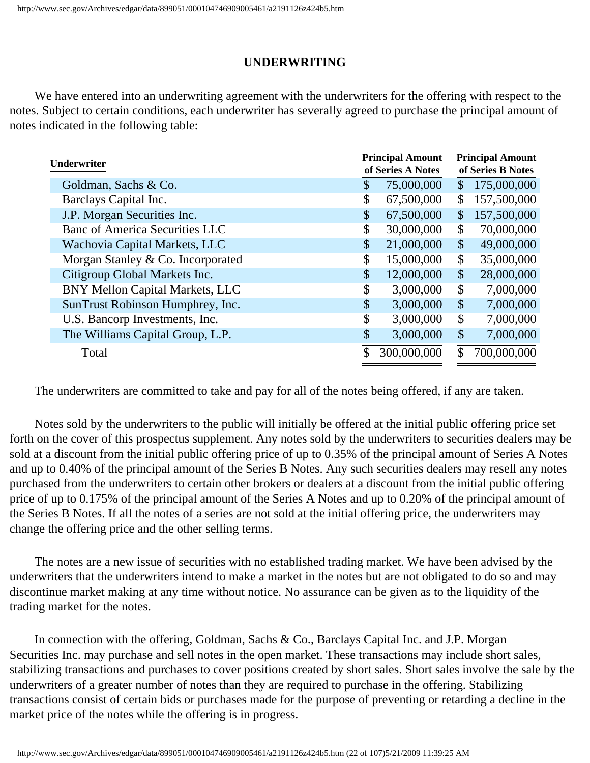# **UNDERWRITING**

 We have entered into an underwriting agreement with the underwriters for the offering with respect to the notes. Subject to certain conditions, each underwriter has severally agreed to purchase the principal amount of notes indicated in the following table:

| Underwriter                            |    | <b>Principal Amount</b><br>of Series A Notes | <b>Principal Amount</b><br>of Series B Notes |             |  |  |
|----------------------------------------|----|----------------------------------------------|----------------------------------------------|-------------|--|--|
| Goldman, Sachs & Co.                   | \$ | 75,000,000                                   | $\mathsf{\$}$                                | 175,000,000 |  |  |
| Barclays Capital Inc.                  | \$ | 67,500,000                                   | \$                                           | 157,500,000 |  |  |
| J.P. Morgan Securities Inc.            | \$ | 67,500,000                                   | \$                                           | 157,500,000 |  |  |
| <b>Banc of America Securities LLC</b>  | \$ | 30,000,000                                   | \$                                           | 70,000,000  |  |  |
| Wachovia Capital Markets, LLC          | \$ | 21,000,000                                   | \$                                           | 49,000,000  |  |  |
| Morgan Stanley & Co. Incorporated      | \$ | 15,000,000                                   | \$                                           | 35,000,000  |  |  |
| Citigroup Global Markets Inc.          | \$ | 12,000,000                                   | \$                                           | 28,000,000  |  |  |
| <b>BNY Mellon Capital Markets, LLC</b> | \$ | 3,000,000                                    | \$                                           | 7,000,000   |  |  |
| SunTrust Robinson Humphrey, Inc.       | \$ | 3,000,000                                    | $\boldsymbol{\mathsf{S}}$                    | 7,000,000   |  |  |
| U.S. Bancorp Investments, Inc.         | \$ | 3,000,000                                    | \$                                           | 7,000,000   |  |  |
| The Williams Capital Group, L.P.       | \$ | 3,000,000                                    | $\mathcal{S}$                                | 7,000,000   |  |  |
| Total                                  | \$ | 300,000,000                                  | \$                                           | 700,000,000 |  |  |

The underwriters are committed to take and pay for all of the notes being offered, if any are taken.

 Notes sold by the underwriters to the public will initially be offered at the initial public offering price set forth on the cover of this prospectus supplement. Any notes sold by the underwriters to securities dealers may be sold at a discount from the initial public offering price of up to 0.35% of the principal amount of Series A Notes and up to 0.40% of the principal amount of the Series B Notes. Any such securities dealers may resell any notes purchased from the underwriters to certain other brokers or dealers at a discount from the initial public offering price of up to 0.175% of the principal amount of the Series A Notes and up to 0.20% of the principal amount of the Series B Notes. If all the notes of a series are not sold at the initial offering price, the underwriters may change the offering price and the other selling terms.

 The notes are a new issue of securities with no established trading market. We have been advised by the underwriters that the underwriters intend to make a market in the notes but are not obligated to do so and may discontinue market making at any time without notice. No assurance can be given as to the liquidity of the trading market for the notes.

 In connection with the offering, Goldman, Sachs & Co., Barclays Capital Inc. and J.P. Morgan Securities Inc. may purchase and sell notes in the open market. These transactions may include short sales, stabilizing transactions and purchases to cover positions created by short sales. Short sales involve the sale by the underwriters of a greater number of notes than they are required to purchase in the offering. Stabilizing transactions consist of certain bids or purchases made for the purpose of preventing or retarding a decline in the market price of the notes while the offering is in progress.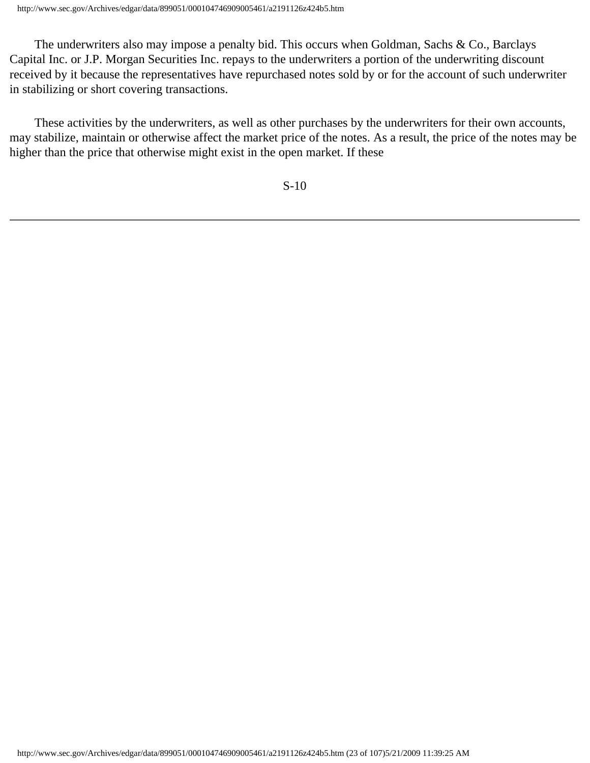The underwriters also may impose a penalty bid. This occurs when Goldman, Sachs & Co., Barclays Capital Inc. or J.P. Morgan Securities Inc. repays to the underwriters a portion of the underwriting discount received by it because the representatives have repurchased notes sold by or for the account of such underwriter in stabilizing or short covering transactions.

 These activities by the underwriters, as well as other purchases by the underwriters for their own accounts, may stabilize, maintain or otherwise affect the market price of the notes. As a result, the price of the notes may be higher than the price that otherwise might exist in the open market. If these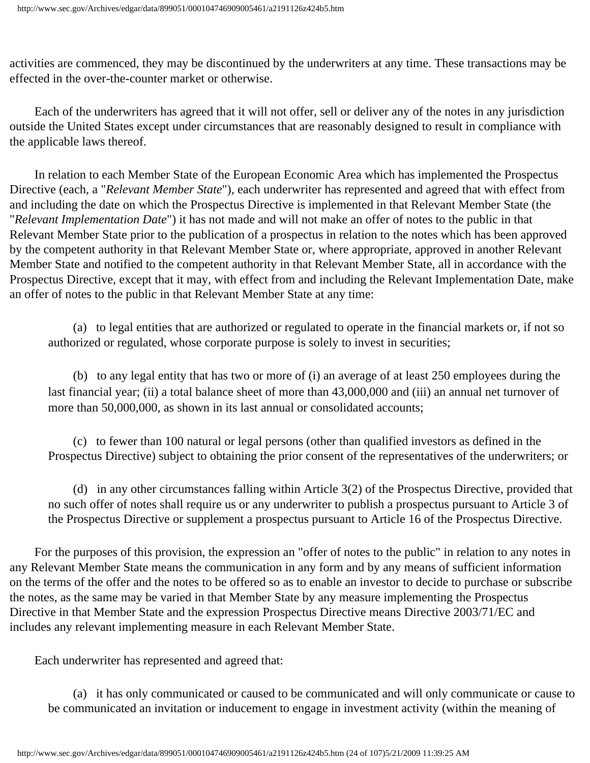activities are commenced, they may be discontinued by the underwriters at any time. These transactions may be effected in the over-the-counter market or otherwise.

 Each of the underwriters has agreed that it will not offer, sell or deliver any of the notes in any jurisdiction outside the United States except under circumstances that are reasonably designed to result in compliance with the applicable laws thereof.

 In relation to each Member State of the European Economic Area which has implemented the Prospectus Directive (each, a "*Relevant Member State*"), each underwriter has represented and agreed that with effect from and including the date on which the Prospectus Directive is implemented in that Relevant Member State (the "*Relevant Implementation Date*") it has not made and will not make an offer of notes to the public in that Relevant Member State prior to the publication of a prospectus in relation to the notes which has been approved by the competent authority in that Relevant Member State or, where appropriate, approved in another Relevant Member State and notified to the competent authority in that Relevant Member State, all in accordance with the Prospectus Directive, except that it may, with effect from and including the Relevant Implementation Date, make an offer of notes to the public in that Relevant Member State at any time:

 (a) to legal entities that are authorized or regulated to operate in the financial markets or, if not so authorized or regulated, whose corporate purpose is solely to invest in securities;

 (b) to any legal entity that has two or more of (i) an average of at least 250 employees during the last financial year; (ii) a total balance sheet of more than  $\epsilon$ 43,000,000 and (iii) an annual net turnover of more than  $\epsilon$ 50,000,000, as shown in its last annual or consolidated accounts;

 (c) to fewer than 100 natural or legal persons (other than qualified investors as defined in the Prospectus Directive) subject to obtaining the prior consent of the representatives of the underwriters; or

 (d) in any other circumstances falling within Article 3(2) of the Prospectus Directive, provided that no such offer of notes shall require us or any underwriter to publish a prospectus pursuant to Article 3 of the Prospectus Directive or supplement a prospectus pursuant to Article 16 of the Prospectus Directive.

 For the purposes of this provision, the expression an "offer of notes to the public" in relation to any notes in any Relevant Member State means the communication in any form and by any means of sufficient information on the terms of the offer and the notes to be offered so as to enable an investor to decide to purchase or subscribe the notes, as the same may be varied in that Member State by any measure implementing the Prospectus Directive in that Member State and the expression Prospectus Directive means Directive 2003/71/EC and includes any relevant implementing measure in each Relevant Member State.

Each underwriter has represented and agreed that:

 (a) it has only communicated or caused to be communicated and will only communicate or cause to be communicated an invitation or inducement to engage in investment activity (within the meaning of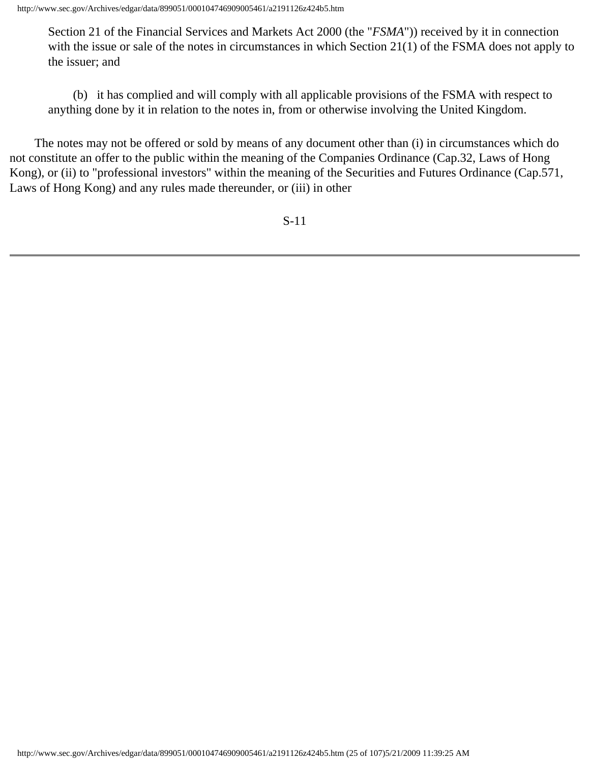Section 21 of the Financial Services and Markets Act 2000 (the "*FSMA*")) received by it in connection with the issue or sale of the notes in circumstances in which Section 21(1) of the FSMA does not apply to the issuer; and

 (b) it has complied and will comply with all applicable provisions of the FSMA with respect to anything done by it in relation to the notes in, from or otherwise involving the United Kingdom.

 The notes may not be offered or sold by means of any document other than (i) in circumstances which do not constitute an offer to the public within the meaning of the Companies Ordinance (Cap.32, Laws of Hong Kong), or (ii) to "professional investors" within the meaning of the Securities and Futures Ordinance (Cap.571, Laws of Hong Kong) and any rules made thereunder, or (iii) in other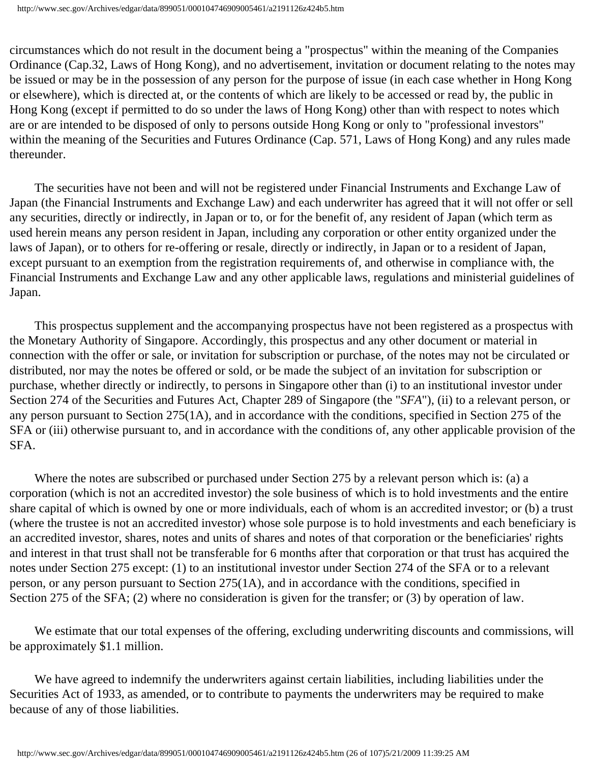circumstances which do not result in the document being a "prospectus" within the meaning of the Companies Ordinance (Cap.32, Laws of Hong Kong), and no advertisement, invitation or document relating to the notes may be issued or may be in the possession of any person for the purpose of issue (in each case whether in Hong Kong or elsewhere), which is directed at, or the contents of which are likely to be accessed or read by, the public in Hong Kong (except if permitted to do so under the laws of Hong Kong) other than with respect to notes which are or are intended to be disposed of only to persons outside Hong Kong or only to "professional investors" within the meaning of the Securities and Futures Ordinance (Cap. 571, Laws of Hong Kong) and any rules made thereunder.

 The securities have not been and will not be registered under Financial Instruments and Exchange Law of Japan (the Financial Instruments and Exchange Law) and each underwriter has agreed that it will not offer or sell any securities, directly or indirectly, in Japan or to, or for the benefit of, any resident of Japan (which term as used herein means any person resident in Japan, including any corporation or other entity organized under the laws of Japan), or to others for re-offering or resale, directly or indirectly, in Japan or to a resident of Japan, except pursuant to an exemption from the registration requirements of, and otherwise in compliance with, the Financial Instruments and Exchange Law and any other applicable laws, regulations and ministerial guidelines of Japan.

 This prospectus supplement and the accompanying prospectus have not been registered as a prospectus with the Monetary Authority of Singapore. Accordingly, this prospectus and any other document or material in connection with the offer or sale, or invitation for subscription or purchase, of the notes may not be circulated or distributed, nor may the notes be offered or sold, or be made the subject of an invitation for subscription or purchase, whether directly or indirectly, to persons in Singapore other than (i) to an institutional investor under Section 274 of the Securities and Futures Act, Chapter 289 of Singapore (the "*SFA*"), (ii) to a relevant person, or any person pursuant to Section 275(1A), and in accordance with the conditions, specified in Section 275 of the SFA or (iii) otherwise pursuant to, and in accordance with the conditions of, any other applicable provision of the SFA.

 Where the notes are subscribed or purchased under Section 275 by a relevant person which is: (a) a corporation (which is not an accredited investor) the sole business of which is to hold investments and the entire share capital of which is owned by one or more individuals, each of whom is an accredited investor; or (b) a trust (where the trustee is not an accredited investor) whose sole purpose is to hold investments and each beneficiary is an accredited investor, shares, notes and units of shares and notes of that corporation or the beneficiaries' rights and interest in that trust shall not be transferable for 6 months after that corporation or that trust has acquired the notes under Section 275 except: (1) to an institutional investor under Section 274 of the SFA or to a relevant person, or any person pursuant to Section 275(1A), and in accordance with the conditions, specified in Section 275 of the SFA; (2) where no consideration is given for the transfer; or (3) by operation of law.

 We estimate that our total expenses of the offering, excluding underwriting discounts and commissions, will be approximately \$1.1 million.

We have agreed to indemnify the underwriters against certain liabilities, including liabilities under the Securities Act of 1933, as amended, or to contribute to payments the underwriters may be required to make because of any of those liabilities.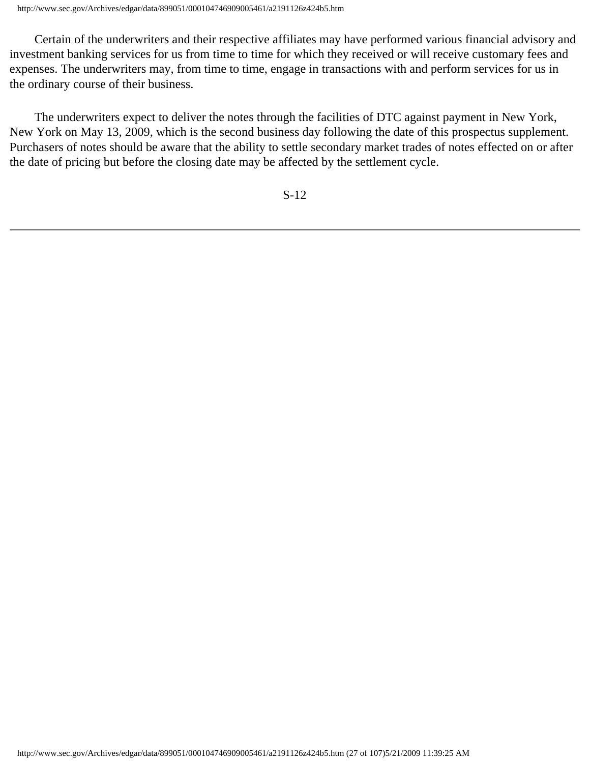Certain of the underwriters and their respective affiliates may have performed various financial advisory and investment banking services for us from time to time for which they received or will receive customary fees and expenses. The underwriters may, from time to time, engage in transactions with and perform services for us in the ordinary course of their business.

 The underwriters expect to deliver the notes through the facilities of DTC against payment in New York, New York on May 13, 2009, which is the second business day following the date of this prospectus supplement. Purchasers of notes should be aware that the ability to settle secondary market trades of notes effected on or after the date of pricing but before the closing date may be affected by the settlement cycle.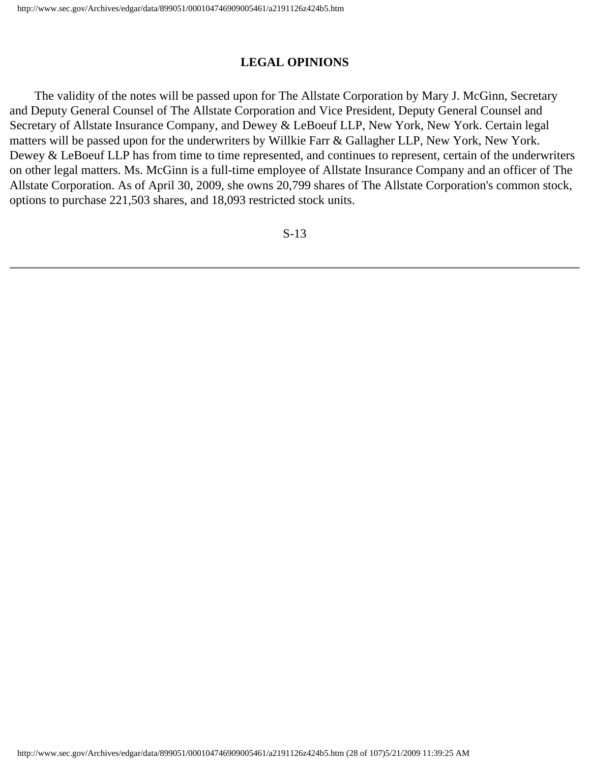# **LEGAL OPINIONS**

 The validity of the notes will be passed upon for The Allstate Corporation by Mary J. McGinn, Secretary and Deputy General Counsel of The Allstate Corporation and Vice President, Deputy General Counsel and Secretary of Allstate Insurance Company, and Dewey & LeBoeuf LLP, New York, New York. Certain legal matters will be passed upon for the underwriters by Willkie Farr & Gallagher LLP, New York, New York. Dewey & LeBoeuf LLP has from time to time represented, and continues to represent, certain of the underwriters on other legal matters. Ms. McGinn is a full-time employee of Allstate Insurance Company and an officer of The Allstate Corporation. As of April 30, 2009, she owns 20,799 shares of The Allstate Corporation's common stock, options to purchase 221,503 shares, and 18,093 restricted stock units.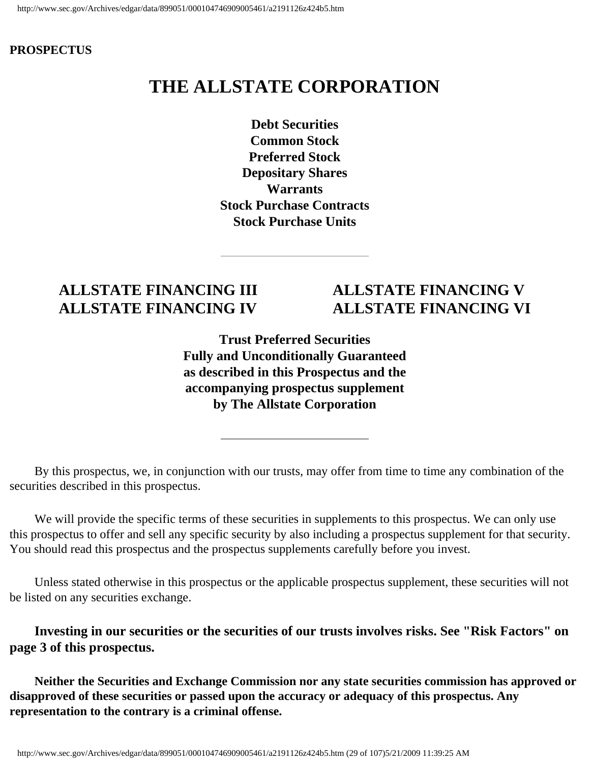#### **PROSPECTUS**

# **THE ALLSTATE CORPORATION**

**Debt Securities Common Stock Preferred Stock Depositary Shares Warrants Stock Purchase Contracts Stock Purchase Units** 

# **ALLSTATE FINANCING III ALLSTATE FINANCING V**

# **ALLSTATE FINANCING IV ALLSTATE FINANCING VI**

**Trust Preferred Securities Fully and Unconditionally Guaranteed as described in this Prospectus and the accompanying prospectus supplement by The Allstate Corporation** 

 By this prospectus, we, in conjunction with our trusts, may offer from time to time any combination of the securities described in this prospectus.

We will provide the specific terms of these securities in supplements to this prospectus. We can only use this prospectus to offer and sell any specific security by also including a prospectus supplement for that security. You should read this prospectus and the prospectus supplements carefully before you invest.

 Unless stated otherwise in this prospectus or the applicable prospectus supplement, these securities will not be listed on any securities exchange.

 **Investing in our securities or the securities of our trusts involves risks. See "Risk Factors" on page 3 of this prospectus.** 

 **Neither the Securities and Exchange Commission nor any state securities commission has approved or disapproved of these securities or passed upon the accuracy or adequacy of this prospectus. Any representation to the contrary is a criminal offense.**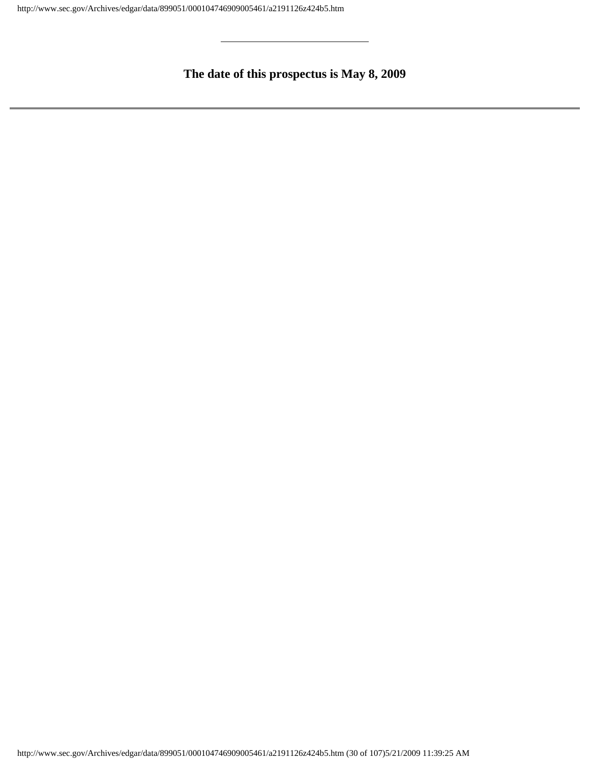# **The date of this prospectus is May 8, 2009**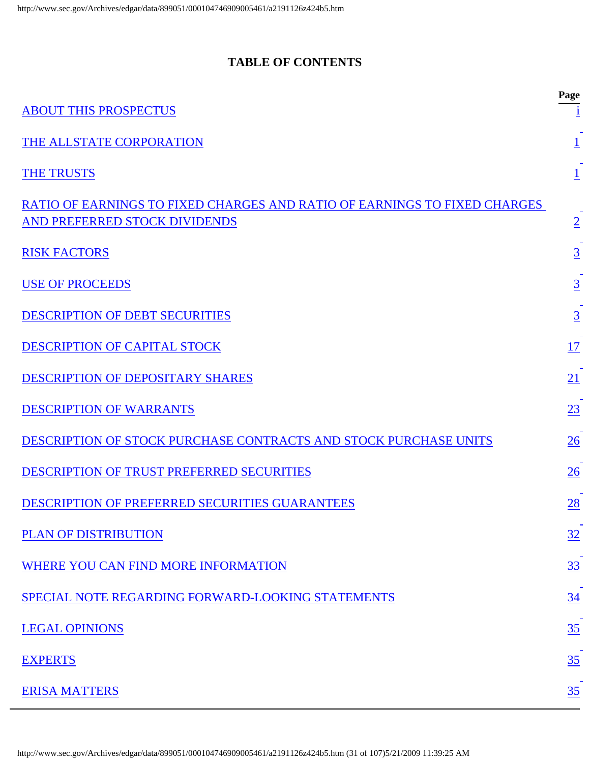# **TABLE OF CONTENTS**

<span id="page-30-0"></span>

| <b>ABOUT THIS PROSPECTUS</b>                                              | Page            |
|---------------------------------------------------------------------------|-----------------|
| THE ALLSTATE CORPORATION                                                  |                 |
| <b>THE TRUSTS</b>                                                         |                 |
| RATIO OF EARNINGS TO FIXED CHARGES AND RATIO OF EARNINGS TO FIXED CHARGES |                 |
| AND PREFERRED STOCK DIVIDENDS                                             | $\overline{2}$  |
| <b>RISK FACTORS</b>                                                       | $\underline{3}$ |
| <b>USE OF PROCEEDS</b>                                                    | $\overline{3}$  |
| <b>DESCRIPTION OF DEBT SECURITIES</b>                                     | $\overline{3}$  |
| <b>DESCRIPTION OF CAPITAL STOCK</b>                                       | 17              |
| DESCRIPTION OF DEPOSITARY SHARES                                          | 21              |
| <b>DESCRIPTION OF WARRANTS</b>                                            | 23              |
| DESCRIPTION OF STOCK PURCHASE CONTRACTS AND STOCK PURCHASE UNITS          | 26              |
| <b>DESCRIPTION OF TRUST PREFERRED SECURITIES</b>                          | $\overline{26}$ |
| <b>DESCRIPTION OF PREFERRED SECURITIES GUARANTEES</b>                     | $\overline{28}$ |
| <b>PLAN OF DISTRIBUTION</b>                                               | 32              |
| WHERE YOU CAN FIND MORE INFORMATION                                       | 33              |
| SPECIAL NOTE REGARDING FORWARD-LOOKING STATEMENTS                         | $\frac{34}{5}$  |
| <b>LEGAL OPINIONS</b>                                                     | 35              |
| <b>EXPERTS</b>                                                            | 35              |
| <b>ERISA MATTERS</b>                                                      | $\frac{35}{5}$  |

http://www.sec.gov/Archives/edgar/data/899051/000104746909005461/a2191126z424b5.htm (31 of 107)5/21/2009 11:39:25 AM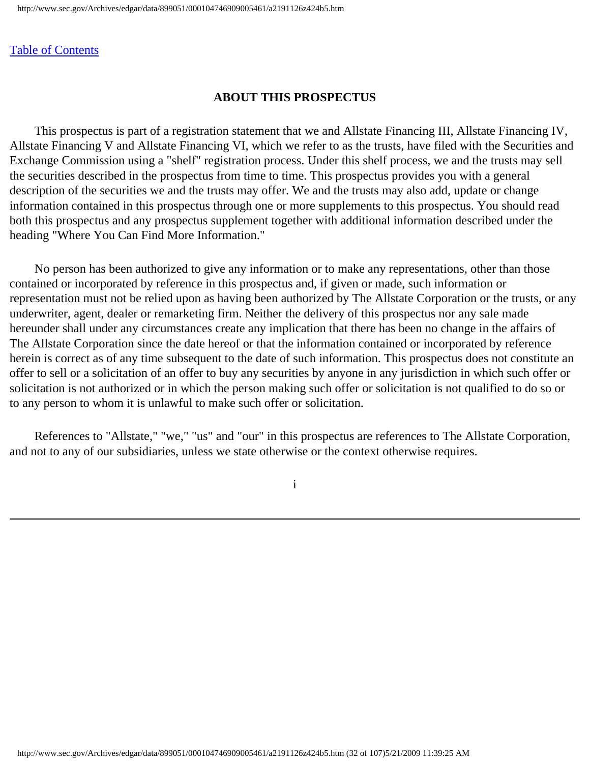<span id="page-31-0"></span>[Table of Contents](#page-0-0)

#### **ABOUT THIS PROSPECTUS**

 This prospectus is part of a registration statement that we and Allstate Financing III, Allstate Financing IV, Allstate Financing V and Allstate Financing VI, which we refer to as the trusts, have filed with the Securities and Exchange Commission using a "shelf" registration process. Under this shelf process, we and the trusts may sell the securities described in the prospectus from time to time. This prospectus provides you with a general description of the securities we and the trusts may offer. We and the trusts may also add, update or change information contained in this prospectus through one or more supplements to this prospectus. You should read both this prospectus and any prospectus supplement together with additional information described under the heading "Where You Can Find More Information."

 No person has been authorized to give any information or to make any representations, other than those contained or incorporated by reference in this prospectus and, if given or made, such information or representation must not be relied upon as having been authorized by The Allstate Corporation or the trusts, or any underwriter, agent, dealer or remarketing firm. Neither the delivery of this prospectus nor any sale made hereunder shall under any circumstances create any implication that there has been no change in the affairs of The Allstate Corporation since the date hereof or that the information contained or incorporated by reference herein is correct as of any time subsequent to the date of such information. This prospectus does not constitute an offer to sell or a solicitation of an offer to buy any securities by anyone in any jurisdiction in which such offer or solicitation is not authorized or in which the person making such offer or solicitation is not qualified to do so or to any person to whom it is unlawful to make such offer or solicitation.

 References to "Allstate," "we," "us" and "our" in this prospectus are references to The Allstate Corporation, and not to any of our subsidiaries, unless we state otherwise or the context otherwise requires.

i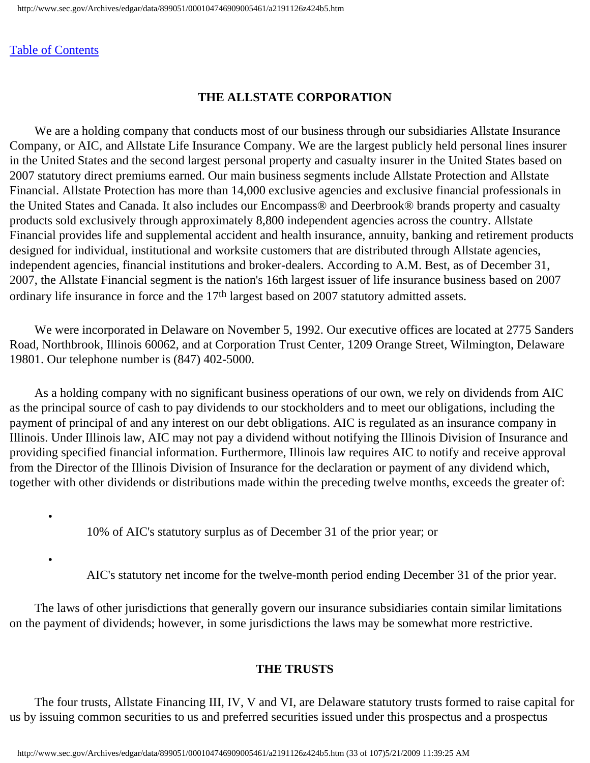#### <span id="page-32-0"></span>[Table of Contents](#page-0-0)

# **THE ALLSTATE CORPORATION**

 We are a holding company that conducts most of our business through our subsidiaries Allstate Insurance Company, or AIC, and Allstate Life Insurance Company. We are the largest publicly held personal lines insurer in the United States and the second largest personal property and casualty insurer in the United States based on 2007 statutory direct premiums earned. Our main business segments include Allstate Protection and Allstate Financial. Allstate Protection has more than 14,000 exclusive agencies and exclusive financial professionals in the United States and Canada. It also includes our Encompass® and Deerbrook® brands property and casualty products sold exclusively through approximately 8,800 independent agencies across the country. Allstate Financial provides life and supplemental accident and health insurance, annuity, banking and retirement products designed for individual, institutional and worksite customers that are distributed through Allstate agencies, independent agencies, financial institutions and broker-dealers. According to A.M. Best, as of December 31, 2007, the Allstate Financial segment is the nation's 16th largest issuer of life insurance business based on 2007 ordinary life insurance in force and the 17<sup>th</sup> largest based on 2007 statutory admitted assets.

 We were incorporated in Delaware on November 5, 1992. Our executive offices are located at 2775 Sanders Road, Northbrook, Illinois 60062, and at Corporation Trust Center, 1209 Orange Street, Wilmington, Delaware 19801. Our telephone number is (847) 402-5000.

 As a holding company with no significant business operations of our own, we rely on dividends from AIC as the principal source of cash to pay dividends to our stockholders and to meet our obligations, including the payment of principal of and any interest on our debt obligations. AIC is regulated as an insurance company in Illinois. Under Illinois law, AIC may not pay a dividend without notifying the Illinois Division of Insurance and providing specified financial information. Furthermore, Illinois law requires AIC to notify and receive approval from the Director of the Illinois Division of Insurance for the declaration or payment of any dividend which, together with other dividends or distributions made within the preceding twelve months, exceeds the greater of:

10% of AIC's statutory surplus as of December 31 of the prior year; or

•

•

AIC's statutory net income for the twelve-month period ending December 31 of the prior year.

 The laws of other jurisdictions that generally govern our insurance subsidiaries contain similar limitations on the payment of dividends; however, in some jurisdictions the laws may be somewhat more restrictive.

# **THE TRUSTS**

<span id="page-32-1"></span> The four trusts, Allstate Financing III, IV, V and VI, are Delaware statutory trusts formed to raise capital for us by issuing common securities to us and preferred securities issued under this prospectus and a prospectus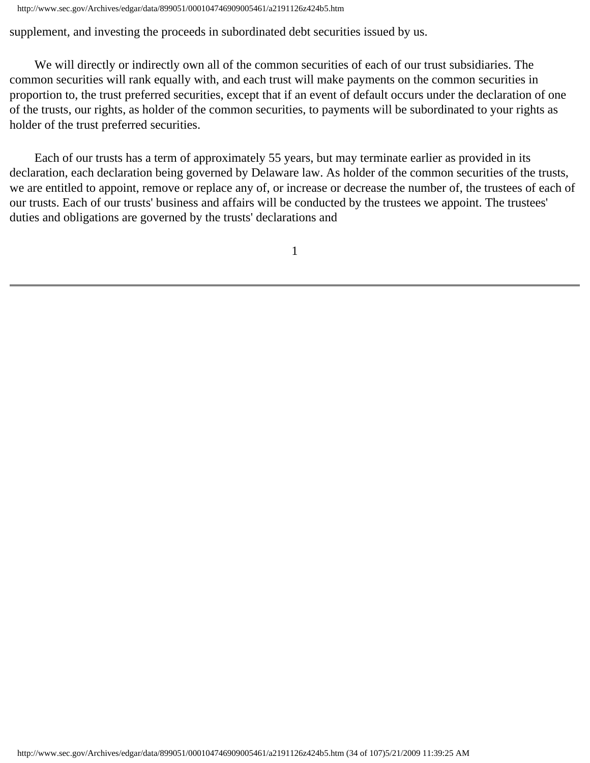supplement, and investing the proceeds in subordinated debt securities issued by us.

 We will directly or indirectly own all of the common securities of each of our trust subsidiaries. The common securities will rank equally with, and each trust will make payments on the common securities in proportion to, the trust preferred securities, except that if an event of default occurs under the declaration of one of the trusts, our rights, as holder of the common securities, to payments will be subordinated to your rights as holder of the trust preferred securities.

 Each of our trusts has a term of approximately 55 years, but may terminate earlier as provided in its declaration, each declaration being governed by Delaware law. As holder of the common securities of the trusts, we are entitled to appoint, remove or replace any of, or increase or decrease the number of, the trustees of each of our trusts. Each of our trusts' business and affairs will be conducted by the trustees we appoint. The trustees' duties and obligations are governed by the trusts' declarations and

1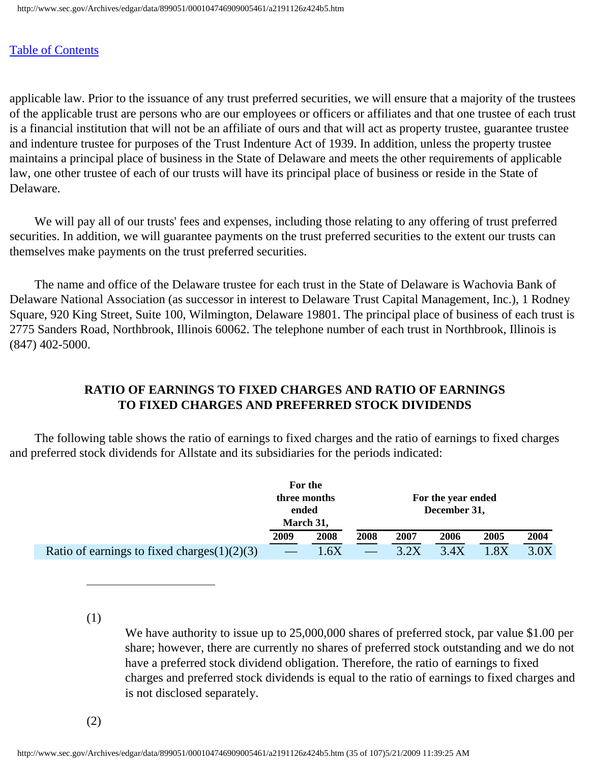#### [Table of Contents](#page-0-0)

applicable law. Prior to the issuance of any trust preferred securities, we will ensure that a majority of the trustees of the applicable trust are persons who are our employees or officers or affiliates and that one trustee of each trust is a financial institution that will not be an affiliate of ours and that will act as property trustee, guarantee trustee and indenture trustee for purposes of the Trust Indenture Act of 1939. In addition, unless the property trustee maintains a principal place of business in the State of Delaware and meets the other requirements of applicable law, one other trustee of each of our trusts will have its principal place of business or reside in the State of Delaware.

 We will pay all of our trusts' fees and expenses, including those relating to any offering of trust preferred securities. In addition, we will guarantee payments on the trust preferred securities to the extent our trusts can themselves make payments on the trust preferred securities.

 The name and office of the Delaware trustee for each trust in the State of Delaware is Wachovia Bank of Delaware National Association (as successor in interest to Delaware Trust Capital Management, Inc.), 1 Rodney Square, 920 King Street, Suite 100, Wilmington, Delaware 19801. The principal place of business of each trust is 2775 Sanders Road, Northbrook, Illinois 60062. The telephone number of each trust in Northbrook, Illinois is (847) 402-5000.

# **RATIO OF EARNINGS TO FIXED CHARGES AND RATIO OF EARNINGS TO FIXED CHARGES AND PREFERRED STOCK DIVIDENDS**

<span id="page-34-0"></span> The following table shows the ratio of earnings to fixed charges and the ratio of earnings to fixed charges and preferred stock dividends for Allstate and its subsidiaries for the periods indicated:

|                                                | For the<br>three months<br>ended |      | For the year ended<br>December 31, |      |      |      |      |  |  |  |
|------------------------------------------------|----------------------------------|------|------------------------------------|------|------|------|------|--|--|--|
|                                                | March 31,                        |      |                                    |      |      |      |      |  |  |  |
|                                                | 2009                             | 2008 | 2008                               | 2007 | 2006 | 2005 | 2004 |  |  |  |
| Ratio of earnings to fixed charges $(1)(2)(3)$ |                                  | .6X  |                                    | 3.2X | 3.4X |      | 3.0X |  |  |  |

(1)

We have authority to issue up to 25,000,000 shares of preferred stock, par value \$1.00 per share; however, there are currently no shares of preferred stock outstanding and we do not have a preferred stock dividend obligation. Therefore, the ratio of earnings to fixed charges and preferred stock dividends is equal to the ratio of earnings to fixed charges and is not disclosed separately.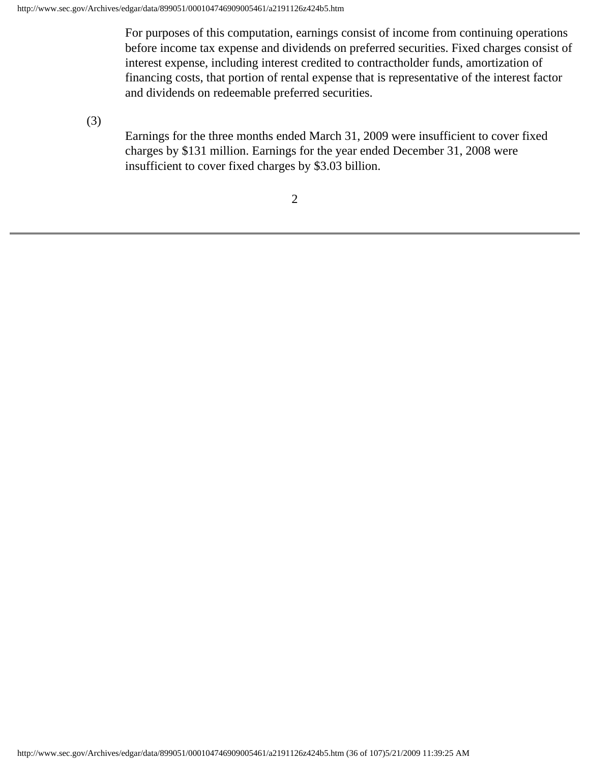For purposes of this computation, earnings consist of income from continuing operations before income tax expense and dividends on preferred securities. Fixed charges consist of interest expense, including interest credited to contractholder funds, amortization of financing costs, that portion of rental expense that is representative of the interest factor and dividends on redeemable preferred securities.

(3)

Earnings for the three months ended March 31, 2009 were insufficient to cover fixed charges by \$131 million. Earnings for the year ended December 31, 2008 were insufficient to cover fixed charges by \$3.03 billion.

2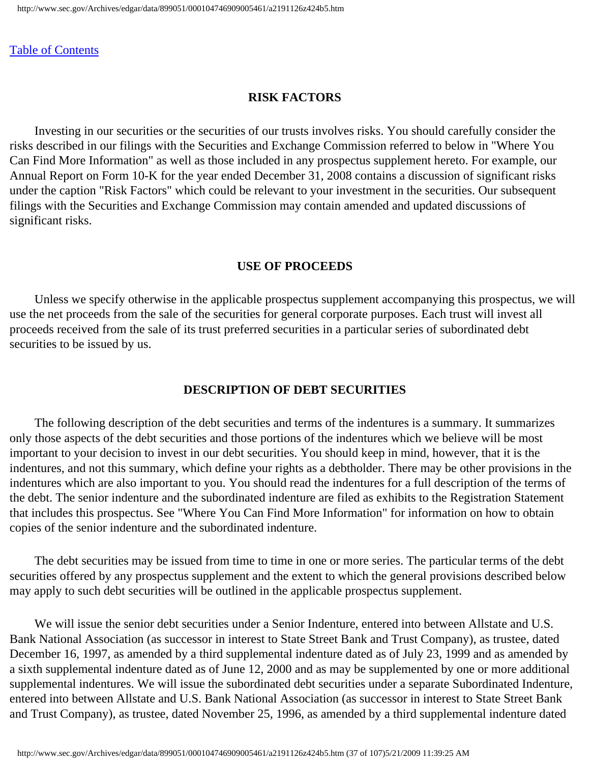#### **RISK FACTORS**

 Investing in our securities or the securities of our trusts involves risks. You should carefully consider the risks described in our filings with the Securities and Exchange Commission referred to below in "Where You Can Find More Information" as well as those included in any prospectus supplement hereto. For example, our Annual Report on Form 10-K for the year ended December 31, 2008 contains a discussion of significant risks under the caption "Risk Factors" which could be relevant to your investment in the securities. Our subsequent filings with the Securities and Exchange Commission may contain amended and updated discussions of significant risks.

#### **USE OF PROCEEDS**

 Unless we specify otherwise in the applicable prospectus supplement accompanying this prospectus, we will use the net proceeds from the sale of the securities for general corporate purposes. Each trust will invest all proceeds received from the sale of its trust preferred securities in a particular series of subordinated debt securities to be issued by us.

#### **DESCRIPTION OF DEBT SECURITIES**

 The following description of the debt securities and terms of the indentures is a summary. It summarizes only those aspects of the debt securities and those portions of the indentures which we believe will be most important to your decision to invest in our debt securities. You should keep in mind, however, that it is the indentures, and not this summary, which define your rights as a debtholder. There may be other provisions in the indentures which are also important to you. You should read the indentures for a full description of the terms of the debt. The senior indenture and the subordinated indenture are filed as exhibits to the Registration Statement that includes this prospectus. See "Where You Can Find More Information" for information on how to obtain copies of the senior indenture and the subordinated indenture.

 The debt securities may be issued from time to time in one or more series. The particular terms of the debt securities offered by any prospectus supplement and the extent to which the general provisions described below may apply to such debt securities will be outlined in the applicable prospectus supplement.

 We will issue the senior debt securities under a Senior Indenture, entered into between Allstate and U.S. Bank National Association (as successor in interest to State Street Bank and Trust Company), as trustee, dated December 16, 1997, as amended by a third supplemental indenture dated as of July 23, 1999 and as amended by a sixth supplemental indenture dated as of June 12, 2000 and as may be supplemented by one or more additional supplemental indentures. We will issue the subordinated debt securities under a separate Subordinated Indenture, entered into between Allstate and U.S. Bank National Association (as successor in interest to State Street Bank and Trust Company), as trustee, dated November 25, 1996, as amended by a third supplemental indenture dated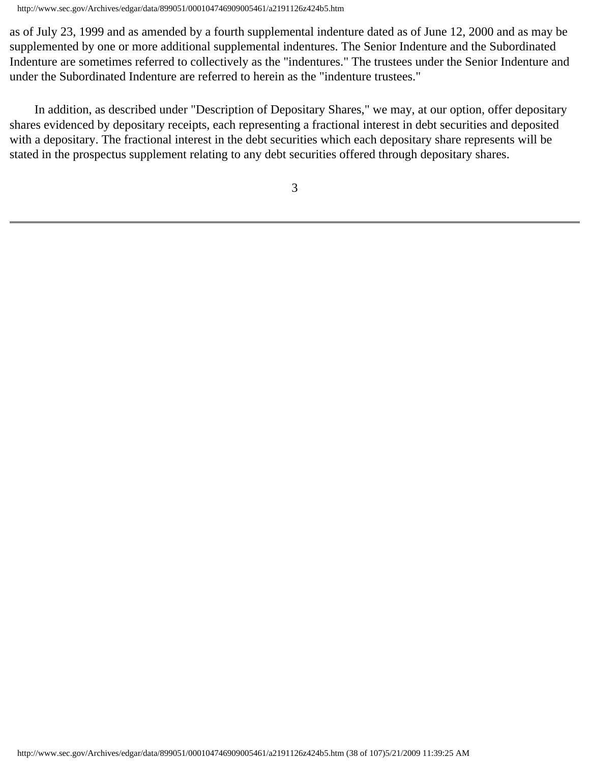http://www.sec.gov/Archives/edgar/data/899051/000104746909005461/a2191126z424b5.htm

as of July 23, 1999 and as amended by a fourth supplemental indenture dated as of June 12, 2000 and as may be supplemented by one or more additional supplemental indentures. The Senior Indenture and the Subordinated Indenture are sometimes referred to collectively as the "indentures." The trustees under the Senior Indenture and under the Subordinated Indenture are referred to herein as the "indenture trustees."

 In addition, as described under "Description of Depositary Shares," we may, at our option, offer depositary shares evidenced by depositary receipts, each representing a fractional interest in debt securities and deposited with a depositary. The fractional interest in the debt securities which each depositary share represents will be stated in the prospectus supplement relating to any debt securities offered through depositary shares.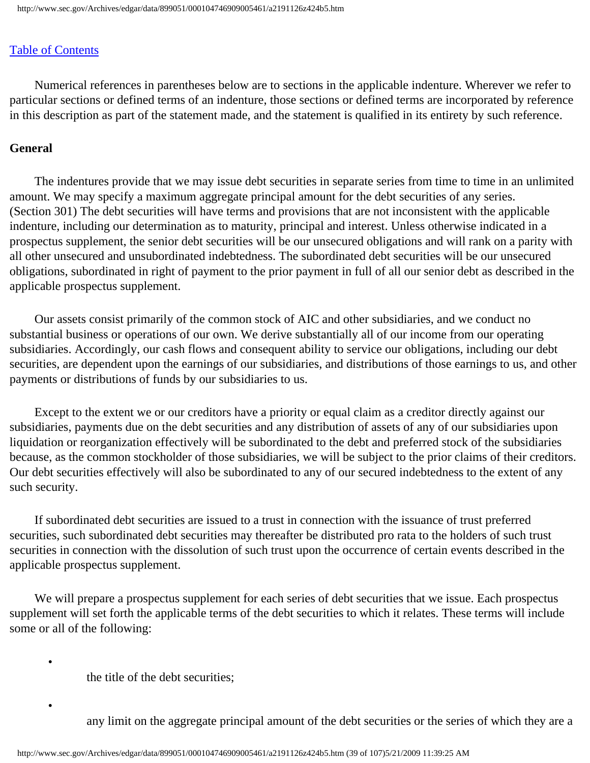Numerical references in parentheses below are to sections in the applicable indenture. Wherever we refer to particular sections or defined terms of an indenture, those sections or defined terms are incorporated by reference in this description as part of the statement made, and the statement is qualified in its entirety by such reference.

#### **General**

 The indentures provide that we may issue debt securities in separate series from time to time in an unlimited amount. We may specify a maximum aggregate principal amount for the debt securities of any series. (Section 301) The debt securities will have terms and provisions that are not inconsistent with the applicable indenture, including our determination as to maturity, principal and interest. Unless otherwise indicated in a prospectus supplement, the senior debt securities will be our unsecured obligations and will rank on a parity with all other unsecured and unsubordinated indebtedness. The subordinated debt securities will be our unsecured obligations, subordinated in right of payment to the prior payment in full of all our senior debt as described in the applicable prospectus supplement.

 Our assets consist primarily of the common stock of AIC and other subsidiaries, and we conduct no substantial business or operations of our own. We derive substantially all of our income from our operating subsidiaries. Accordingly, our cash flows and consequent ability to service our obligations, including our debt securities, are dependent upon the earnings of our subsidiaries, and distributions of those earnings to us, and other payments or distributions of funds by our subsidiaries to us.

 Except to the extent we or our creditors have a priority or equal claim as a creditor directly against our subsidiaries, payments due on the debt securities and any distribution of assets of any of our subsidiaries upon liquidation or reorganization effectively will be subordinated to the debt and preferred stock of the subsidiaries because, as the common stockholder of those subsidiaries, we will be subject to the prior claims of their creditors. Our debt securities effectively will also be subordinated to any of our secured indebtedness to the extent of any such security.

 If subordinated debt securities are issued to a trust in connection with the issuance of trust preferred securities, such subordinated debt securities may thereafter be distributed pro rata to the holders of such trust securities in connection with the dissolution of such trust upon the occurrence of certain events described in the applicable prospectus supplement.

We will prepare a prospectus supplement for each series of debt securities that we issue. Each prospectus supplement will set forth the applicable terms of the debt securities to which it relates. These terms will include some or all of the following:

the title of the debt securities;

•

•

any limit on the aggregate principal amount of the debt securities or the series of which they are a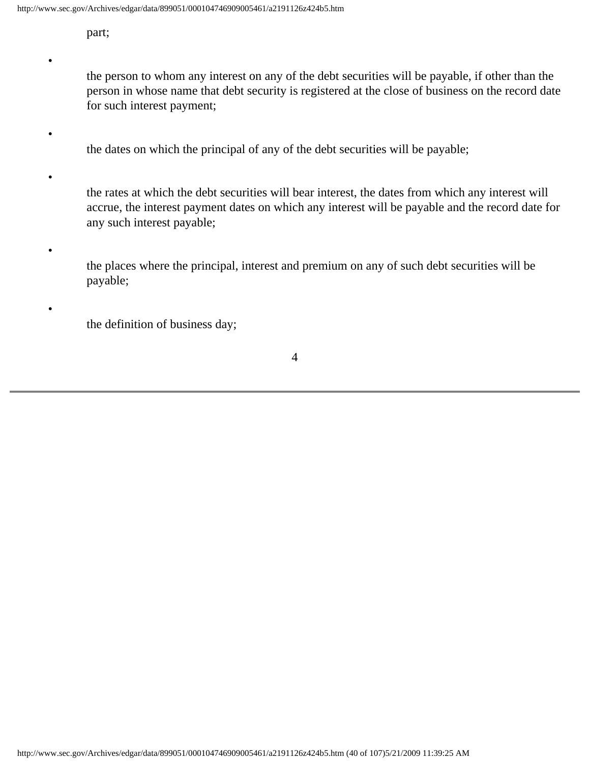part;

•

•

•

•

•

the person to whom any interest on any of the debt securities will be payable, if other than the person in whose name that debt security is registered at the close of business on the record date for such interest payment;

the dates on which the principal of any of the debt securities will be payable;

the rates at which the debt securities will bear interest, the dates from which any interest will accrue, the interest payment dates on which any interest will be payable and the record date for any such interest payable;

the places where the principal, interest and premium on any of such debt securities will be payable;

the definition of business day;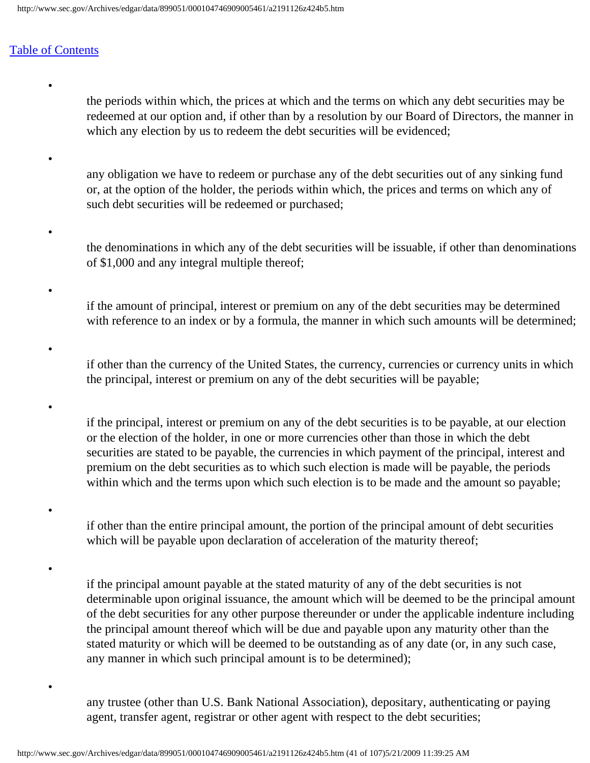•

•

•

•

•

•

•

•

•

the periods within which, the prices at which and the terms on which any debt securities may be redeemed at our option and, if other than by a resolution by our Board of Directors, the manner in which any election by us to redeem the debt securities will be evidenced;

- any obligation we have to redeem or purchase any of the debt securities out of any sinking fund or, at the option of the holder, the periods within which, the prices and terms on which any of such debt securities will be redeemed or purchased;
- the denominations in which any of the debt securities will be issuable, if other than denominations of \$1,000 and any integral multiple thereof;
- if the amount of principal, interest or premium on any of the debt securities may be determined with reference to an index or by a formula, the manner in which such amounts will be determined;
- if other than the currency of the United States, the currency, currencies or currency units in which the principal, interest or premium on any of the debt securities will be payable;
	- if the principal, interest or premium on any of the debt securities is to be payable, at our election or the election of the holder, in one or more currencies other than those in which the debt securities are stated to be payable, the currencies in which payment of the principal, interest and premium on the debt securities as to which such election is made will be payable, the periods within which and the terms upon which such election is to be made and the amount so payable;
		- if other than the entire principal amount, the portion of the principal amount of debt securities which will be payable upon declaration of acceleration of the maturity thereof;

if the principal amount payable at the stated maturity of any of the debt securities is not determinable upon original issuance, the amount which will be deemed to be the principal amount of the debt securities for any other purpose thereunder or under the applicable indenture including the principal amount thereof which will be due and payable upon any maturity other than the stated maturity or which will be deemed to be outstanding as of any date (or, in any such case, any manner in which such principal amount is to be determined);

any trustee (other than U.S. Bank National Association), depositary, authenticating or paying agent, transfer agent, registrar or other agent with respect to the debt securities;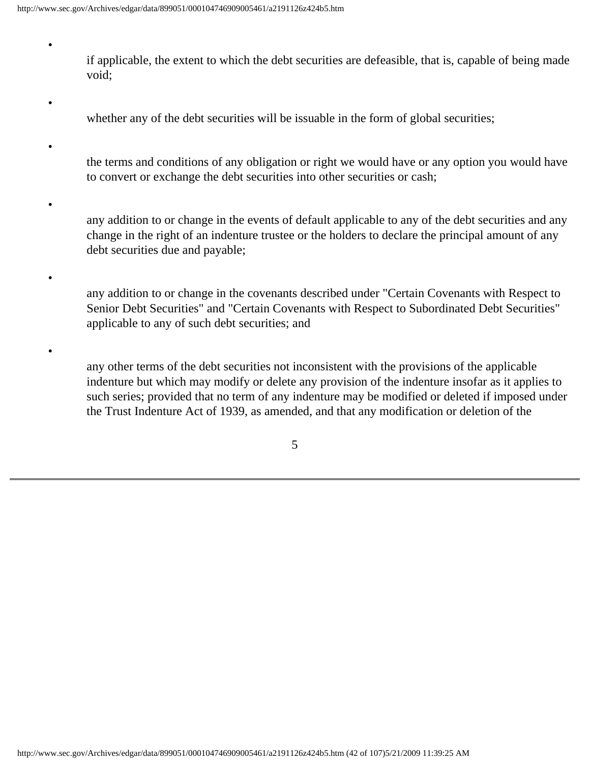•

•

•

•

•

•

if applicable, the extent to which the debt securities are defeasible, that is, capable of being made void;

- whether any of the debt securities will be issuable in the form of global securities;
- the terms and conditions of any obligation or right we would have or any option you would have to convert or exchange the debt securities into other securities or cash;
- any addition to or change in the events of default applicable to any of the debt securities and any change in the right of an indenture trustee or the holders to declare the principal amount of any debt securities due and payable;
	- any addition to or change in the covenants described under "Certain Covenants with Respect to Senior Debt Securities" and "Certain Covenants with Respect to Subordinated Debt Securities" applicable to any of such debt securities; and
	- any other terms of the debt securities not inconsistent with the provisions of the applicable indenture but which may modify or delete any provision of the indenture insofar as it applies to such series; provided that no term of any indenture may be modified or deleted if imposed under the Trust Indenture Act of 1939, as amended, and that any modification or deletion of the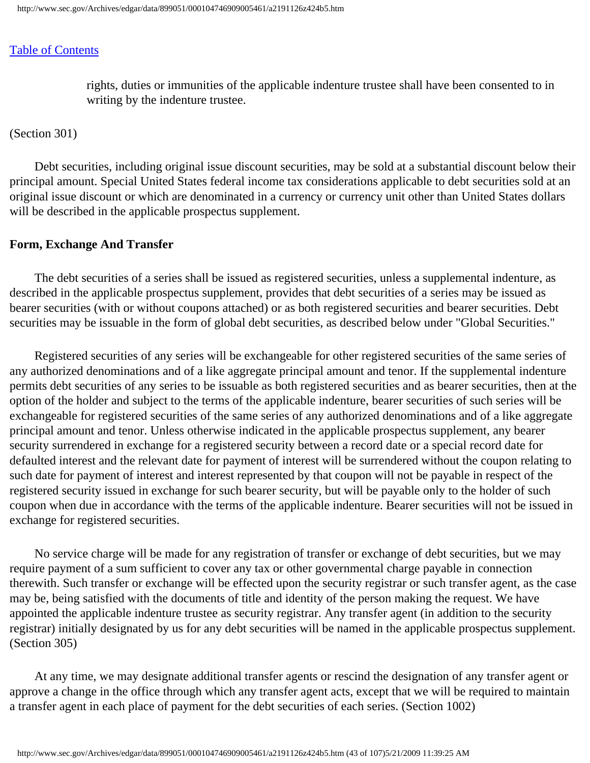rights, duties or immunities of the applicable indenture trustee shall have been consented to in writing by the indenture trustee.

(Section 301)

 Debt securities, including original issue discount securities, may be sold at a substantial discount below their principal amount. Special United States federal income tax considerations applicable to debt securities sold at an original issue discount or which are denominated in a currency or currency unit other than United States dollars will be described in the applicable prospectus supplement.

#### **Form, Exchange And Transfer**

 The debt securities of a series shall be issued as registered securities, unless a supplemental indenture, as described in the applicable prospectus supplement, provides that debt securities of a series may be issued as bearer securities (with or without coupons attached) or as both registered securities and bearer securities. Debt securities may be issuable in the form of global debt securities, as described below under "Global Securities."

 Registered securities of any series will be exchangeable for other registered securities of the same series of any authorized denominations and of a like aggregate principal amount and tenor. If the supplemental indenture permits debt securities of any series to be issuable as both registered securities and as bearer securities, then at the option of the holder and subject to the terms of the applicable indenture, bearer securities of such series will be exchangeable for registered securities of the same series of any authorized denominations and of a like aggregate principal amount and tenor. Unless otherwise indicated in the applicable prospectus supplement, any bearer security surrendered in exchange for a registered security between a record date or a special record date for defaulted interest and the relevant date for payment of interest will be surrendered without the coupon relating to such date for payment of interest and interest represented by that coupon will not be payable in respect of the registered security issued in exchange for such bearer security, but will be payable only to the holder of such coupon when due in accordance with the terms of the applicable indenture. Bearer securities will not be issued in exchange for registered securities.

 No service charge will be made for any registration of transfer or exchange of debt securities, but we may require payment of a sum sufficient to cover any tax or other governmental charge payable in connection therewith. Such transfer or exchange will be effected upon the security registrar or such transfer agent, as the case may be, being satisfied with the documents of title and identity of the person making the request. We have appointed the applicable indenture trustee as security registrar. Any transfer agent (in addition to the security registrar) initially designated by us for any debt securities will be named in the applicable prospectus supplement. (Section 305)

 At any time, we may designate additional transfer agents or rescind the designation of any transfer agent or approve a change in the office through which any transfer agent acts, except that we will be required to maintain a transfer agent in each place of payment for the debt securities of each series. (Section 1002)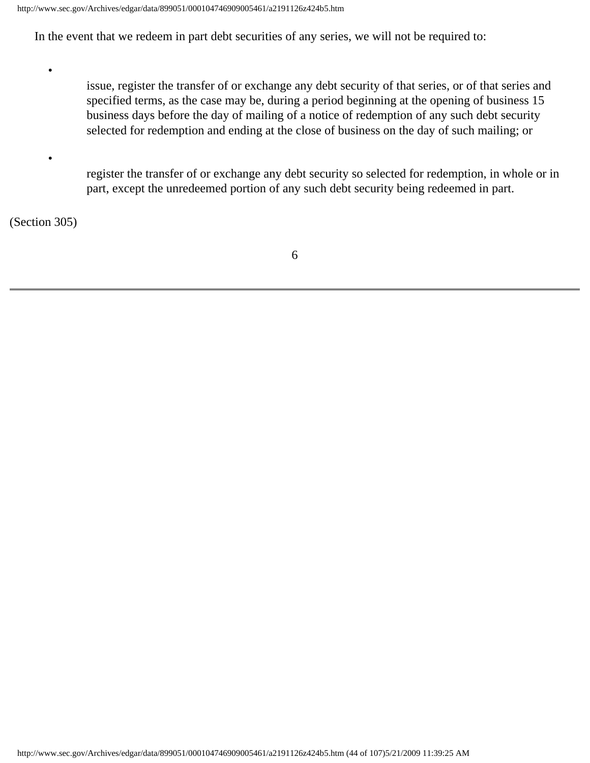In the event that we redeem in part debt securities of any series, we will not be required to:

issue, register the transfer of or exchange any debt security of that series, or of that series and specified terms, as the case may be, during a period beginning at the opening of business 15 business days before the day of mailing of a notice of redemption of any such debt security selected for redemption and ending at the close of business on the day of such mailing; or

register the transfer of or exchange any debt security so selected for redemption, in whole or in part, except the unredeemed portion of any such debt security being redeemed in part.

(Section 305)

•

•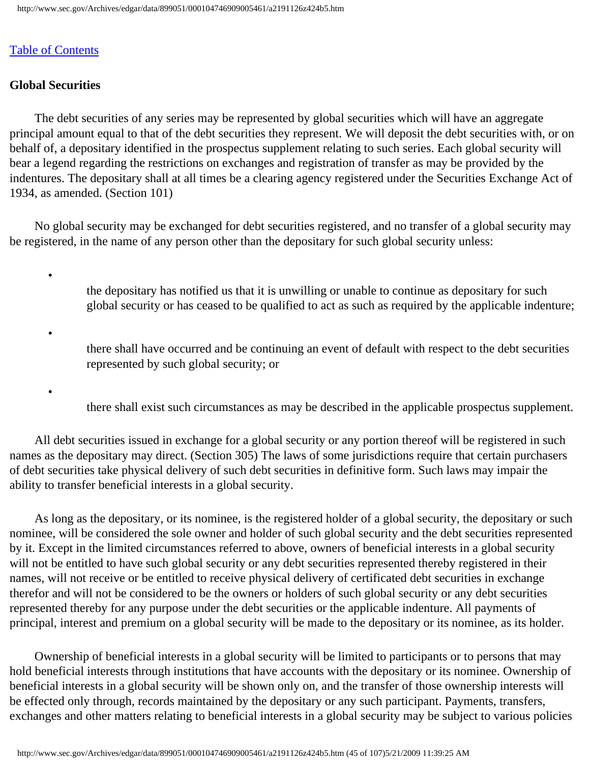## **Global Securities**

•

•

•

 The debt securities of any series may be represented by global securities which will have an aggregate principal amount equal to that of the debt securities they represent. We will deposit the debt securities with, or on behalf of, a depositary identified in the prospectus supplement relating to such series. Each global security will bear a legend regarding the restrictions on exchanges and registration of transfer as may be provided by the indentures. The depositary shall at all times be a clearing agency registered under the Securities Exchange Act of 1934, as amended. (Section 101)

 No global security may be exchanged for debt securities registered, and no transfer of a global security may be registered, in the name of any person other than the depositary for such global security unless:

> the depositary has notified us that it is unwilling or unable to continue as depositary for such global security or has ceased to be qualified to act as such as required by the applicable indenture;

there shall have occurred and be continuing an event of default with respect to the debt securities represented by such global security; or

there shall exist such circumstances as may be described in the applicable prospectus supplement.

 All debt securities issued in exchange for a global security or any portion thereof will be registered in such names as the depositary may direct. (Section 305) The laws of some jurisdictions require that certain purchasers of debt securities take physical delivery of such debt securities in definitive form. Such laws may impair the ability to transfer beneficial interests in a global security.

 As long as the depositary, or its nominee, is the registered holder of a global security, the depositary or such nominee, will be considered the sole owner and holder of such global security and the debt securities represented by it. Except in the limited circumstances referred to above, owners of beneficial interests in a global security will not be entitled to have such global security or any debt securities represented thereby registered in their names, will not receive or be entitled to receive physical delivery of certificated debt securities in exchange therefor and will not be considered to be the owners or holders of such global security or any debt securities represented thereby for any purpose under the debt securities or the applicable indenture. All payments of principal, interest and premium on a global security will be made to the depositary or its nominee, as its holder.

 Ownership of beneficial interests in a global security will be limited to participants or to persons that may hold beneficial interests through institutions that have accounts with the depositary or its nominee. Ownership of beneficial interests in a global security will be shown only on, and the transfer of those ownership interests will be effected only through, records maintained by the depositary or any such participant. Payments, transfers, exchanges and other matters relating to beneficial interests in a global security may be subject to various policies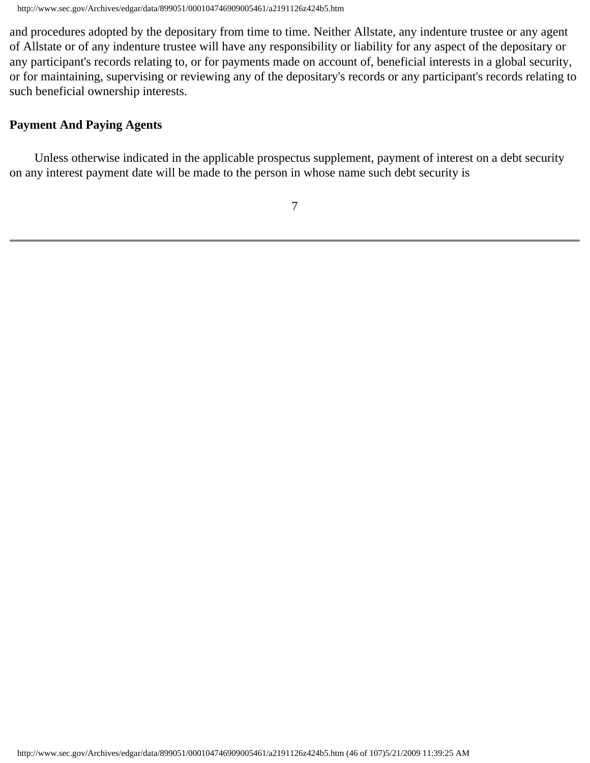http://www.sec.gov/Archives/edgar/data/899051/000104746909005461/a2191126z424b5.htm

and procedures adopted by the depositary from time to time. Neither Allstate, any indenture trustee or any agent of Allstate or of any indenture trustee will have any responsibility or liability for any aspect of the depositary or any participant's records relating to, or for payments made on account of, beneficial interests in a global security, or for maintaining, supervising or reviewing any of the depositary's records or any participant's records relating to such beneficial ownership interests.

## **Payment And Paying Agents**

 Unless otherwise indicated in the applicable prospectus supplement, payment of interest on a debt security on any interest payment date will be made to the person in whose name such debt security is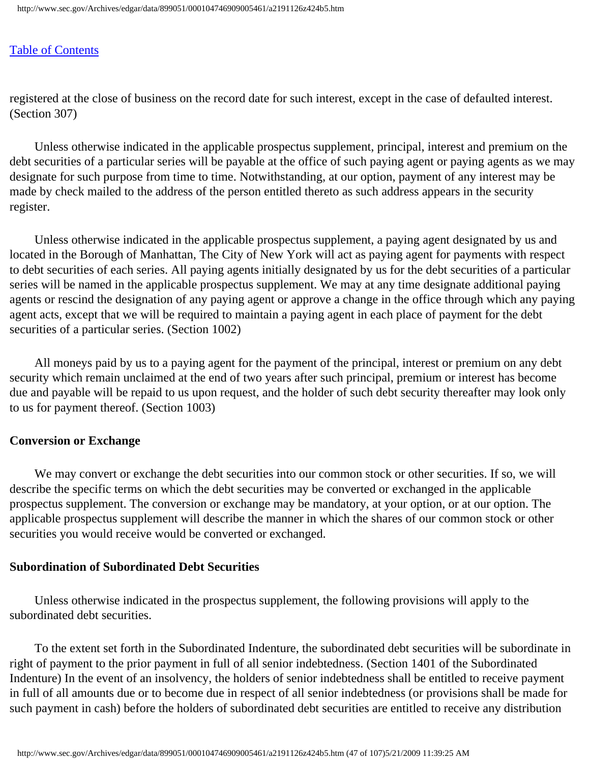registered at the close of business on the record date for such interest, except in the case of defaulted interest. (Section 307)

 Unless otherwise indicated in the applicable prospectus supplement, principal, interest and premium on the debt securities of a particular series will be payable at the office of such paying agent or paying agents as we may designate for such purpose from time to time. Notwithstanding, at our option, payment of any interest may be made by check mailed to the address of the person entitled thereto as such address appears in the security register.

 Unless otherwise indicated in the applicable prospectus supplement, a paying agent designated by us and located in the Borough of Manhattan, The City of New York will act as paying agent for payments with respect to debt securities of each series. All paying agents initially designated by us for the debt securities of a particular series will be named in the applicable prospectus supplement. We may at any time designate additional paying agents or rescind the designation of any paying agent or approve a change in the office through which any paying agent acts, except that we will be required to maintain a paying agent in each place of payment for the debt securities of a particular series. (Section 1002)

 All moneys paid by us to a paying agent for the payment of the principal, interest or premium on any debt security which remain unclaimed at the end of two years after such principal, premium or interest has become due and payable will be repaid to us upon request, and the holder of such debt security thereafter may look only to us for payment thereof. (Section 1003)

#### **Conversion or Exchange**

We may convert or exchange the debt securities into our common stock or other securities. If so, we will describe the specific terms on which the debt securities may be converted or exchanged in the applicable prospectus supplement. The conversion or exchange may be mandatory, at your option, or at our option. The applicable prospectus supplement will describe the manner in which the shares of our common stock or other securities you would receive would be converted or exchanged.

#### **Subordination of Subordinated Debt Securities**

 Unless otherwise indicated in the prospectus supplement, the following provisions will apply to the subordinated debt securities.

 To the extent set forth in the Subordinated Indenture, the subordinated debt securities will be subordinate in right of payment to the prior payment in full of all senior indebtedness. (Section 1401 of the Subordinated Indenture) In the event of an insolvency, the holders of senior indebtedness shall be entitled to receive payment in full of all amounts due or to become due in respect of all senior indebtedness (or provisions shall be made for such payment in cash) before the holders of subordinated debt securities are entitled to receive any distribution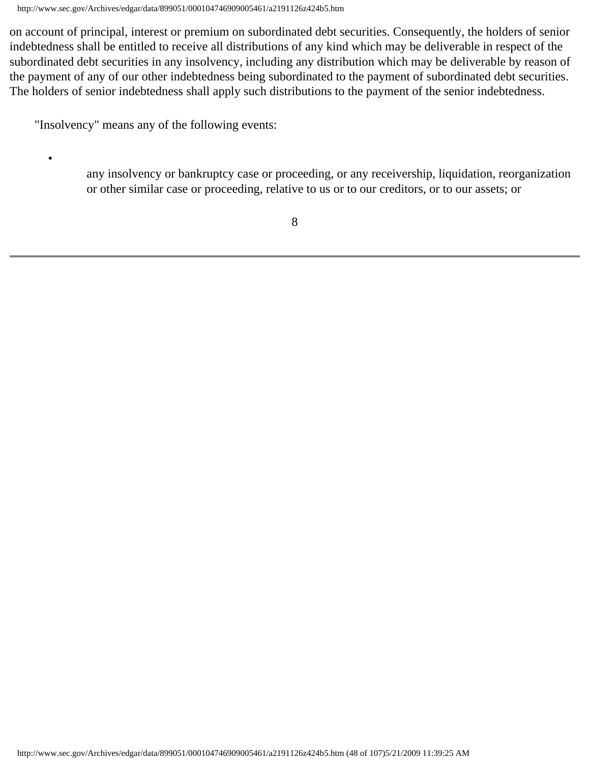http://www.sec.gov/Archives/edgar/data/899051/000104746909005461/a2191126z424b5.htm

on account of principal, interest or premium on subordinated debt securities. Consequently, the holders of senior indebtedness shall be entitled to receive all distributions of any kind which may be deliverable in respect of the subordinated debt securities in any insolvency, including any distribution which may be deliverable by reason of the payment of any of our other indebtedness being subordinated to the payment of subordinated debt securities. The holders of senior indebtedness shall apply such distributions to the payment of the senior indebtedness.

"Insolvency" means any of the following events:

•

any insolvency or bankruptcy case or proceeding, or any receivership, liquidation, reorganization or other similar case or proceeding, relative to us or to our creditors, or to our assets; or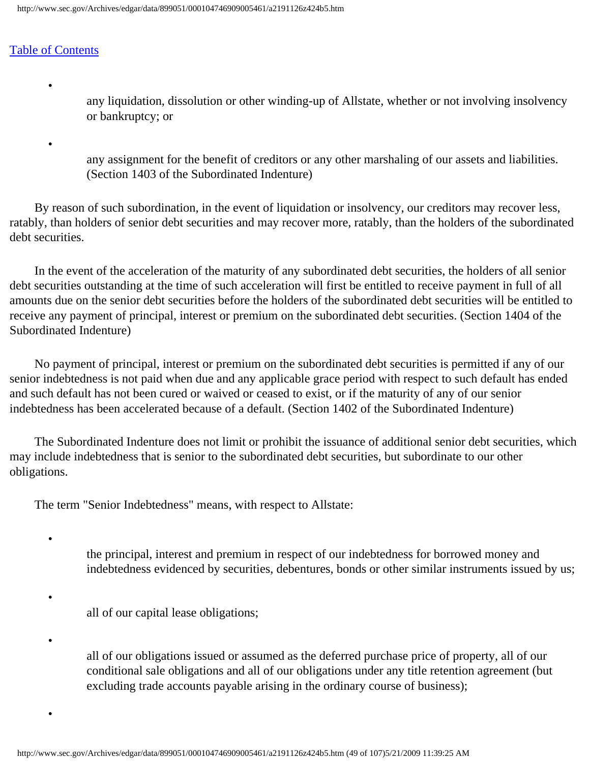•

•

•

•

•

•

any liquidation, dissolution or other winding-up of Allstate, whether or not involving insolvency or bankruptcy; or

any assignment for the benefit of creditors or any other marshaling of our assets and liabilities. (Section 1403 of the Subordinated Indenture)

 By reason of such subordination, in the event of liquidation or insolvency, our creditors may recover less, ratably, than holders of senior debt securities and may recover more, ratably, than the holders of the subordinated debt securities.

 In the event of the acceleration of the maturity of any subordinated debt securities, the holders of all senior debt securities outstanding at the time of such acceleration will first be entitled to receive payment in full of all amounts due on the senior debt securities before the holders of the subordinated debt securities will be entitled to receive any payment of principal, interest or premium on the subordinated debt securities. (Section 1404 of the Subordinated Indenture)

 No payment of principal, interest or premium on the subordinated debt securities is permitted if any of our senior indebtedness is not paid when due and any applicable grace period with respect to such default has ended and such default has not been cured or waived or ceased to exist, or if the maturity of any of our senior indebtedness has been accelerated because of a default. (Section 1402 of the Subordinated Indenture)

 The Subordinated Indenture does not limit or prohibit the issuance of additional senior debt securities, which may include indebtedness that is senior to the subordinated debt securities, but subordinate to our other obligations.

The term "Senior Indebtedness" means, with respect to Allstate:

the principal, interest and premium in respect of our indebtedness for borrowed money and indebtedness evidenced by securities, debentures, bonds or other similar instruments issued by us;

all of our capital lease obligations;

all of our obligations issued or assumed as the deferred purchase price of property, all of our conditional sale obligations and all of our obligations under any title retention agreement (but excluding trade accounts payable arising in the ordinary course of business);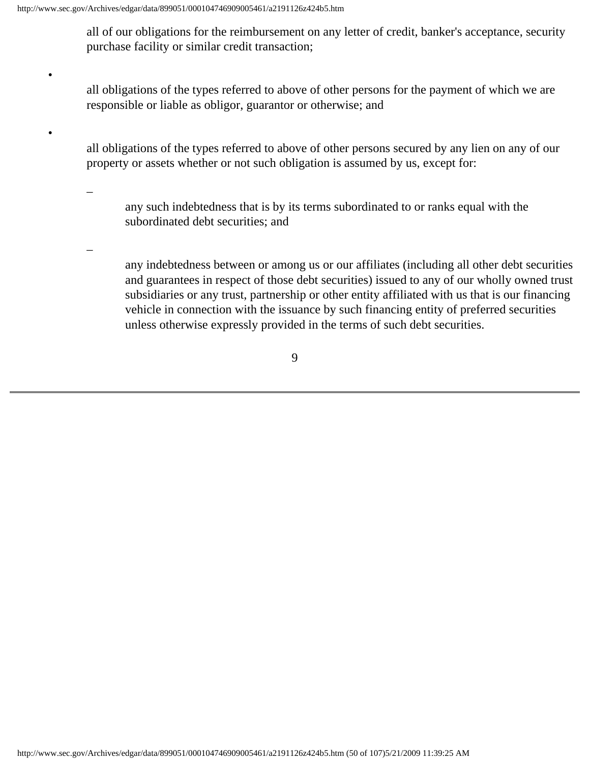all of our obligations for the reimbursement on any letter of credit, banker's acceptance, security purchase facility or similar credit transaction;

all obligations of the types referred to above of other persons for the payment of which we are responsible or liable as obligor, guarantor or otherwise; and

all obligations of the types referred to above of other persons secured by any lien on any of our property or assets whether or not such obligation is assumed by us, except for:

–

•

•

any such indebtedness that is by its terms subordinated to or ranks equal with the subordinated debt securities; and

–

any indebtedness between or among us or our affiliates (including all other debt securities and guarantees in respect of those debt securities) issued to any of our wholly owned trust subsidiaries or any trust, partnership or other entity affiliated with us that is our financing vehicle in connection with the issuance by such financing entity of preferred securities unless otherwise expressly provided in the terms of such debt securities.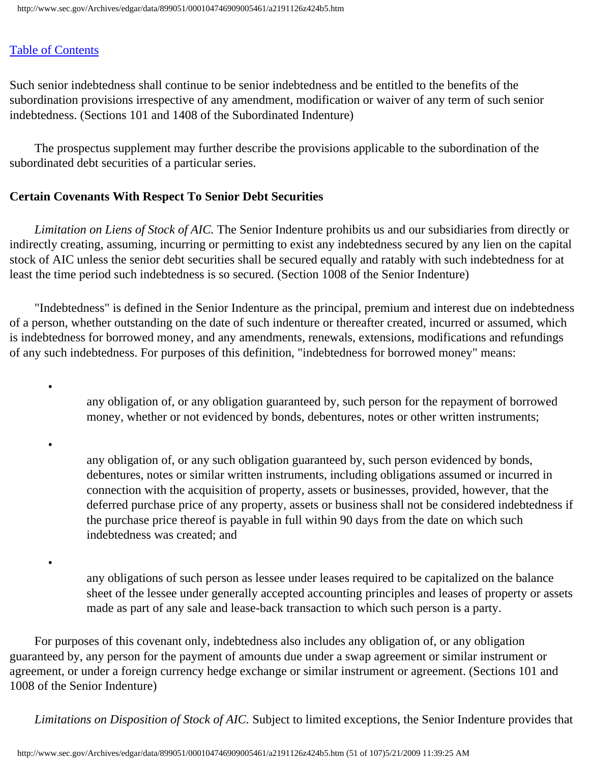•

•

•

Such senior indebtedness shall continue to be senior indebtedness and be entitled to the benefits of the subordination provisions irrespective of any amendment, modification or waiver of any term of such senior indebtedness. (Sections 101 and 1408 of the Subordinated Indenture)

 The prospectus supplement may further describe the provisions applicable to the subordination of the subordinated debt securities of a particular series.

# **Certain Covenants With Respect To Senior Debt Securities**

 *Limitation on Liens of Stock of AIC.* The Senior Indenture prohibits us and our subsidiaries from directly or indirectly creating, assuming, incurring or permitting to exist any indebtedness secured by any lien on the capital stock of AIC unless the senior debt securities shall be secured equally and ratably with such indebtedness for at least the time period such indebtedness is so secured. (Section 1008 of the Senior Indenture)

 "Indebtedness" is defined in the Senior Indenture as the principal, premium and interest due on indebtedness of a person, whether outstanding on the date of such indenture or thereafter created, incurred or assumed, which is indebtedness for borrowed money, and any amendments, renewals, extensions, modifications and refundings of any such indebtedness. For purposes of this definition, "indebtedness for borrowed money" means:

> any obligation of, or any obligation guaranteed by, such person for the repayment of borrowed money, whether or not evidenced by bonds, debentures, notes or other written instruments;

any obligation of, or any such obligation guaranteed by, such person evidenced by bonds, debentures, notes or similar written instruments, including obligations assumed or incurred in connection with the acquisition of property, assets or businesses, provided, however, that the deferred purchase price of any property, assets or business shall not be considered indebtedness if the purchase price thereof is payable in full within 90 days from the date on which such indebtedness was created; and

any obligations of such person as lessee under leases required to be capitalized on the balance sheet of the lessee under generally accepted accounting principles and leases of property or assets made as part of any sale and lease-back transaction to which such person is a party.

 For purposes of this covenant only, indebtedness also includes any obligation of, or any obligation guaranteed by, any person for the payment of amounts due under a swap agreement or similar instrument or agreement, or under a foreign currency hedge exchange or similar instrument or agreement. (Sections 101 and 1008 of the Senior Indenture)

*Limitations on Disposition of Stock of AIC.* Subject to limited exceptions, the Senior Indenture provides that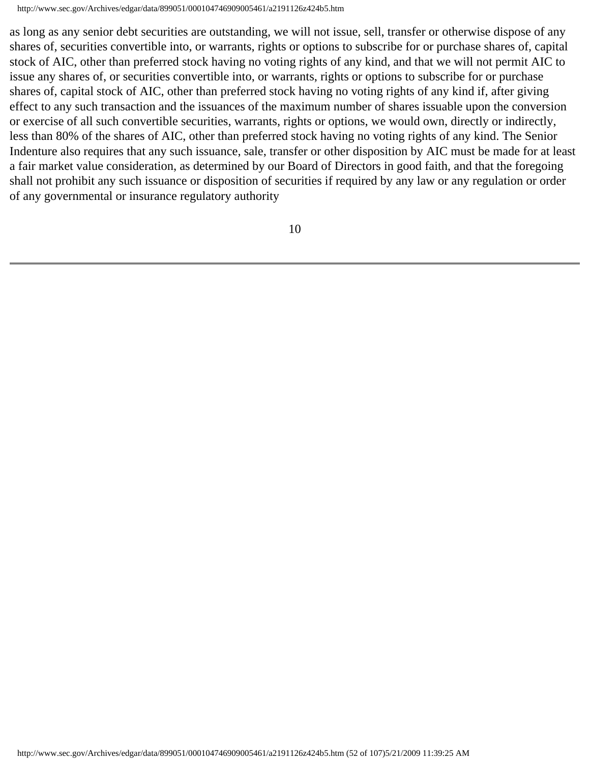http://www.sec.gov/Archives/edgar/data/899051/000104746909005461/a2191126z424b5.htm

as long as any senior debt securities are outstanding, we will not issue, sell, transfer or otherwise dispose of any shares of, securities convertible into, or warrants, rights or options to subscribe for or purchase shares of, capital stock of AIC, other than preferred stock having no voting rights of any kind, and that we will not permit AIC to issue any shares of, or securities convertible into, or warrants, rights or options to subscribe for or purchase shares of, capital stock of AIC, other than preferred stock having no voting rights of any kind if, after giving effect to any such transaction and the issuances of the maximum number of shares issuable upon the conversion or exercise of all such convertible securities, warrants, rights or options, we would own, directly or indirectly, less than 80% of the shares of AIC, other than preferred stock having no voting rights of any kind. The Senior Indenture also requires that any such issuance, sale, transfer or other disposition by AIC must be made for at least a fair market value consideration, as determined by our Board of Directors in good faith, and that the foregoing shall not prohibit any such issuance or disposition of securities if required by any law or any regulation or order of any governmental or insurance regulatory authority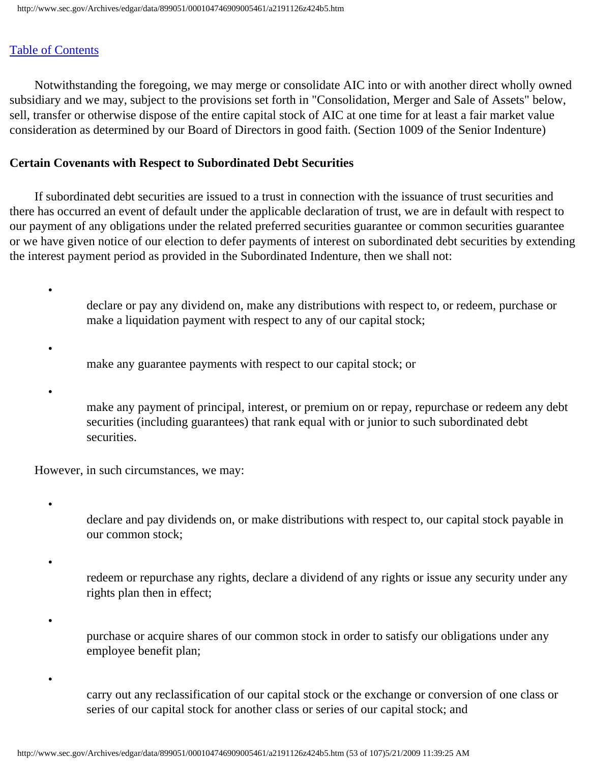Notwithstanding the foregoing, we may merge or consolidate AIC into or with another direct wholly owned subsidiary and we may, subject to the provisions set forth in "Consolidation, Merger and Sale of Assets" below, sell, transfer or otherwise dispose of the entire capital stock of AIC at one time for at least a fair market value consideration as determined by our Board of Directors in good faith. (Section 1009 of the Senior Indenture)

## **Certain Covenants with Respect to Subordinated Debt Securities**

 If subordinated debt securities are issued to a trust in connection with the issuance of trust securities and there has occurred an event of default under the applicable declaration of trust, we are in default with respect to our payment of any obligations under the related preferred securities guarantee or common securities guarantee or we have given notice of our election to defer payments of interest on subordinated debt securities by extending the interest payment period as provided in the Subordinated Indenture, then we shall not:

- declare or pay any dividend on, make any distributions with respect to, or redeem, purchase or make a liquidation payment with respect to any of our capital stock;
- make any guarantee payments with respect to our capital stock; or
- •

•

•

•

•

•

make any payment of principal, interest, or premium on or repay, repurchase or redeem any debt securities (including guarantees) that rank equal with or junior to such subordinated debt securities.

However, in such circumstances, we may:

- declare and pay dividends on, or make distributions with respect to, our capital stock payable in our common stock;
	- redeem or repurchase any rights, declare a dividend of any rights or issue any security under any rights plan then in effect;
	- purchase or acquire shares of our common stock in order to satisfy our obligations under any employee benefit plan;
		- carry out any reclassification of our capital stock or the exchange or conversion of one class or series of our capital stock for another class or series of our capital stock; and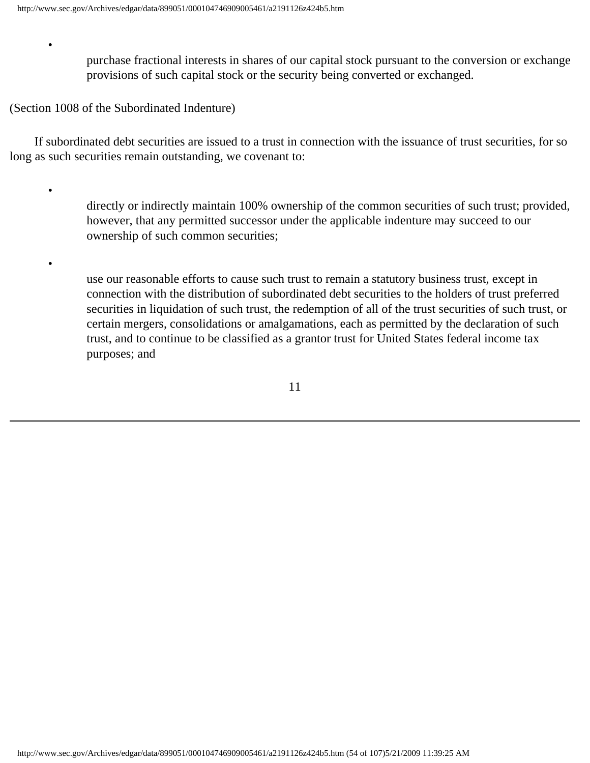purchase fractional interests in shares of our capital stock pursuant to the conversion or exchange provisions of such capital stock or the security being converted or exchanged.

(Section 1008 of the Subordinated Indenture)

•

•

•

 If subordinated debt securities are issued to a trust in connection with the issuance of trust securities, for so long as such securities remain outstanding, we covenant to:

> directly or indirectly maintain 100% ownership of the common securities of such trust; provided, however, that any permitted successor under the applicable indenture may succeed to our ownership of such common securities;

> use our reasonable efforts to cause such trust to remain a statutory business trust, except in connection with the distribution of subordinated debt securities to the holders of trust preferred securities in liquidation of such trust, the redemption of all of the trust securities of such trust, or certain mergers, consolidations or amalgamations, each as permitted by the declaration of such trust, and to continue to be classified as a grantor trust for United States federal income tax purposes; and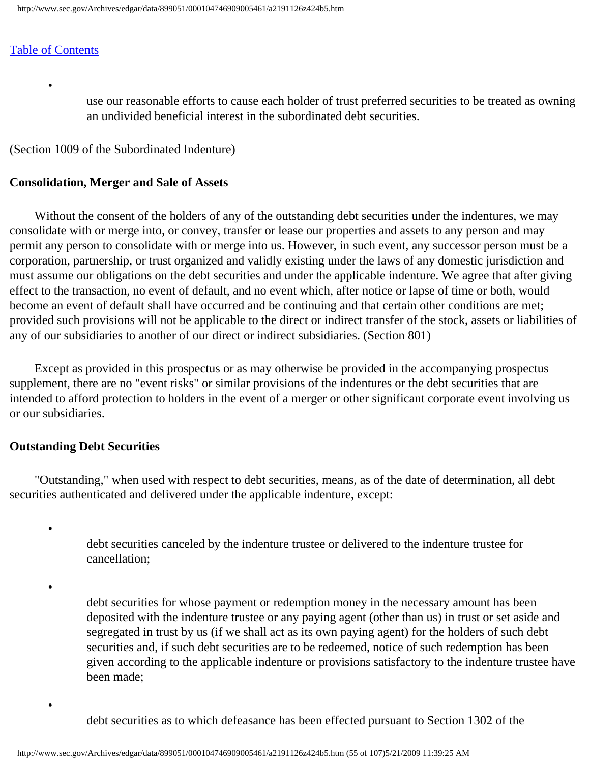•

use our reasonable efforts to cause each holder of trust preferred securities to be treated as owning an undivided beneficial interest in the subordinated debt securities.

(Section 1009 of the Subordinated Indenture)

#### **Consolidation, Merger and Sale of Assets**

 Without the consent of the holders of any of the outstanding debt securities under the indentures, we may consolidate with or merge into, or convey, transfer or lease our properties and assets to any person and may permit any person to consolidate with or merge into us. However, in such event, any successor person must be a corporation, partnership, or trust organized and validly existing under the laws of any domestic jurisdiction and must assume our obligations on the debt securities and under the applicable indenture. We agree that after giving effect to the transaction, no event of default, and no event which, after notice or lapse of time or both, would become an event of default shall have occurred and be continuing and that certain other conditions are met; provided such provisions will not be applicable to the direct or indirect transfer of the stock, assets or liabilities of any of our subsidiaries to another of our direct or indirect subsidiaries. (Section 801)

 Except as provided in this prospectus or as may otherwise be provided in the accompanying prospectus supplement, there are no "event risks" or similar provisions of the indentures or the debt securities that are intended to afford protection to holders in the event of a merger or other significant corporate event involving us or our subsidiaries.

#### **Outstanding Debt Securities**

•

•

•

 "Outstanding," when used with respect to debt securities, means, as of the date of determination, all debt securities authenticated and delivered under the applicable indenture, except:

> debt securities canceled by the indenture trustee or delivered to the indenture trustee for cancellation;

debt securities for whose payment or redemption money in the necessary amount has been deposited with the indenture trustee or any paying agent (other than us) in trust or set aside and segregated in trust by us (if we shall act as its own paying agent) for the holders of such debt securities and, if such debt securities are to be redeemed, notice of such redemption has been given according to the applicable indenture or provisions satisfactory to the indenture trustee have been made;

debt securities as to which defeasance has been effected pursuant to Section 1302 of the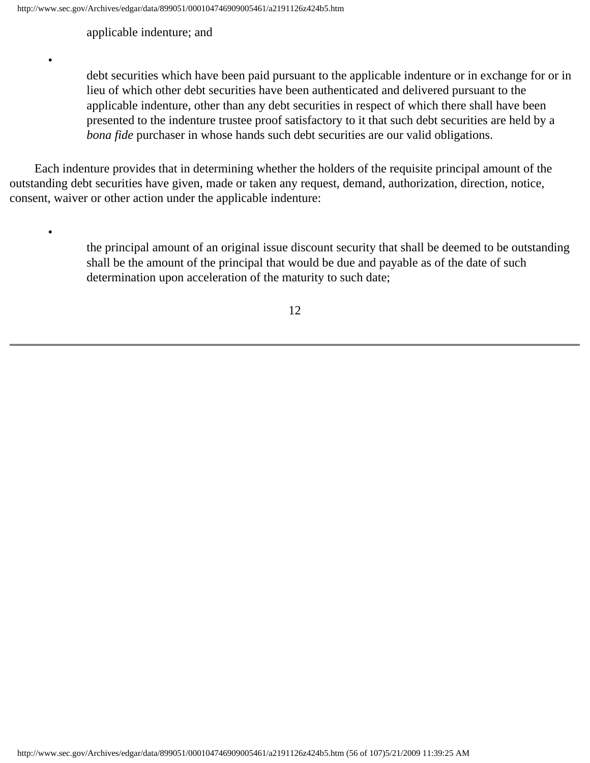applicable indenture; and

•

•

debt securities which have been paid pursuant to the applicable indenture or in exchange for or in lieu of which other debt securities have been authenticated and delivered pursuant to the applicable indenture, other than any debt securities in respect of which there shall have been presented to the indenture trustee proof satisfactory to it that such debt securities are held by a *bona fide* purchaser in whose hands such debt securities are our valid obligations.

 Each indenture provides that in determining whether the holders of the requisite principal amount of the outstanding debt securities have given, made or taken any request, demand, authorization, direction, notice, consent, waiver or other action under the applicable indenture:

> the principal amount of an original issue discount security that shall be deemed to be outstanding shall be the amount of the principal that would be due and payable as of the date of such determination upon acceleration of the maturity to such date;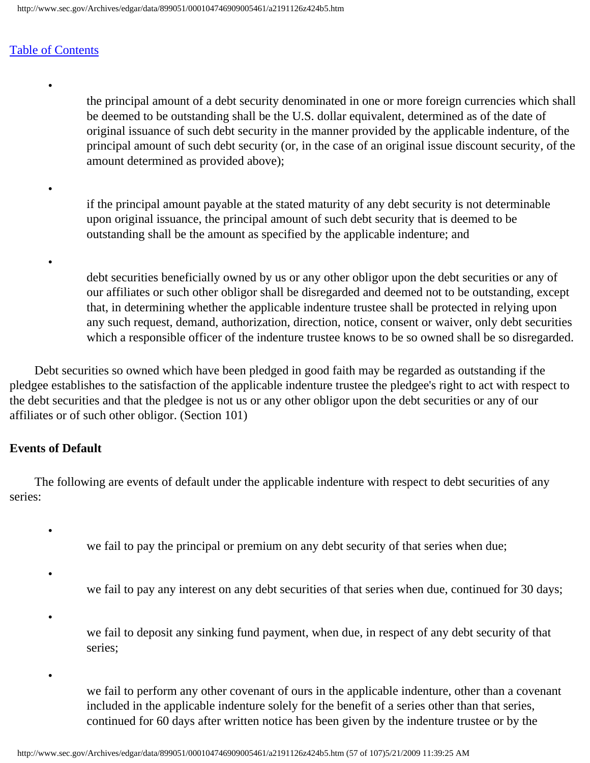•

•

•

the principal amount of a debt security denominated in one or more foreign currencies which shall be deemed to be outstanding shall be the U.S. dollar equivalent, determined as of the date of original issuance of such debt security in the manner provided by the applicable indenture, of the principal amount of such debt security (or, in the case of an original issue discount security, of the amount determined as provided above);

if the principal amount payable at the stated maturity of any debt security is not determinable upon original issuance, the principal amount of such debt security that is deemed to be outstanding shall be the amount as specified by the applicable indenture; and

debt securities beneficially owned by us or any other obligor upon the debt securities or any of our affiliates or such other obligor shall be disregarded and deemed not to be outstanding, except that, in determining whether the applicable indenture trustee shall be protected in relying upon any such request, demand, authorization, direction, notice, consent or waiver, only debt securities which a responsible officer of the indenture trustee knows to be so owned shall be so disregarded.

 Debt securities so owned which have been pledged in good faith may be regarded as outstanding if the pledgee establishes to the satisfaction of the applicable indenture trustee the pledgee's right to act with respect to the debt securities and that the pledgee is not us or any other obligor upon the debt securities or any of our affiliates or of such other obligor. (Section 101)

#### **Events of Default**

•

•

•

 The following are events of default under the applicable indenture with respect to debt securities of any series:

we fail to pay the principal or premium on any debt security of that series when due;

- we fail to pay any interest on any debt securities of that series when due, continued for 30 days;
- we fail to deposit any sinking fund payment, when due, in respect of any debt security of that series;

•

we fail to perform any other covenant of ours in the applicable indenture, other than a covenant included in the applicable indenture solely for the benefit of a series other than that series, continued for 60 days after written notice has been given by the indenture trustee or by the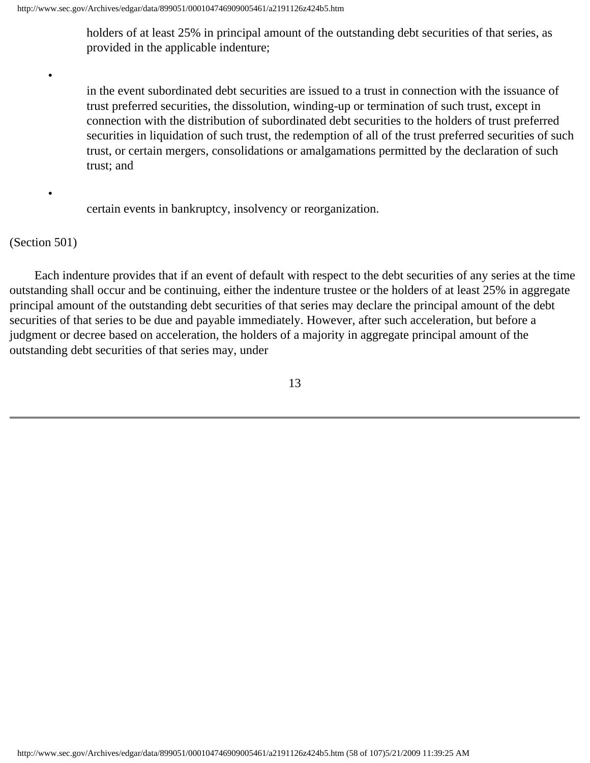holders of at least 25% in principal amount of the outstanding debt securities of that series, as provided in the applicable indenture;

in the event subordinated debt securities are issued to a trust in connection with the issuance of trust preferred securities, the dissolution, winding-up or termination of such trust, except in connection with the distribution of subordinated debt securities to the holders of trust preferred securities in liquidation of such trust, the redemption of all of the trust preferred securities of such trust, or certain mergers, consolidations or amalgamations permitted by the declaration of such trust; and

certain events in bankruptcy, insolvency or reorganization.

#### (Section 501)

•

•

 Each indenture provides that if an event of default with respect to the debt securities of any series at the time outstanding shall occur and be continuing, either the indenture trustee or the holders of at least 25% in aggregate principal amount of the outstanding debt securities of that series may declare the principal amount of the debt securities of that series to be due and payable immediately. However, after such acceleration, but before a judgment or decree based on acceleration, the holders of a majority in aggregate principal amount of the outstanding debt securities of that series may, under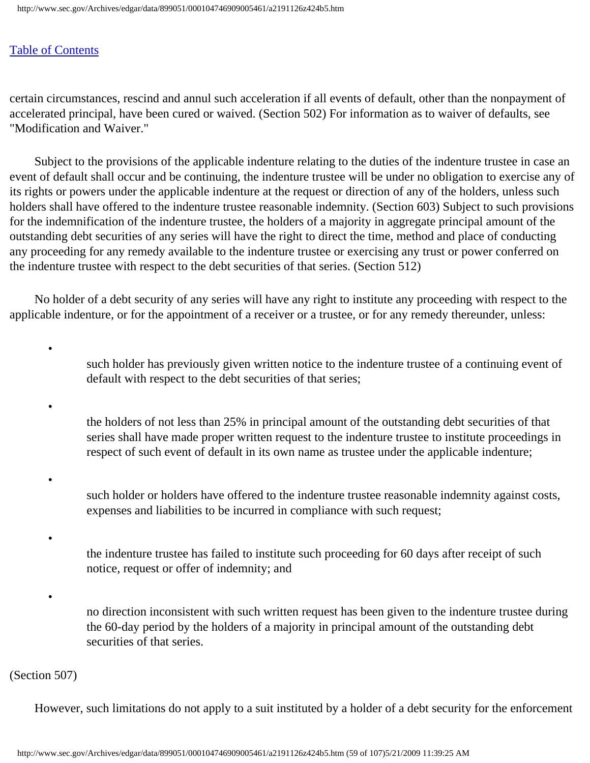•

•

•

•

certain circumstances, rescind and annul such acceleration if all events of default, other than the nonpayment of accelerated principal, have been cured or waived. (Section 502) For information as to waiver of defaults, see "Modification and Waiver."

 Subject to the provisions of the applicable indenture relating to the duties of the indenture trustee in case an event of default shall occur and be continuing, the indenture trustee will be under no obligation to exercise any of its rights or powers under the applicable indenture at the request or direction of any of the holders, unless such holders shall have offered to the indenture trustee reasonable indemnity. (Section 603) Subject to such provisions for the indemnification of the indenture trustee, the holders of a majority in aggregate principal amount of the outstanding debt securities of any series will have the right to direct the time, method and place of conducting any proceeding for any remedy available to the indenture trustee or exercising any trust or power conferred on the indenture trustee with respect to the debt securities of that series. (Section 512)

 No holder of a debt security of any series will have any right to institute any proceeding with respect to the applicable indenture, or for the appointment of a receiver or a trustee, or for any remedy thereunder, unless:

> such holder has previously given written notice to the indenture trustee of a continuing event of default with respect to the debt securities of that series;

> the holders of not less than 25% in principal amount of the outstanding debt securities of that series shall have made proper written request to the indenture trustee to institute proceedings in respect of such event of default in its own name as trustee under the applicable indenture;

• such holder or holders have offered to the indenture trustee reasonable indemnity against costs, expenses and liabilities to be incurred in compliance with such request;

the indenture trustee has failed to institute such proceeding for 60 days after receipt of such notice, request or offer of indemnity; and

no direction inconsistent with such written request has been given to the indenture trustee during the 60-day period by the holders of a majority in principal amount of the outstanding debt securities of that series.

(Section 507)

However, such limitations do not apply to a suit instituted by a holder of a debt security for the enforcement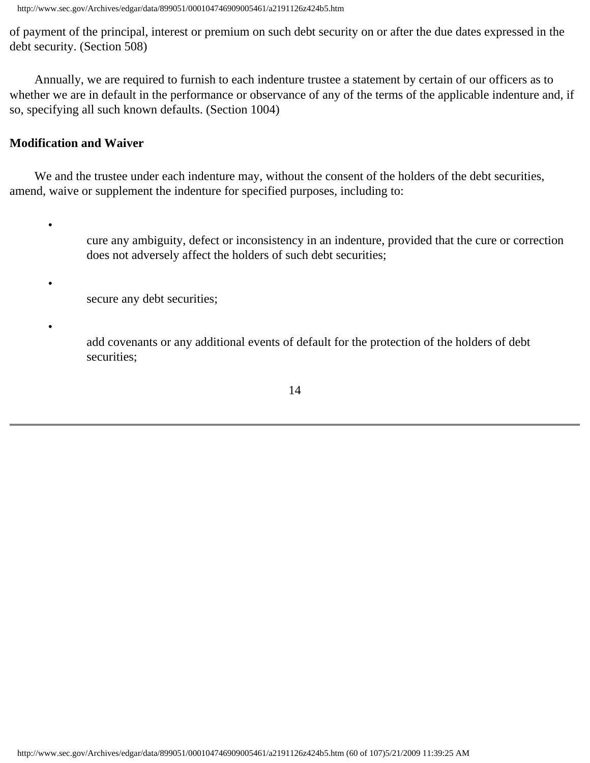http://www.sec.gov/Archives/edgar/data/899051/000104746909005461/a2191126z424b5.htm

of payment of the principal, interest or premium on such debt security on or after the due dates expressed in the debt security. (Section 508)

 Annually, we are required to furnish to each indenture trustee a statement by certain of our officers as to whether we are in default in the performance or observance of any of the terms of the applicable indenture and, if so, specifying all such known defaults. (Section 1004)

# **Modification and Waiver**

•

•

•

 We and the trustee under each indenture may, without the consent of the holders of the debt securities, amend, waive or supplement the indenture for specified purposes, including to:

> cure any ambiguity, defect or inconsistency in an indenture, provided that the cure or correction does not adversely affect the holders of such debt securities;

secure any debt securities;

add covenants or any additional events of default for the protection of the holders of debt securities;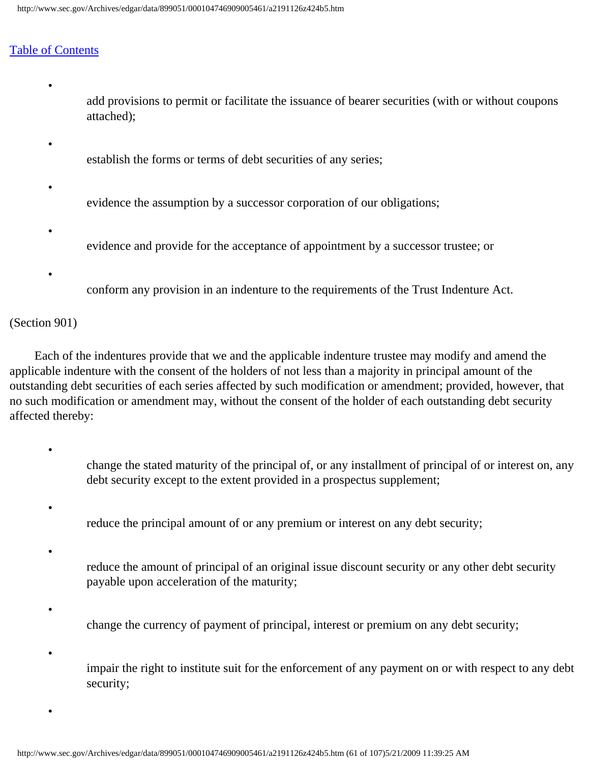•

•

•

•

•

add provisions to permit or facilitate the issuance of bearer securities (with or without coupons attached);

- establish the forms or terms of debt securities of any series;
- evidence the assumption by a successor corporation of our obligations;
- evidence and provide for the acceptance of appointment by a successor trustee; or
- conform any provision in an indenture to the requirements of the Trust Indenture Act.

#### (Section 901)

•

•

•

•

 Each of the indentures provide that we and the applicable indenture trustee may modify and amend the applicable indenture with the consent of the holders of not less than a majority in principal amount of the outstanding debt securities of each series affected by such modification or amendment; provided, however, that no such modification or amendment may, without the consent of the holder of each outstanding debt security affected thereby:

- change the stated maturity of the principal of, or any installment of principal of or interest on, any debt security except to the extent provided in a prospectus supplement;
- reduce the principal amount of or any premium or interest on any debt security;
- reduce the amount of principal of an original issue discount security or any other debt security payable upon acceleration of the maturity;
	- change the currency of payment of principal, interest or premium on any debt security;
	- impair the right to institute suit for the enforcement of any payment on or with respect to any debt security;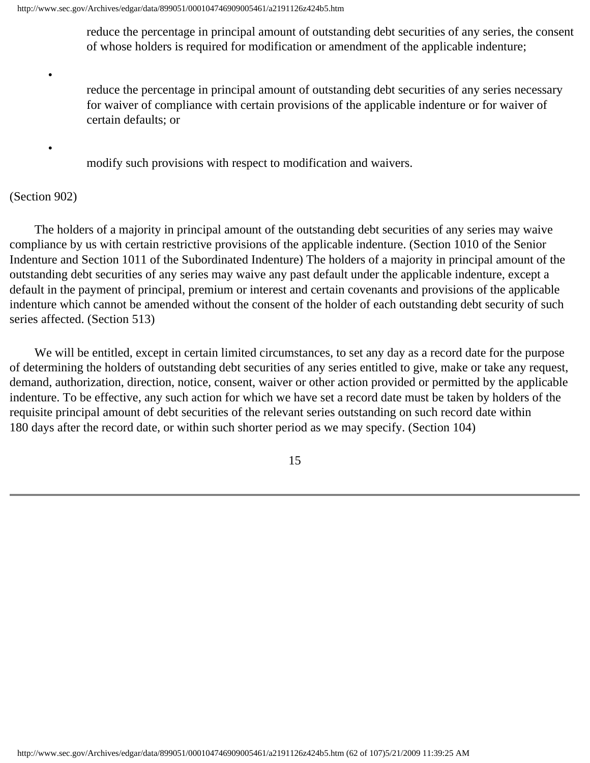reduce the percentage in principal amount of outstanding debt securities of any series, the consent of whose holders is required for modification or amendment of the applicable indenture;

reduce the percentage in principal amount of outstanding debt securities of any series necessary for waiver of compliance with certain provisions of the applicable indenture or for waiver of certain defaults; or

modify such provisions with respect to modification and waivers.

#### (Section 902)

•

•

 The holders of a majority in principal amount of the outstanding debt securities of any series may waive compliance by us with certain restrictive provisions of the applicable indenture. (Section 1010 of the Senior Indenture and Section 1011 of the Subordinated Indenture) The holders of a majority in principal amount of the outstanding debt securities of any series may waive any past default under the applicable indenture, except a default in the payment of principal, premium or interest and certain covenants and provisions of the applicable indenture which cannot be amended without the consent of the holder of each outstanding debt security of such series affected. (Section 513)

 We will be entitled, except in certain limited circumstances, to set any day as a record date for the purpose of determining the holders of outstanding debt securities of any series entitled to give, make or take any request, demand, authorization, direction, notice, consent, waiver or other action provided or permitted by the applicable indenture. To be effective, any such action for which we have set a record date must be taken by holders of the requisite principal amount of debt securities of the relevant series outstanding on such record date within 180 days after the record date, or within such shorter period as we may specify. (Section 104)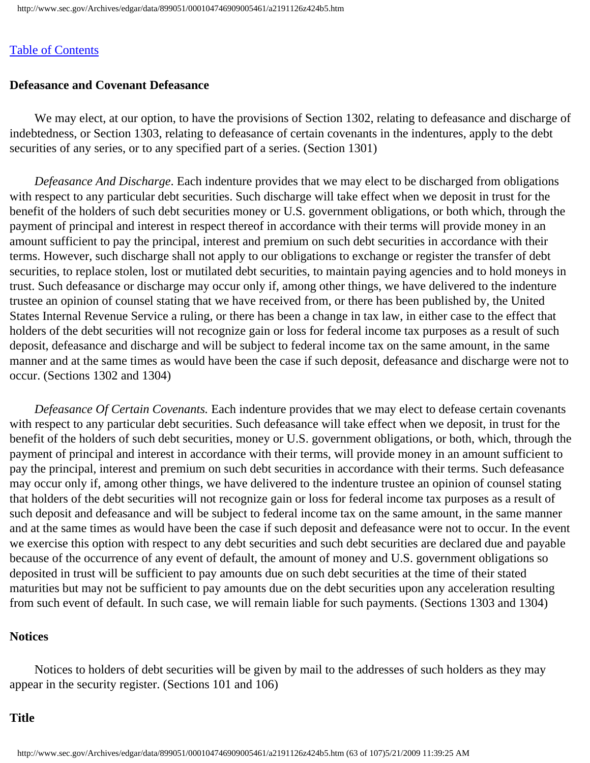# **Defeasance and Covenant Defeasance**

 We may elect, at our option, to have the provisions of Section 1302, relating to defeasance and discharge of indebtedness, or Section 1303, relating to defeasance of certain covenants in the indentures, apply to the debt securities of any series, or to any specified part of a series. (Section 1301)

 *Defeasance And Discharge*. Each indenture provides that we may elect to be discharged from obligations with respect to any particular debt securities. Such discharge will take effect when we deposit in trust for the benefit of the holders of such debt securities money or U.S. government obligations, or both which, through the payment of principal and interest in respect thereof in accordance with their terms will provide money in an amount sufficient to pay the principal, interest and premium on such debt securities in accordance with their terms. However, such discharge shall not apply to our obligations to exchange or register the transfer of debt securities, to replace stolen, lost or mutilated debt securities, to maintain paying agencies and to hold moneys in trust. Such defeasance or discharge may occur only if, among other things, we have delivered to the indenture trustee an opinion of counsel stating that we have received from, or there has been published by, the United States Internal Revenue Service a ruling, or there has been a change in tax law, in either case to the effect that holders of the debt securities will not recognize gain or loss for federal income tax purposes as a result of such deposit, defeasance and discharge and will be subject to federal income tax on the same amount, in the same manner and at the same times as would have been the case if such deposit, defeasance and discharge were not to occur. (Sections 1302 and 1304)

 *Defeasance Of Certain Covenants.* Each indenture provides that we may elect to defease certain covenants with respect to any particular debt securities. Such defeasance will take effect when we deposit, in trust for the benefit of the holders of such debt securities, money or U.S. government obligations, or both, which, through the payment of principal and interest in accordance with their terms, will provide money in an amount sufficient to pay the principal, interest and premium on such debt securities in accordance with their terms. Such defeasance may occur only if, among other things, we have delivered to the indenture trustee an opinion of counsel stating that holders of the debt securities will not recognize gain or loss for federal income tax purposes as a result of such deposit and defeasance and will be subject to federal income tax on the same amount, in the same manner and at the same times as would have been the case if such deposit and defeasance were not to occur. In the event we exercise this option with respect to any debt securities and such debt securities are declared due and payable because of the occurrence of any event of default, the amount of money and U.S. government obligations so deposited in trust will be sufficient to pay amounts due on such debt securities at the time of their stated maturities but may not be sufficient to pay amounts due on the debt securities upon any acceleration resulting from such event of default. In such case, we will remain liable for such payments. (Sections 1303 and 1304)

#### **Notices**

 Notices to holders of debt securities will be given by mail to the addresses of such holders as they may appear in the security register. (Sections 101 and 106)

#### **Title**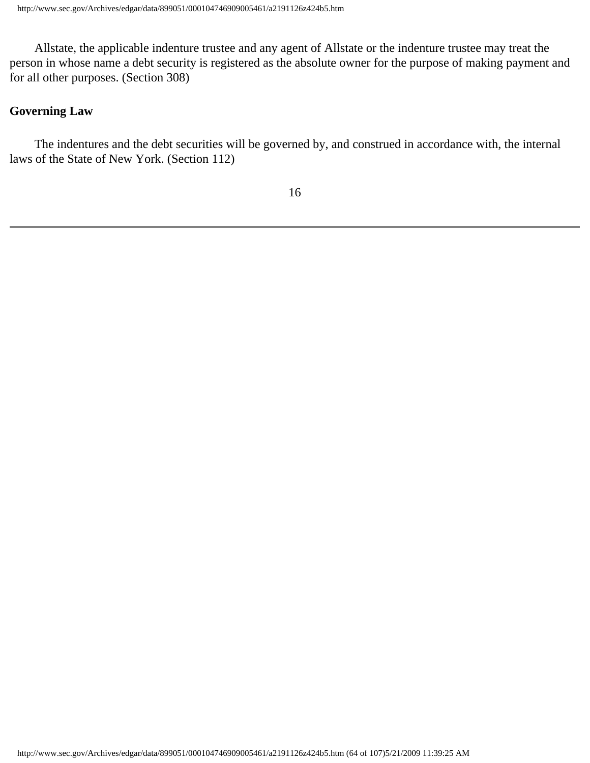Allstate, the applicable indenture trustee and any agent of Allstate or the indenture trustee may treat the person in whose name a debt security is registered as the absolute owner for the purpose of making payment and for all other purposes. (Section 308)

## **Governing Law**

 The indentures and the debt securities will be governed by, and construed in accordance with, the internal laws of the State of New York. (Section 112)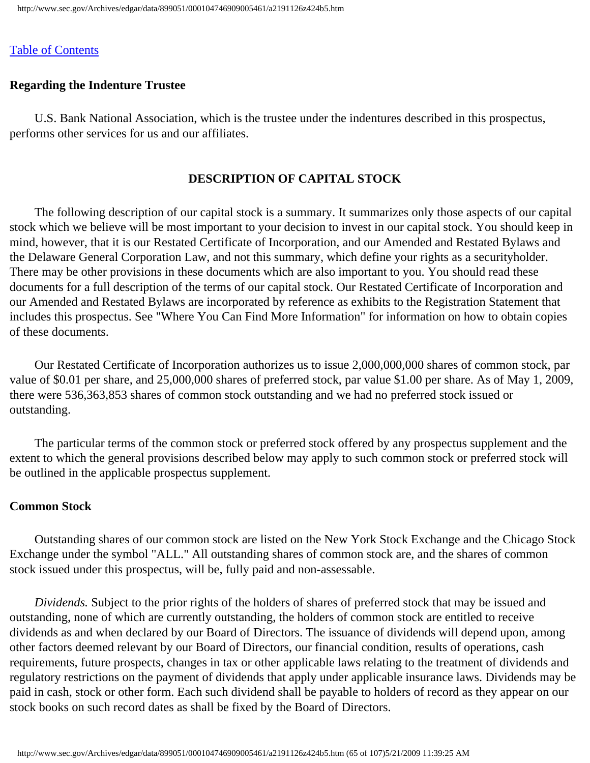# **Regarding the Indenture Trustee**

 U.S. Bank National Association, which is the trustee under the indentures described in this prospectus, performs other services for us and our affiliates.

# **DESCRIPTION OF CAPITAL STOCK**

 The following description of our capital stock is a summary. It summarizes only those aspects of our capital stock which we believe will be most important to your decision to invest in our capital stock. You should keep in mind, however, that it is our Restated Certificate of Incorporation, and our Amended and Restated Bylaws and the Delaware General Corporation Law, and not this summary, which define your rights as a securityholder. There may be other provisions in these documents which are also important to you. You should read these documents for a full description of the terms of our capital stock. Our Restated Certificate of Incorporation and our Amended and Restated Bylaws are incorporated by reference as exhibits to the Registration Statement that includes this prospectus. See "Where You Can Find More Information" for information on how to obtain copies of these documents.

 Our Restated Certificate of Incorporation authorizes us to issue 2,000,000,000 shares of common stock, par value of \$0.01 per share, and 25,000,000 shares of preferred stock, par value \$1.00 per share. As of May 1, 2009, there were 536,363,853 shares of common stock outstanding and we had no preferred stock issued or outstanding.

 The particular terms of the common stock or preferred stock offered by any prospectus supplement and the extent to which the general provisions described below may apply to such common stock or preferred stock will be outlined in the applicable prospectus supplement.

# **Common Stock**

 Outstanding shares of our common stock are listed on the New York Stock Exchange and the Chicago Stock Exchange under the symbol "ALL." All outstanding shares of common stock are, and the shares of common stock issued under this prospectus, will be, fully paid and non-assessable.

 *Dividends.* Subject to the prior rights of the holders of shares of preferred stock that may be issued and outstanding, none of which are currently outstanding, the holders of common stock are entitled to receive dividends as and when declared by our Board of Directors. The issuance of dividends will depend upon, among other factors deemed relevant by our Board of Directors, our financial condition, results of operations, cash requirements, future prospects, changes in tax or other applicable laws relating to the treatment of dividends and regulatory restrictions on the payment of dividends that apply under applicable insurance laws. Dividends may be paid in cash, stock or other form. Each such dividend shall be payable to holders of record as they appear on our stock books on such record dates as shall be fixed by the Board of Directors.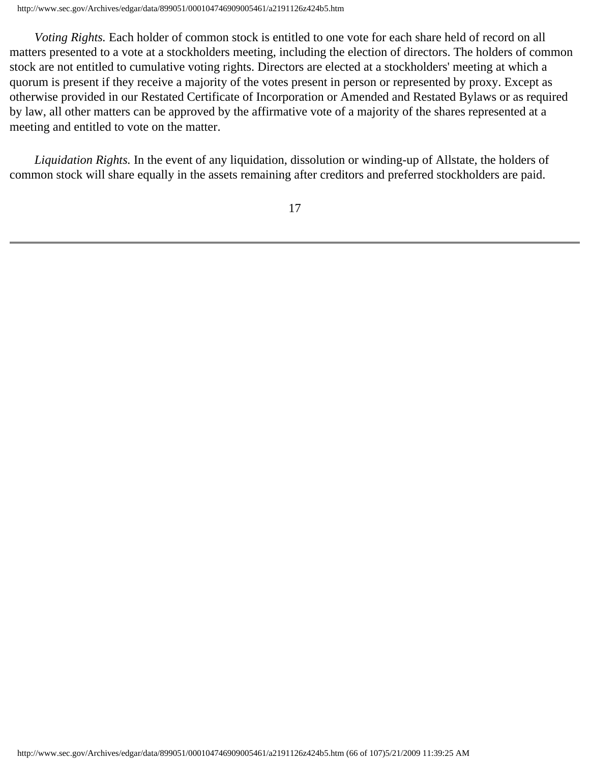*Voting Rights.* Each holder of common stock is entitled to one vote for each share held of record on all matters presented to a vote at a stockholders meeting, including the election of directors. The holders of common stock are not entitled to cumulative voting rights. Directors are elected at a stockholders' meeting at which a quorum is present if they receive a majority of the votes present in person or represented by proxy. Except as otherwise provided in our Restated Certificate of Incorporation or Amended and Restated Bylaws or as required by law, all other matters can be approved by the affirmative vote of a majority of the shares represented at a meeting and entitled to vote on the matter.

 *Liquidation Rights.* In the event of any liquidation, dissolution or winding-up of Allstate, the holders of common stock will share equally in the assets remaining after creditors and preferred stockholders are paid.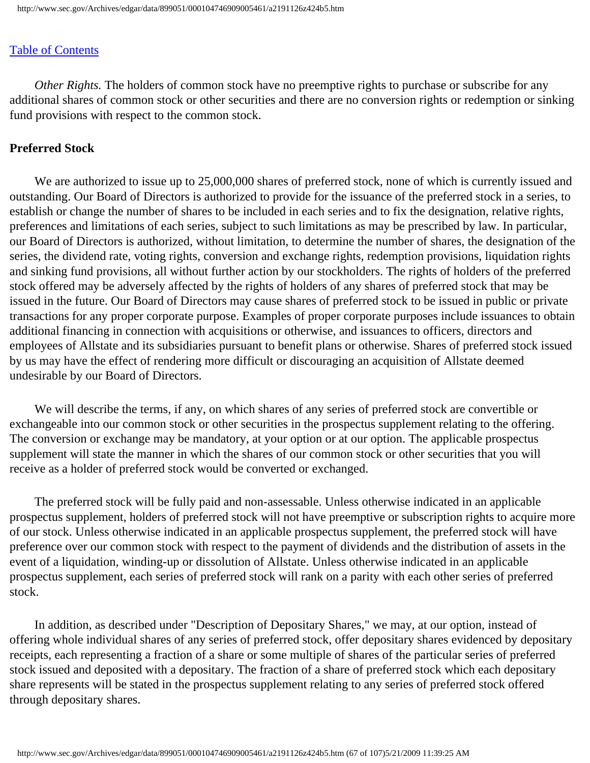*Other Rights.* The holders of common stock have no preemptive rights to purchase or subscribe for any additional shares of common stock or other securities and there are no conversion rights or redemption or sinking fund provisions with respect to the common stock.

## **Preferred Stock**

We are authorized to issue up to  $25,000,000$  shares of preferred stock, none of which is currently issued and outstanding. Our Board of Directors is authorized to provide for the issuance of the preferred stock in a series, to establish or change the number of shares to be included in each series and to fix the designation, relative rights, preferences and limitations of each series, subject to such limitations as may be prescribed by law. In particular, our Board of Directors is authorized, without limitation, to determine the number of shares, the designation of the series, the dividend rate, voting rights, conversion and exchange rights, redemption provisions, liquidation rights and sinking fund provisions, all without further action by our stockholders. The rights of holders of the preferred stock offered may be adversely affected by the rights of holders of any shares of preferred stock that may be issued in the future. Our Board of Directors may cause shares of preferred stock to be issued in public or private transactions for any proper corporate purpose. Examples of proper corporate purposes include issuances to obtain additional financing in connection with acquisitions or otherwise, and issuances to officers, directors and employees of Allstate and its subsidiaries pursuant to benefit plans or otherwise. Shares of preferred stock issued by us may have the effect of rendering more difficult or discouraging an acquisition of Allstate deemed undesirable by our Board of Directors.

 We will describe the terms, if any, on which shares of any series of preferred stock are convertible or exchangeable into our common stock or other securities in the prospectus supplement relating to the offering. The conversion or exchange may be mandatory, at your option or at our option. The applicable prospectus supplement will state the manner in which the shares of our common stock or other securities that you will receive as a holder of preferred stock would be converted or exchanged.

 The preferred stock will be fully paid and non-assessable. Unless otherwise indicated in an applicable prospectus supplement, holders of preferred stock will not have preemptive or subscription rights to acquire more of our stock. Unless otherwise indicated in an applicable prospectus supplement, the preferred stock will have preference over our common stock with respect to the payment of dividends and the distribution of assets in the event of a liquidation, winding-up or dissolution of Allstate. Unless otherwise indicated in an applicable prospectus supplement, each series of preferred stock will rank on a parity with each other series of preferred stock.

 In addition, as described under "Description of Depositary Shares," we may, at our option, instead of offering whole individual shares of any series of preferred stock, offer depositary shares evidenced by depositary receipts, each representing a fraction of a share or some multiple of shares of the particular series of preferred stock issued and deposited with a depositary. The fraction of a share of preferred stock which each depositary share represents will be stated in the prospectus supplement relating to any series of preferred stock offered through depositary shares.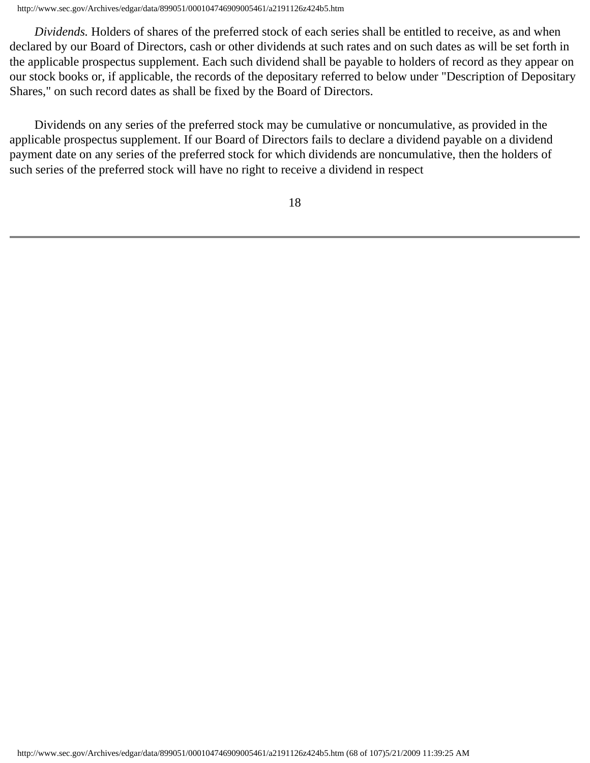http://www.sec.gov/Archives/edgar/data/899051/000104746909005461/a2191126z424b5.htm

 *Dividends.* Holders of shares of the preferred stock of each series shall be entitled to receive, as and when declared by our Board of Directors, cash or other dividends at such rates and on such dates as will be set forth in the applicable prospectus supplement. Each such dividend shall be payable to holders of record as they appear on our stock books or, if applicable, the records of the depositary referred to below under "Description of Depositary Shares," on such record dates as shall be fixed by the Board of Directors.

 Dividends on any series of the preferred stock may be cumulative or noncumulative, as provided in the applicable prospectus supplement. If our Board of Directors fails to declare a dividend payable on a dividend payment date on any series of the preferred stock for which dividends are noncumulative, then the holders of such series of the preferred stock will have no right to receive a dividend in respect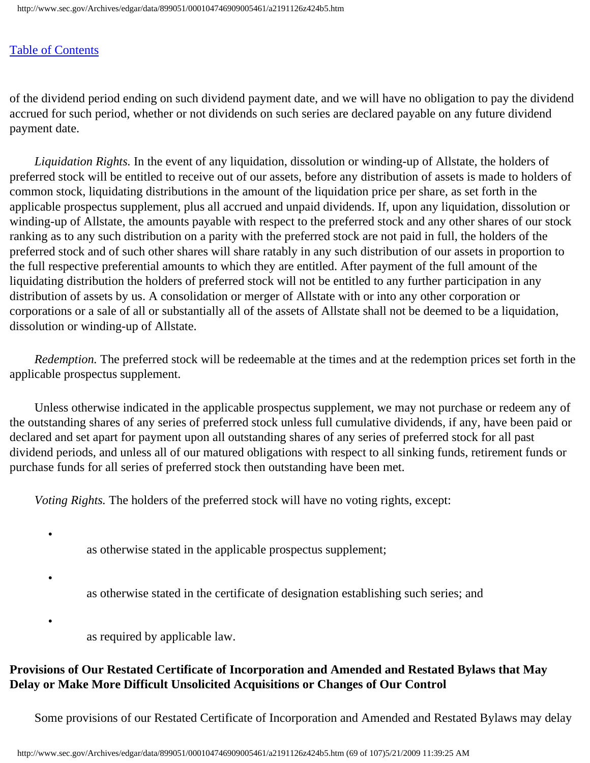•

•

•

of the dividend period ending on such dividend payment date, and we will have no obligation to pay the dividend accrued for such period, whether or not dividends on such series are declared payable on any future dividend payment date.

 *Liquidation Rights.* In the event of any liquidation, dissolution or winding-up of Allstate, the holders of preferred stock will be entitled to receive out of our assets, before any distribution of assets is made to holders of common stock, liquidating distributions in the amount of the liquidation price per share, as set forth in the applicable prospectus supplement, plus all accrued and unpaid dividends. If, upon any liquidation, dissolution or winding-up of Allstate, the amounts payable with respect to the preferred stock and any other shares of our stock ranking as to any such distribution on a parity with the preferred stock are not paid in full, the holders of the preferred stock and of such other shares will share ratably in any such distribution of our assets in proportion to the full respective preferential amounts to which they are entitled. After payment of the full amount of the liquidating distribution the holders of preferred stock will not be entitled to any further participation in any distribution of assets by us. A consolidation or merger of Allstate with or into any other corporation or corporations or a sale of all or substantially all of the assets of Allstate shall not be deemed to be a liquidation, dissolution or winding-up of Allstate.

 *Redemption.* The preferred stock will be redeemable at the times and at the redemption prices set forth in the applicable prospectus supplement.

 Unless otherwise indicated in the applicable prospectus supplement, we may not purchase or redeem any of the outstanding shares of any series of preferred stock unless full cumulative dividends, if any, have been paid or declared and set apart for payment upon all outstanding shares of any series of preferred stock for all past dividend periods, and unless all of our matured obligations with respect to all sinking funds, retirement funds or purchase funds for all series of preferred stock then outstanding have been met.

*Voting Rights.* The holders of the preferred stock will have no voting rights, except:

as otherwise stated in the applicable prospectus supplement;

as otherwise stated in the certificate of designation establishing such series; and

as required by applicable law.

# **Provisions of Our Restated Certificate of Incorporation and Amended and Restated Bylaws that May Delay or Make More Difficult Unsolicited Acquisitions or Changes of Our Control**

Some provisions of our Restated Certificate of Incorporation and Amended and Restated Bylaws may delay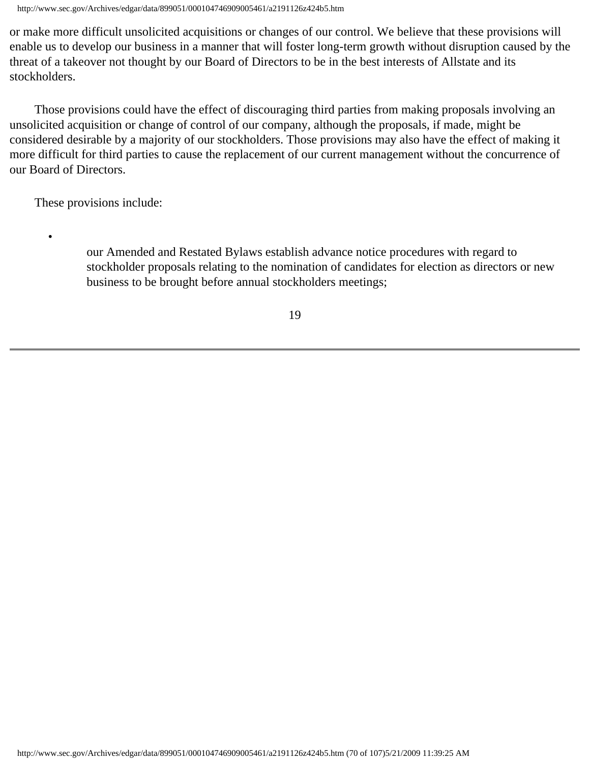http://www.sec.gov/Archives/edgar/data/899051/000104746909005461/a2191126z424b5.htm

or make more difficult unsolicited acquisitions or changes of our control. We believe that these provisions will enable us to develop our business in a manner that will foster long-term growth without disruption caused by the threat of a takeover not thought by our Board of Directors to be in the best interests of Allstate and its stockholders.

 Those provisions could have the effect of discouraging third parties from making proposals involving an unsolicited acquisition or change of control of our company, although the proposals, if made, might be considered desirable by a majority of our stockholders. Those provisions may also have the effect of making it more difficult for third parties to cause the replacement of our current management without the concurrence of our Board of Directors.

These provisions include:

•

our Amended and Restated Bylaws establish advance notice procedures with regard to stockholder proposals relating to the nomination of candidates for election as directors or new business to be brought before annual stockholders meetings;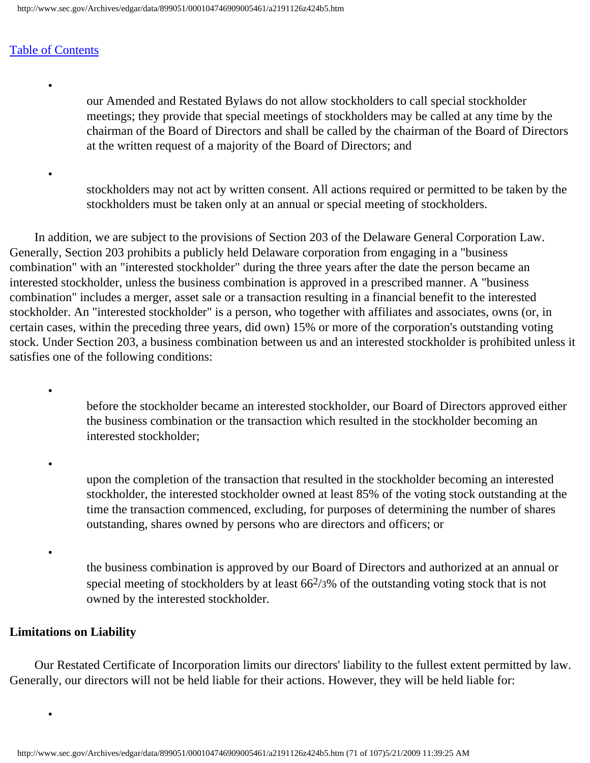•

•

•

•

•

•

our Amended and Restated Bylaws do not allow stockholders to call special stockholder meetings; they provide that special meetings of stockholders may be called at any time by the chairman of the Board of Directors and shall be called by the chairman of the Board of Directors at the written request of a majority of the Board of Directors; and

stockholders may not act by written consent. All actions required or permitted to be taken by the stockholders must be taken only at an annual or special meeting of stockholders.

 In addition, we are subject to the provisions of Section 203 of the Delaware General Corporation Law. Generally, Section 203 prohibits a publicly held Delaware corporation from engaging in a "business combination" with an "interested stockholder" during the three years after the date the person became an interested stockholder, unless the business combination is approved in a prescribed manner. A "business combination" includes a merger, asset sale or a transaction resulting in a financial benefit to the interested stockholder. An "interested stockholder" is a person, who together with affiliates and associates, owns (or, in certain cases, within the preceding three years, did own) 15% or more of the corporation's outstanding voting stock. Under Section 203, a business combination between us and an interested stockholder is prohibited unless it satisfies one of the following conditions:

> before the stockholder became an interested stockholder, our Board of Directors approved either the business combination or the transaction which resulted in the stockholder becoming an interested stockholder;

> upon the completion of the transaction that resulted in the stockholder becoming an interested stockholder, the interested stockholder owned at least 85% of the voting stock outstanding at the time the transaction commenced, excluding, for purposes of determining the number of shares outstanding, shares owned by persons who are directors and officers; or

the business combination is approved by our Board of Directors and authorized at an annual or special meeting of stockholders by at least  $66\frac{2}{3}\%$  of the outstanding voting stock that is not owned by the interested stockholder.

#### **Limitations on Liability**

 Our Restated Certificate of Incorporation limits our directors' liability to the fullest extent permitted by law. Generally, our directors will not be held liable for their actions. However, they will be held liable for: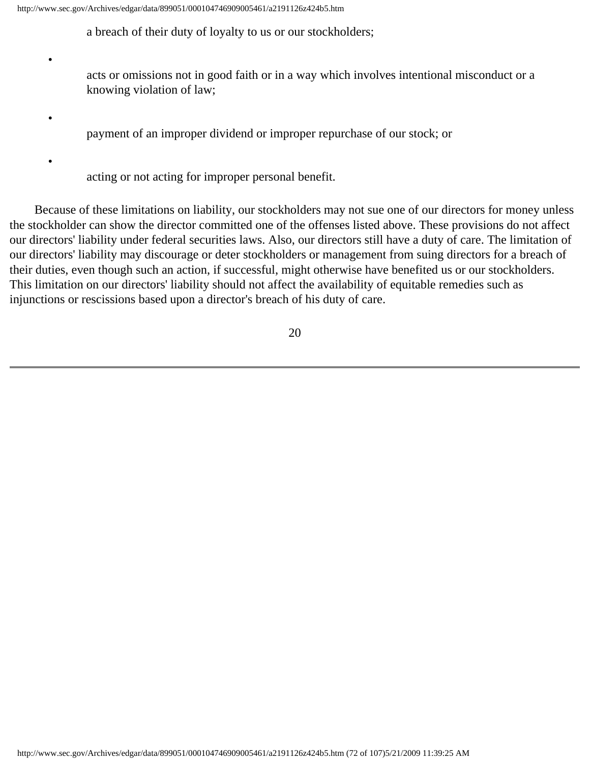•

•

•

a breach of their duty of loyalty to us or our stockholders;

acts or omissions not in good faith or in a way which involves intentional misconduct or a knowing violation of law;

payment of an improper dividend or improper repurchase of our stock; or

acting or not acting for improper personal benefit.

 Because of these limitations on liability, our stockholders may not sue one of our directors for money unless the stockholder can show the director committed one of the offenses listed above. These provisions do not affect our directors' liability under federal securities laws. Also, our directors still have a duty of care. The limitation of our directors' liability may discourage or deter stockholders or management from suing directors for a breach of their duties, even though such an action, if successful, might otherwise have benefited us or our stockholders. This limitation on our directors' liability should not affect the availability of equitable remedies such as injunctions or rescissions based upon a director's breach of his duty of care.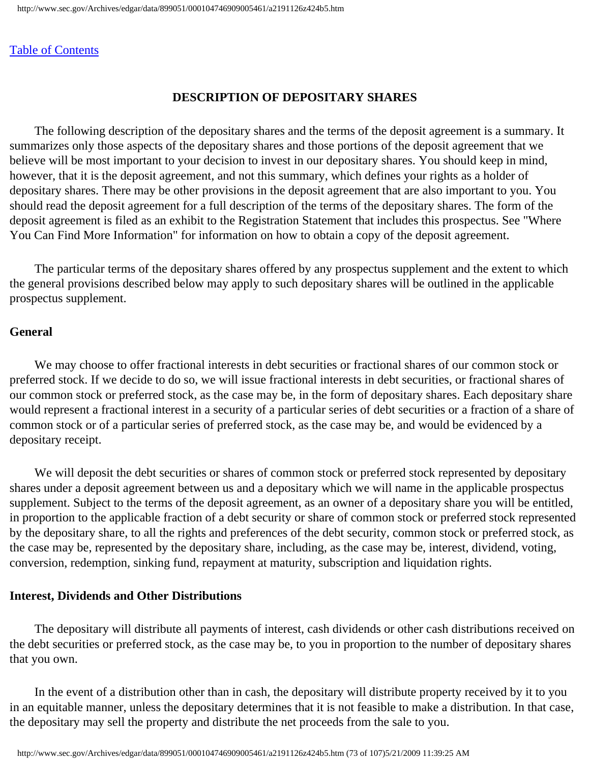## **DESCRIPTION OF DEPOSITARY SHARES**

 The following description of the depositary shares and the terms of the deposit agreement is a summary. It summarizes only those aspects of the depositary shares and those portions of the deposit agreement that we believe will be most important to your decision to invest in our depositary shares. You should keep in mind, however, that it is the deposit agreement, and not this summary, which defines your rights as a holder of depositary shares. There may be other provisions in the deposit agreement that are also important to you. You should read the deposit agreement for a full description of the terms of the depositary shares. The form of the deposit agreement is filed as an exhibit to the Registration Statement that includes this prospectus. See "Where You Can Find More Information" for information on how to obtain a copy of the deposit agreement.

 The particular terms of the depositary shares offered by any prospectus supplement and the extent to which the general provisions described below may apply to such depositary shares will be outlined in the applicable prospectus supplement.

#### **General**

 We may choose to offer fractional interests in debt securities or fractional shares of our common stock or preferred stock. If we decide to do so, we will issue fractional interests in debt securities, or fractional shares of our common stock or preferred stock, as the case may be, in the form of depositary shares. Each depositary share would represent a fractional interest in a security of a particular series of debt securities or a fraction of a share of common stock or of a particular series of preferred stock, as the case may be, and would be evidenced by a depositary receipt.

We will deposit the debt securities or shares of common stock or preferred stock represented by depositary shares under a deposit agreement between us and a depositary which we will name in the applicable prospectus supplement. Subject to the terms of the deposit agreement, as an owner of a depositary share you will be entitled, in proportion to the applicable fraction of a debt security or share of common stock or preferred stock represented by the depositary share, to all the rights and preferences of the debt security, common stock or preferred stock, as the case may be, represented by the depositary share, including, as the case may be, interest, dividend, voting, conversion, redemption, sinking fund, repayment at maturity, subscription and liquidation rights.

#### **Interest, Dividends and Other Distributions**

 The depositary will distribute all payments of interest, cash dividends or other cash distributions received on the debt securities or preferred stock, as the case may be, to you in proportion to the number of depositary shares that you own.

 In the event of a distribution other than in cash, the depositary will distribute property received by it to you in an equitable manner, unless the depositary determines that it is not feasible to make a distribution. In that case, the depositary may sell the property and distribute the net proceeds from the sale to you.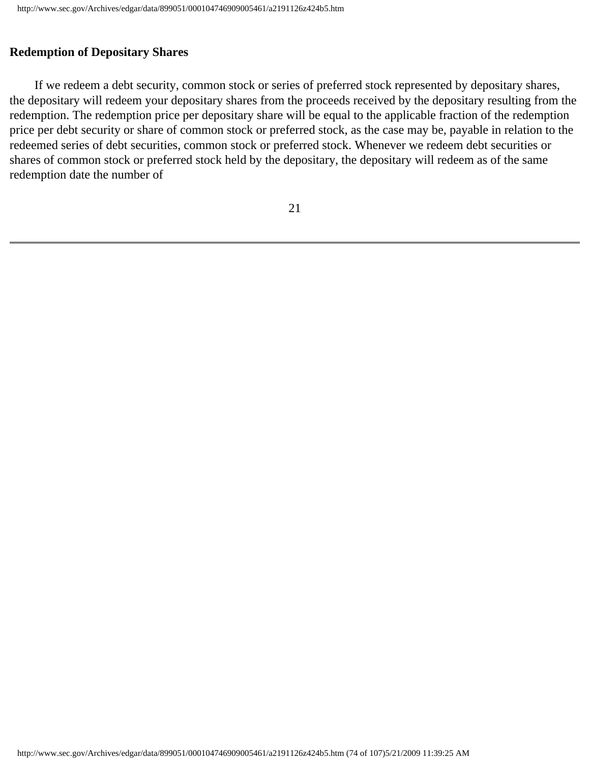## **Redemption of Depositary Shares**

 If we redeem a debt security, common stock or series of preferred stock represented by depositary shares, the depositary will redeem your depositary shares from the proceeds received by the depositary resulting from the redemption. The redemption price per depositary share will be equal to the applicable fraction of the redemption price per debt security or share of common stock or preferred stock, as the case may be, payable in relation to the redeemed series of debt securities, common stock or preferred stock. Whenever we redeem debt securities or shares of common stock or preferred stock held by the depositary, the depositary will redeem as of the same redemption date the number of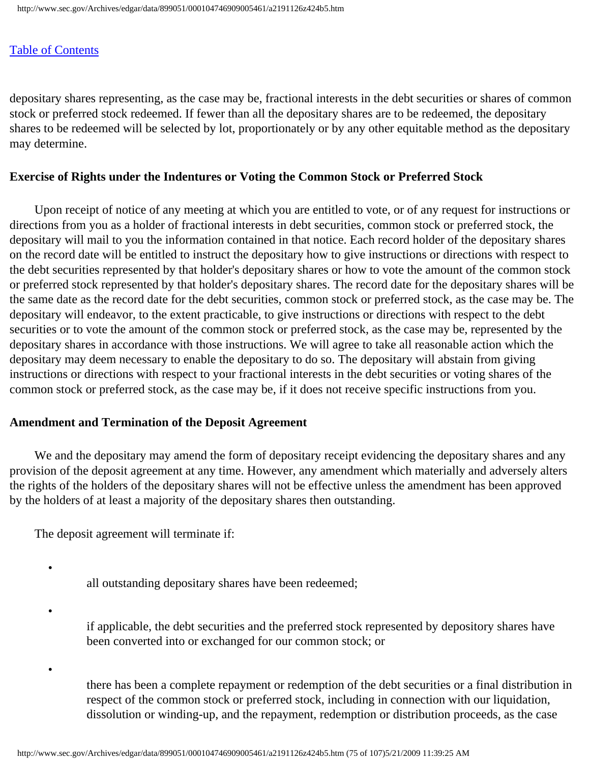depositary shares representing, as the case may be, fractional interests in the debt securities or shares of common stock or preferred stock redeemed. If fewer than all the depositary shares are to be redeemed, the depositary shares to be redeemed will be selected by lot, proportionately or by any other equitable method as the depositary may determine.

## **Exercise of Rights under the Indentures or Voting the Common Stock or Preferred Stock**

 Upon receipt of notice of any meeting at which you are entitled to vote, or of any request for instructions or directions from you as a holder of fractional interests in debt securities, common stock or preferred stock, the depositary will mail to you the information contained in that notice. Each record holder of the depositary shares on the record date will be entitled to instruct the depositary how to give instructions or directions with respect to the debt securities represented by that holder's depositary shares or how to vote the amount of the common stock or preferred stock represented by that holder's depositary shares. The record date for the depositary shares will be the same date as the record date for the debt securities, common stock or preferred stock, as the case may be. The depositary will endeavor, to the extent practicable, to give instructions or directions with respect to the debt securities or to vote the amount of the common stock or preferred stock, as the case may be, represented by the depositary shares in accordance with those instructions. We will agree to take all reasonable action which the depositary may deem necessary to enable the depositary to do so. The depositary will abstain from giving instructions or directions with respect to your fractional interests in the debt securities or voting shares of the common stock or preferred stock, as the case may be, if it does not receive specific instructions from you.

## **Amendment and Termination of the Deposit Agreement**

We and the depositary may amend the form of depositary receipt evidencing the depositary shares and any provision of the deposit agreement at any time. However, any amendment which materially and adversely alters the rights of the holders of the depositary shares will not be effective unless the amendment has been approved by the holders of at least a majority of the depositary shares then outstanding.

The deposit agreement will terminate if:

•

•

•

all outstanding depositary shares have been redeemed;

if applicable, the debt securities and the preferred stock represented by depository shares have been converted into or exchanged for our common stock; or

there has been a complete repayment or redemption of the debt securities or a final distribution in respect of the common stock or preferred stock, including in connection with our liquidation, dissolution or winding-up, and the repayment, redemption or distribution proceeds, as the case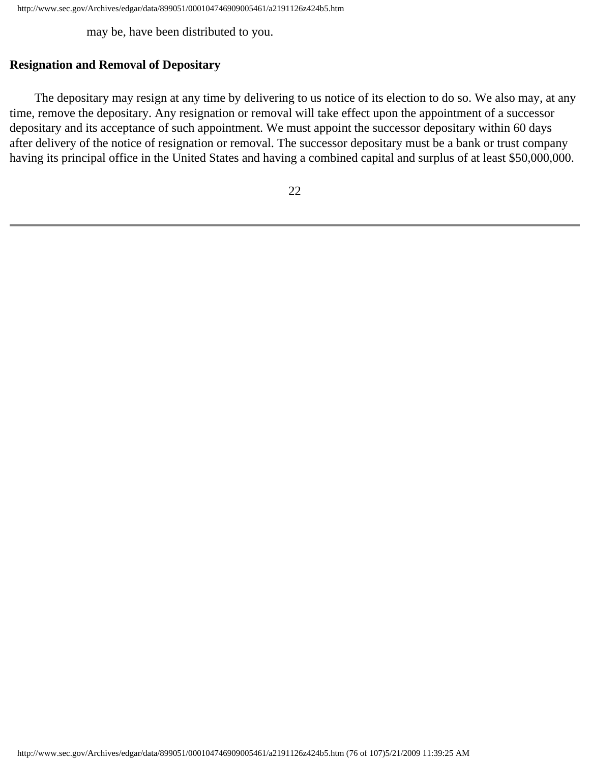may be, have been distributed to you.

## **Resignation and Removal of Depositary**

 The depositary may resign at any time by delivering to us notice of its election to do so. We also may, at any time, remove the depositary. Any resignation or removal will take effect upon the appointment of a successor depositary and its acceptance of such appointment. We must appoint the successor depositary within 60 days after delivery of the notice of resignation or removal. The successor depositary must be a bank or trust company having its principal office in the United States and having a combined capital and surplus of at least \$50,000,000.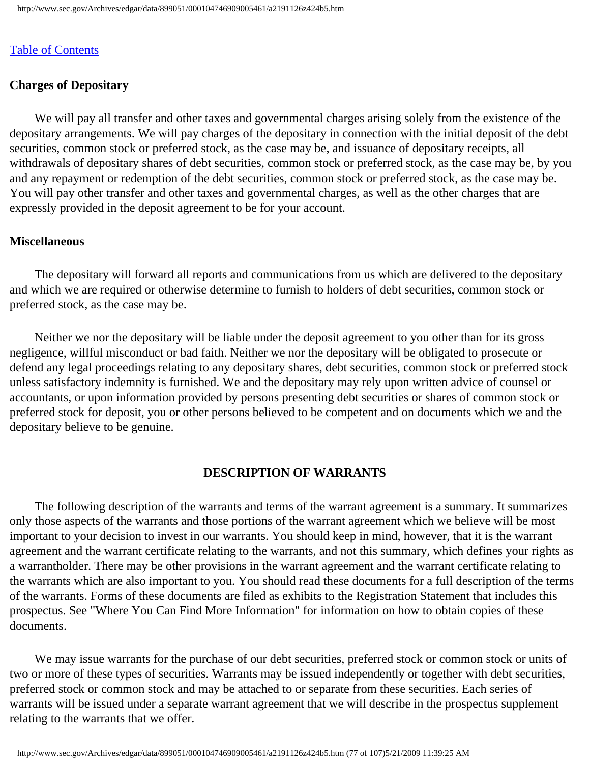## **Charges of Depositary**

 We will pay all transfer and other taxes and governmental charges arising solely from the existence of the depositary arrangements. We will pay charges of the depositary in connection with the initial deposit of the debt securities, common stock or preferred stock, as the case may be, and issuance of depositary receipts, all withdrawals of depositary shares of debt securities, common stock or preferred stock, as the case may be, by you and any repayment or redemption of the debt securities, common stock or preferred stock, as the case may be. You will pay other transfer and other taxes and governmental charges, as well as the other charges that are expressly provided in the deposit agreement to be for your account.

#### **Miscellaneous**

 The depositary will forward all reports and communications from us which are delivered to the depositary and which we are required or otherwise determine to furnish to holders of debt securities, common stock or preferred stock, as the case may be.

 Neither we nor the depositary will be liable under the deposit agreement to you other than for its gross negligence, willful misconduct or bad faith. Neither we nor the depositary will be obligated to prosecute or defend any legal proceedings relating to any depositary shares, debt securities, common stock or preferred stock unless satisfactory indemnity is furnished. We and the depositary may rely upon written advice of counsel or accountants, or upon information provided by persons presenting debt securities or shares of common stock or preferred stock for deposit, you or other persons believed to be competent and on documents which we and the depositary believe to be genuine.

# **DESCRIPTION OF WARRANTS**

 The following description of the warrants and terms of the warrant agreement is a summary. It summarizes only those aspects of the warrants and those portions of the warrant agreement which we believe will be most important to your decision to invest in our warrants. You should keep in mind, however, that it is the warrant agreement and the warrant certificate relating to the warrants, and not this summary, which defines your rights as a warrantholder. There may be other provisions in the warrant agreement and the warrant certificate relating to the warrants which are also important to you. You should read these documents for a full description of the terms of the warrants. Forms of these documents are filed as exhibits to the Registration Statement that includes this prospectus. See "Where You Can Find More Information" for information on how to obtain copies of these documents.

 We may issue warrants for the purchase of our debt securities, preferred stock or common stock or units of two or more of these types of securities. Warrants may be issued independently or together with debt securities, preferred stock or common stock and may be attached to or separate from these securities. Each series of warrants will be issued under a separate warrant agreement that we will describe in the prospectus supplement relating to the warrants that we offer.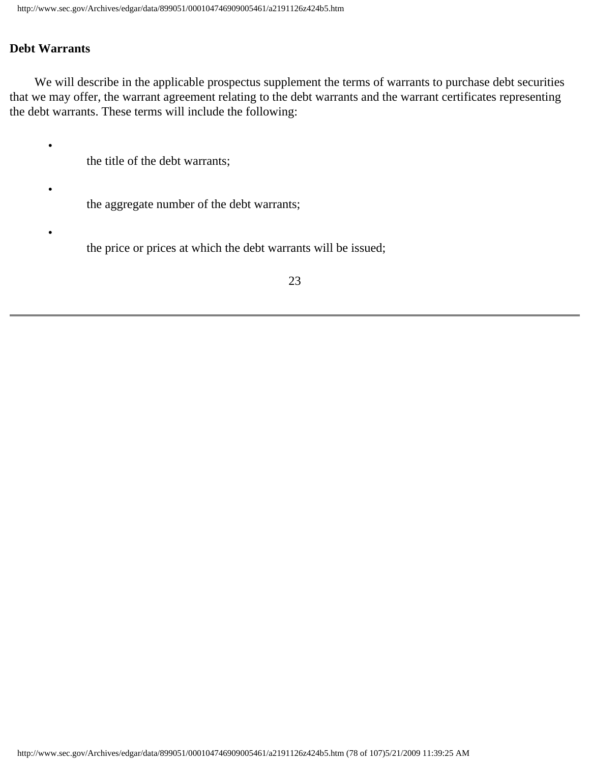## **Debt Warrants**

•

•

•

We will describe in the applicable prospectus supplement the terms of warrants to purchase debt securities that we may offer, the warrant agreement relating to the debt warrants and the warrant certificates representing the debt warrants. These terms will include the following:

the title of the debt warrants;

the aggregate number of the debt warrants;

the price or prices at which the debt warrants will be issued;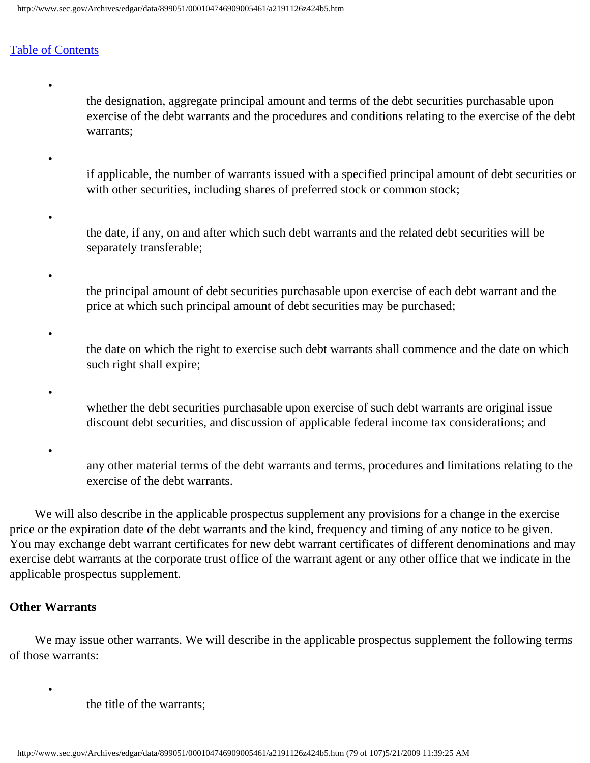•

•

•

•

•

•

•

the designation, aggregate principal amount and terms of the debt securities purchasable upon exercise of the debt warrants and the procedures and conditions relating to the exercise of the debt warrants;

- if applicable, the number of warrants issued with a specified principal amount of debt securities or with other securities, including shares of preferred stock or common stock;
- the date, if any, on and after which such debt warrants and the related debt securities will be separately transferable;
- the principal amount of debt securities purchasable upon exercise of each debt warrant and the price at which such principal amount of debt securities may be purchased;
- the date on which the right to exercise such debt warrants shall commence and the date on which such right shall expire;
	- whether the debt securities purchasable upon exercise of such debt warrants are original issue discount debt securities, and discussion of applicable federal income tax considerations; and
	- any other material terms of the debt warrants and terms, procedures and limitations relating to the exercise of the debt warrants.

 We will also describe in the applicable prospectus supplement any provisions for a change in the exercise price or the expiration date of the debt warrants and the kind, frequency and timing of any notice to be given. You may exchange debt warrant certificates for new debt warrant certificates of different denominations and may exercise debt warrants at the corporate trust office of the warrant agent or any other office that we indicate in the applicable prospectus supplement.

## **Other Warrants**

•

We may issue other warrants. We will describe in the applicable prospectus supplement the following terms of those warrants:

the title of the warrants;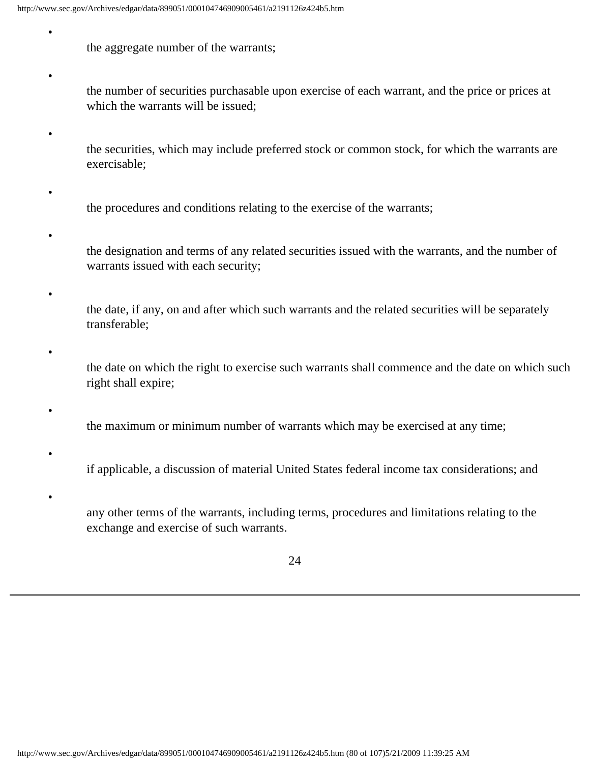the aggregate number of the warrants;

•

•

•

•

•

•

•

•

- the number of securities purchasable upon exercise of each warrant, and the price or prices at which the warrants will be issued;
- the securities, which may include preferred stock or common stock, for which the warrants are exercisable;
- the procedures and conditions relating to the exercise of the warrants;
- the designation and terms of any related securities issued with the warrants, and the number of warrants issued with each security;
- the date, if any, on and after which such warrants and the related securities will be separately transferable;
- the date on which the right to exercise such warrants shall commence and the date on which such right shall expire;
	- the maximum or minimum number of warrants which may be exercised at any time;
	- if applicable, a discussion of material United States federal income tax considerations; and
	- any other terms of the warrants, including terms, procedures and limitations relating to the exchange and exercise of such warrants.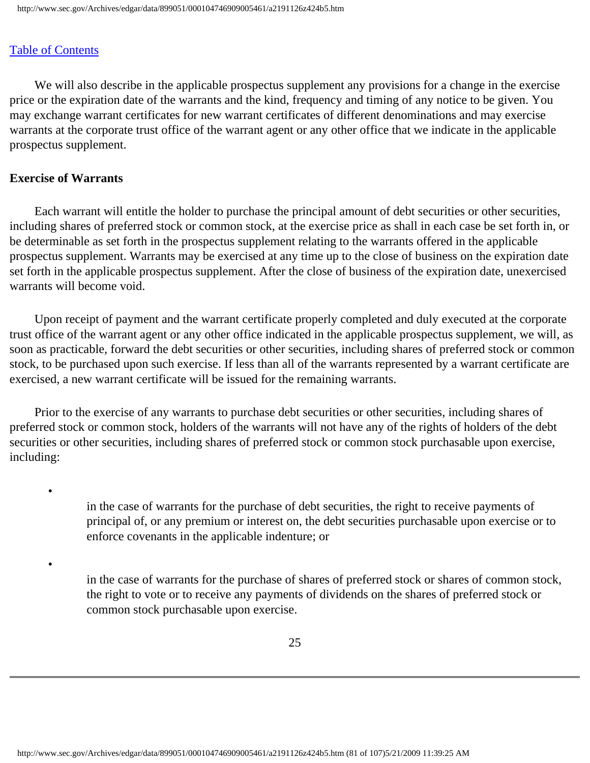We will also describe in the applicable prospectus supplement any provisions for a change in the exercise price or the expiration date of the warrants and the kind, frequency and timing of any notice to be given. You may exchange warrant certificates for new warrant certificates of different denominations and may exercise warrants at the corporate trust office of the warrant agent or any other office that we indicate in the applicable prospectus supplement.

#### **Exercise of Warrants**

•

•

 Each warrant will entitle the holder to purchase the principal amount of debt securities or other securities, including shares of preferred stock or common stock, at the exercise price as shall in each case be set forth in, or be determinable as set forth in the prospectus supplement relating to the warrants offered in the applicable prospectus supplement. Warrants may be exercised at any time up to the close of business on the expiration date set forth in the applicable prospectus supplement. After the close of business of the expiration date, unexercised warrants will become void.

 Upon receipt of payment and the warrant certificate properly completed and duly executed at the corporate trust office of the warrant agent or any other office indicated in the applicable prospectus supplement, we will, as soon as practicable, forward the debt securities or other securities, including shares of preferred stock or common stock, to be purchased upon such exercise. If less than all of the warrants represented by a warrant certificate are exercised, a new warrant certificate will be issued for the remaining warrants.

 Prior to the exercise of any warrants to purchase debt securities or other securities, including shares of preferred stock or common stock, holders of the warrants will not have any of the rights of holders of the debt securities or other securities, including shares of preferred stock or common stock purchasable upon exercise, including:

> in the case of warrants for the purchase of debt securities, the right to receive payments of principal of, or any premium or interest on, the debt securities purchasable upon exercise or to enforce covenants in the applicable indenture; or

in the case of warrants for the purchase of shares of preferred stock or shares of common stock, the right to vote or to receive any payments of dividends on the shares of preferred stock or common stock purchasable upon exercise.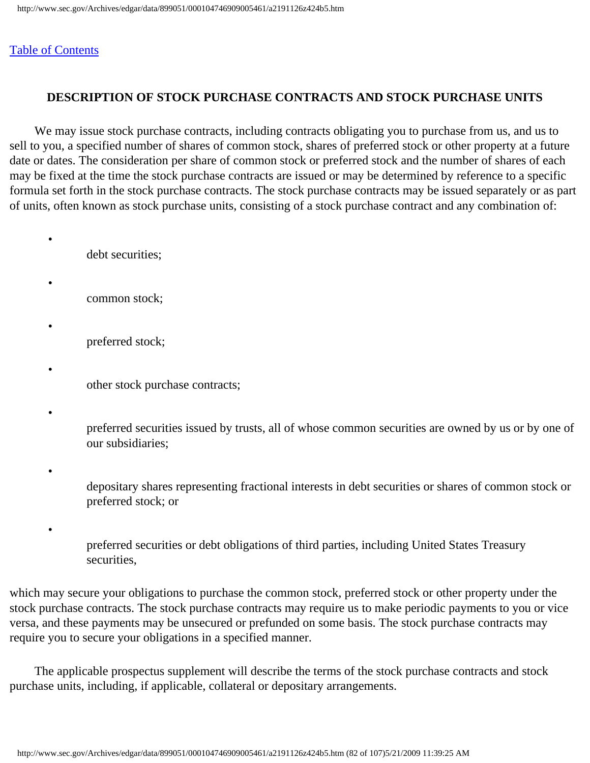## **DESCRIPTION OF STOCK PURCHASE CONTRACTS AND STOCK PURCHASE UNITS**

 We may issue stock purchase contracts, including contracts obligating you to purchase from us, and us to sell to you, a specified number of shares of common stock, shares of preferred stock or other property at a future date or dates. The consideration per share of common stock or preferred stock and the number of shares of each may be fixed at the time the stock purchase contracts are issued or may be determined by reference to a specific formula set forth in the stock purchase contracts. The stock purchase contracts may be issued separately or as part of units, often known as stock purchase units, consisting of a stock purchase contract and any combination of:

debt securities;

- common stock;
	- preferred stock;
- other stock purchase contracts;
- •

•

•

•

•

preferred securities issued by trusts, all of whose common securities are owned by us or by one of our subsidiaries;

•

•

depositary shares representing fractional interests in debt securities or shares of common stock or preferred stock; or

preferred securities or debt obligations of third parties, including United States Treasury securities,

which may secure your obligations to purchase the common stock, preferred stock or other property under the stock purchase contracts. The stock purchase contracts may require us to make periodic payments to you or vice versa, and these payments may be unsecured or prefunded on some basis. The stock purchase contracts may require you to secure your obligations in a specified manner.

 The applicable prospectus supplement will describe the terms of the stock purchase contracts and stock purchase units, including, if applicable, collateral or depositary arrangements.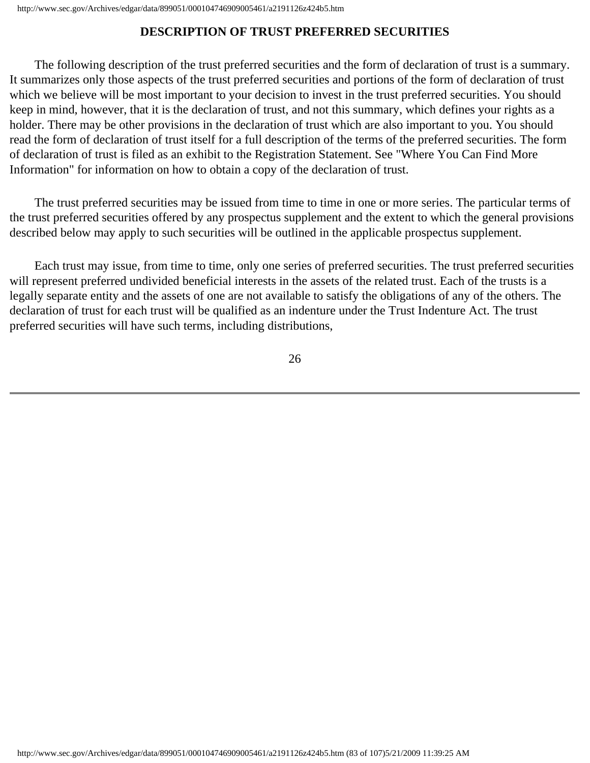# **DESCRIPTION OF TRUST PREFERRED SECURITIES**

 The following description of the trust preferred securities and the form of declaration of trust is a summary. It summarizes only those aspects of the trust preferred securities and portions of the form of declaration of trust which we believe will be most important to your decision to invest in the trust preferred securities. You should keep in mind, however, that it is the declaration of trust, and not this summary, which defines your rights as a holder. There may be other provisions in the declaration of trust which are also important to you. You should read the form of declaration of trust itself for a full description of the terms of the preferred securities. The form of declaration of trust is filed as an exhibit to the Registration Statement. See "Where You Can Find More Information" for information on how to obtain a copy of the declaration of trust.

 The trust preferred securities may be issued from time to time in one or more series. The particular terms of the trust preferred securities offered by any prospectus supplement and the extent to which the general provisions described below may apply to such securities will be outlined in the applicable prospectus supplement.

 Each trust may issue, from time to time, only one series of preferred securities. The trust preferred securities will represent preferred undivided beneficial interests in the assets of the related trust. Each of the trusts is a legally separate entity and the assets of one are not available to satisfy the obligations of any of the others. The declaration of trust for each trust will be qualified as an indenture under the Trust Indenture Act. The trust preferred securities will have such terms, including distributions,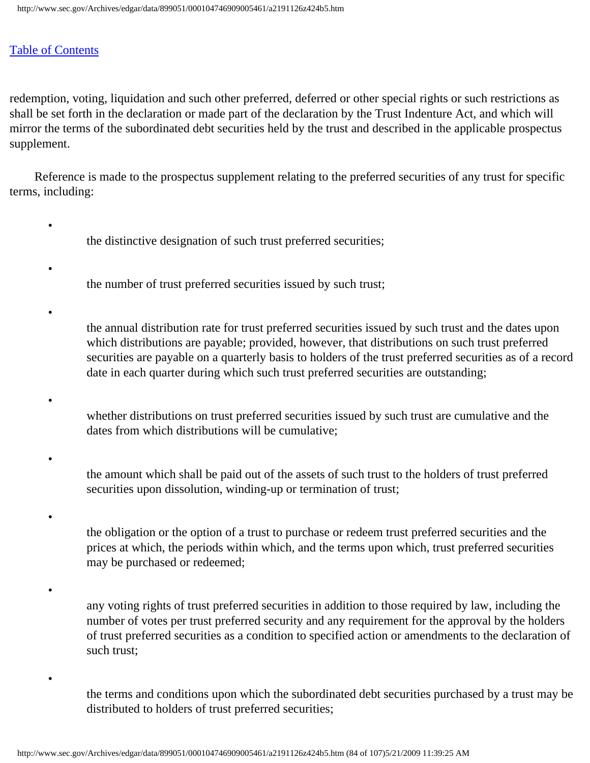•

•

•

•

•

•

•

•

redemption, voting, liquidation and such other preferred, deferred or other special rights or such restrictions as shall be set forth in the declaration or made part of the declaration by the Trust Indenture Act, and which will mirror the terms of the subordinated debt securities held by the trust and described in the applicable prospectus supplement.

 Reference is made to the prospectus supplement relating to the preferred securities of any trust for specific terms, including:

- the distinctive designation of such trust preferred securities;
- the number of trust preferred securities issued by such trust;
	- the annual distribution rate for trust preferred securities issued by such trust and the dates upon which distributions are payable; provided, however, that distributions on such trust preferred securities are payable on a quarterly basis to holders of the trust preferred securities as of a record date in each quarter during which such trust preferred securities are outstanding;
- whether distributions on trust preferred securities issued by such trust are cumulative and the dates from which distributions will be cumulative;
- the amount which shall be paid out of the assets of such trust to the holders of trust preferred securities upon dissolution, winding-up or termination of trust;
- the obligation or the option of a trust to purchase or redeem trust preferred securities and the prices at which, the periods within which, and the terms upon which, trust preferred securities may be purchased or redeemed;
- any voting rights of trust preferred securities in addition to those required by law, including the number of votes per trust preferred security and any requirement for the approval by the holders of trust preferred securities as a condition to specified action or amendments to the declaration of such trust;
	- the terms and conditions upon which the subordinated debt securities purchased by a trust may be distributed to holders of trust preferred securities;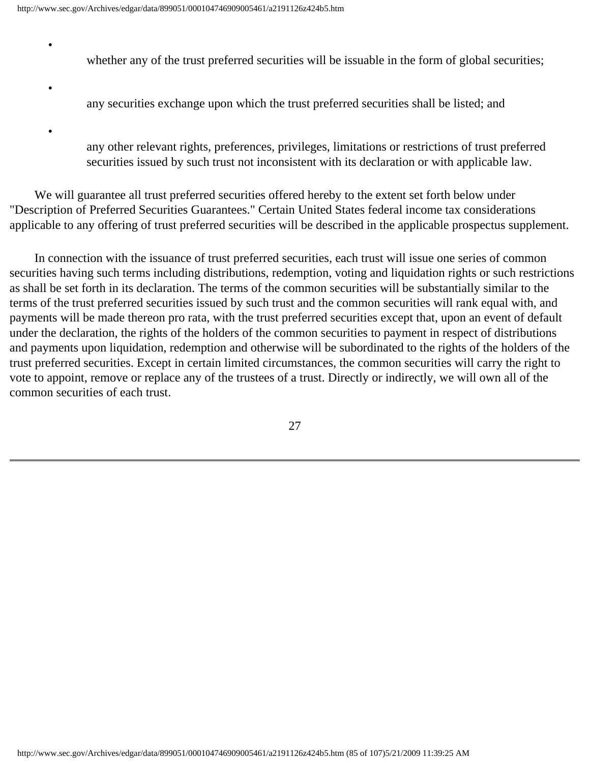•

•

•

- whether any of the trust preferred securities will be issuable in the form of global securities;
- any securities exchange upon which the trust preferred securities shall be listed; and
- any other relevant rights, preferences, privileges, limitations or restrictions of trust preferred securities issued by such trust not inconsistent with its declaration or with applicable law.

 We will guarantee all trust preferred securities offered hereby to the extent set forth below under "Description of Preferred Securities Guarantees." Certain United States federal income tax considerations applicable to any offering of trust preferred securities will be described in the applicable prospectus supplement.

 In connection with the issuance of trust preferred securities, each trust will issue one series of common securities having such terms including distributions, redemption, voting and liquidation rights or such restrictions as shall be set forth in its declaration. The terms of the common securities will be substantially similar to the terms of the trust preferred securities issued by such trust and the common securities will rank equal with, and payments will be made thereon pro rata, with the trust preferred securities except that, upon an event of default under the declaration, the rights of the holders of the common securities to payment in respect of distributions and payments upon liquidation, redemption and otherwise will be subordinated to the rights of the holders of the trust preferred securities. Except in certain limited circumstances, the common securities will carry the right to vote to appoint, remove or replace any of the trustees of a trust. Directly or indirectly, we will own all of the common securities of each trust.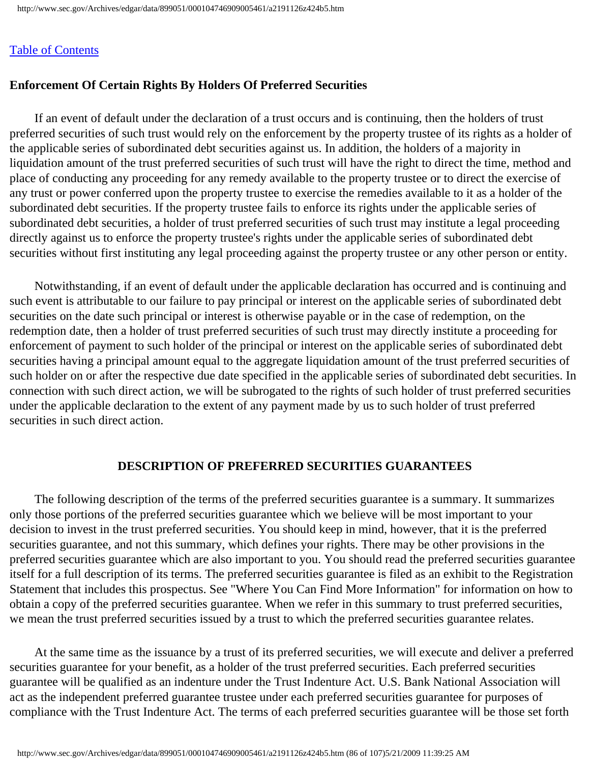## **Enforcement Of Certain Rights By Holders Of Preferred Securities**

 If an event of default under the declaration of a trust occurs and is continuing, then the holders of trust preferred securities of such trust would rely on the enforcement by the property trustee of its rights as a holder of the applicable series of subordinated debt securities against us. In addition, the holders of a majority in liquidation amount of the trust preferred securities of such trust will have the right to direct the time, method and place of conducting any proceeding for any remedy available to the property trustee or to direct the exercise of any trust or power conferred upon the property trustee to exercise the remedies available to it as a holder of the subordinated debt securities. If the property trustee fails to enforce its rights under the applicable series of subordinated debt securities, a holder of trust preferred securities of such trust may institute a legal proceeding directly against us to enforce the property trustee's rights under the applicable series of subordinated debt securities without first instituting any legal proceeding against the property trustee or any other person or entity.

 Notwithstanding, if an event of default under the applicable declaration has occurred and is continuing and such event is attributable to our failure to pay principal or interest on the applicable series of subordinated debt securities on the date such principal or interest is otherwise payable or in the case of redemption, on the redemption date, then a holder of trust preferred securities of such trust may directly institute a proceeding for enforcement of payment to such holder of the principal or interest on the applicable series of subordinated debt securities having a principal amount equal to the aggregate liquidation amount of the trust preferred securities of such holder on or after the respective due date specified in the applicable series of subordinated debt securities. In connection with such direct action, we will be subrogated to the rights of such holder of trust preferred securities under the applicable declaration to the extent of any payment made by us to such holder of trust preferred securities in such direct action.

## **DESCRIPTION OF PREFERRED SECURITIES GUARANTEES**

 The following description of the terms of the preferred securities guarantee is a summary. It summarizes only those portions of the preferred securities guarantee which we believe will be most important to your decision to invest in the trust preferred securities. You should keep in mind, however, that it is the preferred securities guarantee, and not this summary, which defines your rights. There may be other provisions in the preferred securities guarantee which are also important to you. You should read the preferred securities guarantee itself for a full description of its terms. The preferred securities guarantee is filed as an exhibit to the Registration Statement that includes this prospectus. See "Where You Can Find More Information" for information on how to obtain a copy of the preferred securities guarantee. When we refer in this summary to trust preferred securities, we mean the trust preferred securities issued by a trust to which the preferred securities guarantee relates.

 At the same time as the issuance by a trust of its preferred securities, we will execute and deliver a preferred securities guarantee for your benefit, as a holder of the trust preferred securities. Each preferred securities guarantee will be qualified as an indenture under the Trust Indenture Act. U.S. Bank National Association will act as the independent preferred guarantee trustee under each preferred securities guarantee for purposes of compliance with the Trust Indenture Act. The terms of each preferred securities guarantee will be those set forth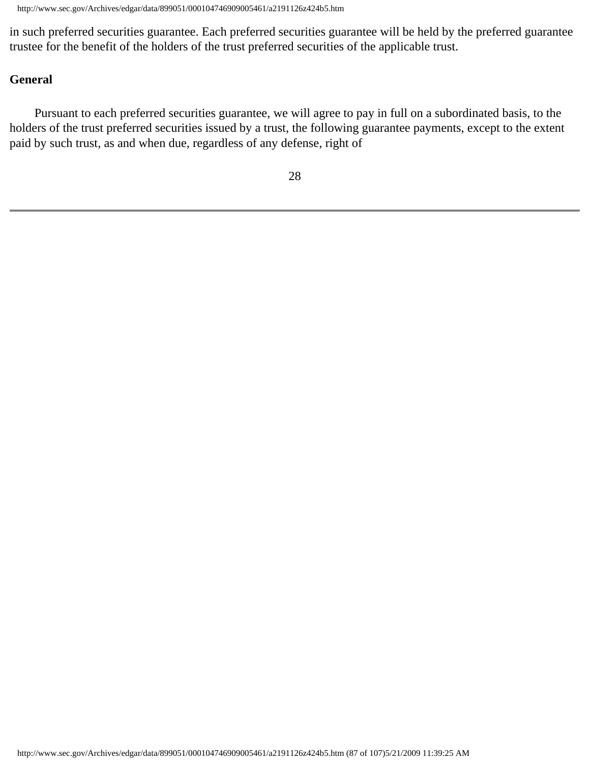in such preferred securities guarantee. Each preferred securities guarantee will be held by the preferred guarantee trustee for the benefit of the holders of the trust preferred securities of the applicable trust.

## **General**

 Pursuant to each preferred securities guarantee, we will agree to pay in full on a subordinated basis, to the holders of the trust preferred securities issued by a trust, the following guarantee payments, except to the extent paid by such trust, as and when due, regardless of any defense, right of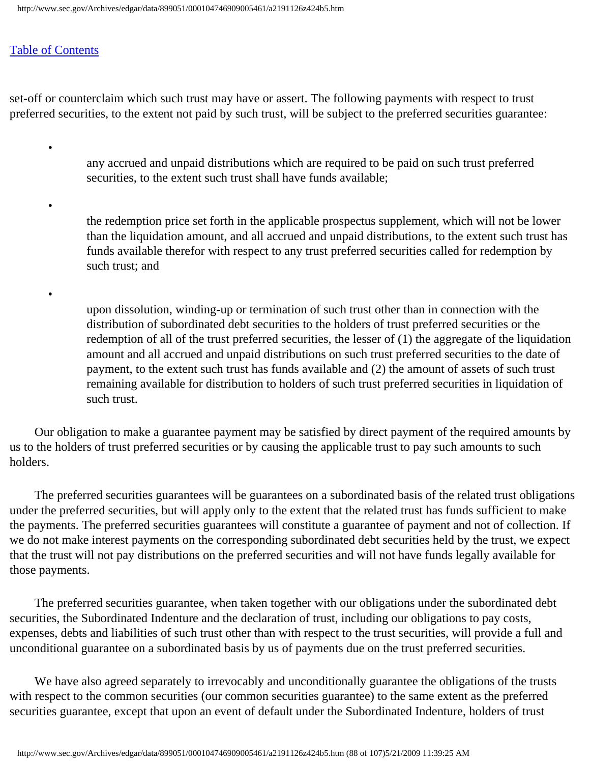## [Table of Contents](#page-0-0)

•

•

•

set-off or counterclaim which such trust may have or assert. The following payments with respect to trust preferred securities, to the extent not paid by such trust, will be subject to the preferred securities guarantee:

> any accrued and unpaid distributions which are required to be paid on such trust preferred securities, to the extent such trust shall have funds available;

the redemption price set forth in the applicable prospectus supplement, which will not be lower than the liquidation amount, and all accrued and unpaid distributions, to the extent such trust has funds available therefor with respect to any trust preferred securities called for redemption by such trust; and

upon dissolution, winding-up or termination of such trust other than in connection with the distribution of subordinated debt securities to the holders of trust preferred securities or the redemption of all of the trust preferred securities, the lesser of (1) the aggregate of the liquidation amount and all accrued and unpaid distributions on such trust preferred securities to the date of payment, to the extent such trust has funds available and (2) the amount of assets of such trust remaining available for distribution to holders of such trust preferred securities in liquidation of such trust.

 Our obligation to make a guarantee payment may be satisfied by direct payment of the required amounts by us to the holders of trust preferred securities or by causing the applicable trust to pay such amounts to such holders.

 The preferred securities guarantees will be guarantees on a subordinated basis of the related trust obligations under the preferred securities, but will apply only to the extent that the related trust has funds sufficient to make the payments. The preferred securities guarantees will constitute a guarantee of payment and not of collection. If we do not make interest payments on the corresponding subordinated debt securities held by the trust, we expect that the trust will not pay distributions on the preferred securities and will not have funds legally available for those payments.

 The preferred securities guarantee, when taken together with our obligations under the subordinated debt securities, the Subordinated Indenture and the declaration of trust, including our obligations to pay costs, expenses, debts and liabilities of such trust other than with respect to the trust securities, will provide a full and unconditional guarantee on a subordinated basis by us of payments due on the trust preferred securities.

 We have also agreed separately to irrevocably and unconditionally guarantee the obligations of the trusts with respect to the common securities (our common securities guarantee) to the same extent as the preferred securities guarantee, except that upon an event of default under the Subordinated Indenture, holders of trust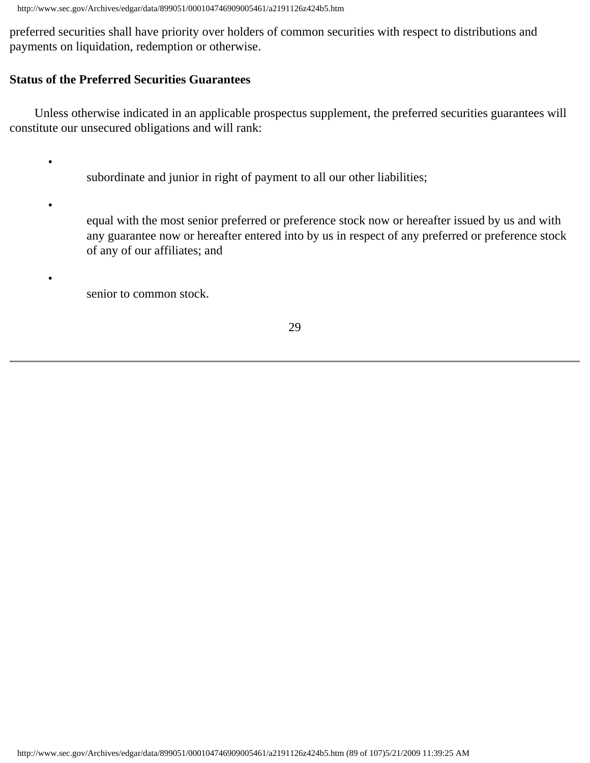preferred securities shall have priority over holders of common securities with respect to distributions and payments on liquidation, redemption or otherwise.

# **Status of the Preferred Securities Guarantees**

•

•

•

 Unless otherwise indicated in an applicable prospectus supplement, the preferred securities guarantees will constitute our unsecured obligations and will rank:

- subordinate and junior in right of payment to all our other liabilities;
- equal with the most senior preferred or preference stock now or hereafter issued by us and with any guarantee now or hereafter entered into by us in respect of any preferred or preference stock of any of our affiliates; and
	- senior to common stock.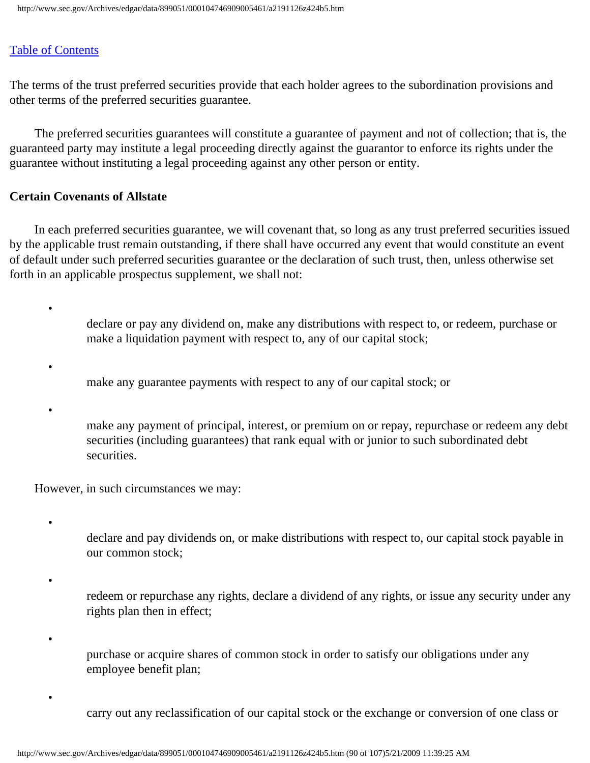•

•

•

•

•

•

•

The terms of the trust preferred securities provide that each holder agrees to the subordination provisions and other terms of the preferred securities guarantee.

 The preferred securities guarantees will constitute a guarantee of payment and not of collection; that is, the guaranteed party may institute a legal proceeding directly against the guarantor to enforce its rights under the guarantee without instituting a legal proceeding against any other person or entity.

## **Certain Covenants of Allstate**

 In each preferred securities guarantee, we will covenant that, so long as any trust preferred securities issued by the applicable trust remain outstanding, if there shall have occurred any event that would constitute an event of default under such preferred securities guarantee or the declaration of such trust, then, unless otherwise set forth in an applicable prospectus supplement, we shall not:

> declare or pay any dividend on, make any distributions with respect to, or redeem, purchase or make a liquidation payment with respect to, any of our capital stock;

make any guarantee payments with respect to any of our capital stock; or

make any payment of principal, interest, or premium on or repay, repurchase or redeem any debt securities (including guarantees) that rank equal with or junior to such subordinated debt securities.

However, in such circumstances we may:

- declare and pay dividends on, or make distributions with respect to, our capital stock payable in our common stock;
- redeem or repurchase any rights, declare a dividend of any rights, or issue any security under any rights plan then in effect;
- purchase or acquire shares of common stock in order to satisfy our obligations under any employee benefit plan;
	- carry out any reclassification of our capital stock or the exchange or conversion of one class or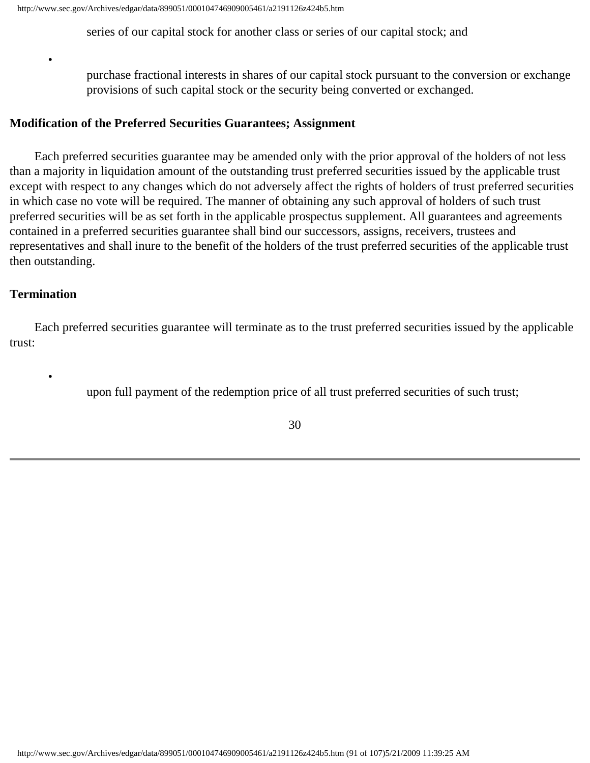series of our capital stock for another class or series of our capital stock; and

purchase fractional interests in shares of our capital stock pursuant to the conversion or exchange provisions of such capital stock or the security being converted or exchanged.

#### **Modification of the Preferred Securities Guarantees; Assignment**

 Each preferred securities guarantee may be amended only with the prior approval of the holders of not less than a majority in liquidation amount of the outstanding trust preferred securities issued by the applicable trust except with respect to any changes which do not adversely affect the rights of holders of trust preferred securities in which case no vote will be required. The manner of obtaining any such approval of holders of such trust preferred securities will be as set forth in the applicable prospectus supplement. All guarantees and agreements contained in a preferred securities guarantee shall bind our successors, assigns, receivers, trustees and representatives and shall inure to the benefit of the holders of the trust preferred securities of the applicable trust then outstanding.

#### **Termination**

•

•

 Each preferred securities guarantee will terminate as to the trust preferred securities issued by the applicable trust:

upon full payment of the redemption price of all trust preferred securities of such trust;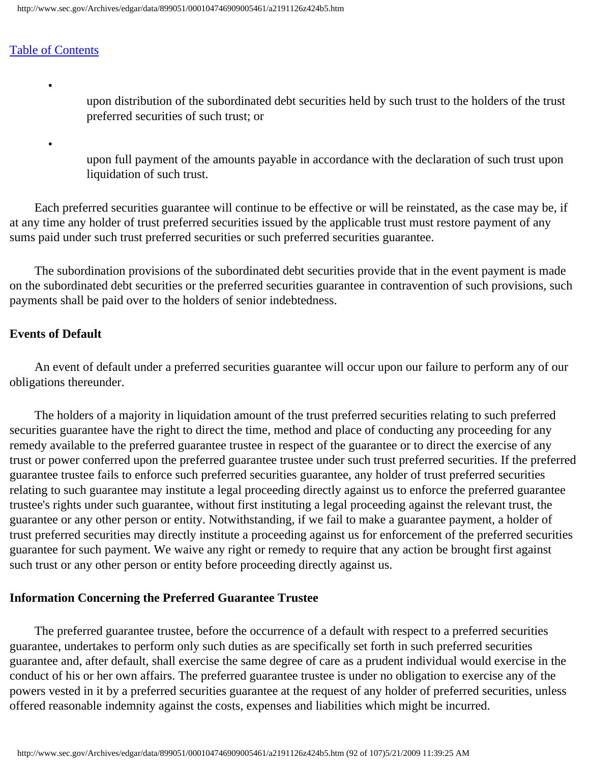•

•

upon distribution of the subordinated debt securities held by such trust to the holders of the trust preferred securities of such trust; or

upon full payment of the amounts payable in accordance with the declaration of such trust upon liquidation of such trust.

 Each preferred securities guarantee will continue to be effective or will be reinstated, as the case may be, if at any time any holder of trust preferred securities issued by the applicable trust must restore payment of any sums paid under such trust preferred securities or such preferred securities guarantee.

 The subordination provisions of the subordinated debt securities provide that in the event payment is made on the subordinated debt securities or the preferred securities guarantee in contravention of such provisions, such payments shall be paid over to the holders of senior indebtedness.

## **Events of Default**

 An event of default under a preferred securities guarantee will occur upon our failure to perform any of our obligations thereunder.

 The holders of a majority in liquidation amount of the trust preferred securities relating to such preferred securities guarantee have the right to direct the time, method and place of conducting any proceeding for any remedy available to the preferred guarantee trustee in respect of the guarantee or to direct the exercise of any trust or power conferred upon the preferred guarantee trustee under such trust preferred securities. If the preferred guarantee trustee fails to enforce such preferred securities guarantee, any holder of trust preferred securities relating to such guarantee may institute a legal proceeding directly against us to enforce the preferred guarantee trustee's rights under such guarantee, without first instituting a legal proceeding against the relevant trust, the guarantee or any other person or entity. Notwithstanding, if we fail to make a guarantee payment, a holder of trust preferred securities may directly institute a proceeding against us for enforcement of the preferred securities guarantee for such payment. We waive any right or remedy to require that any action be brought first against such trust or any other person or entity before proceeding directly against us.

## **Information Concerning the Preferred Guarantee Trustee**

 The preferred guarantee trustee, before the occurrence of a default with respect to a preferred securities guarantee, undertakes to perform only such duties as are specifically set forth in such preferred securities guarantee and, after default, shall exercise the same degree of care as a prudent individual would exercise in the conduct of his or her own affairs. The preferred guarantee trustee is under no obligation to exercise any of the powers vested in it by a preferred securities guarantee at the request of any holder of preferred securities, unless offered reasonable indemnity against the costs, expenses and liabilities which might be incurred.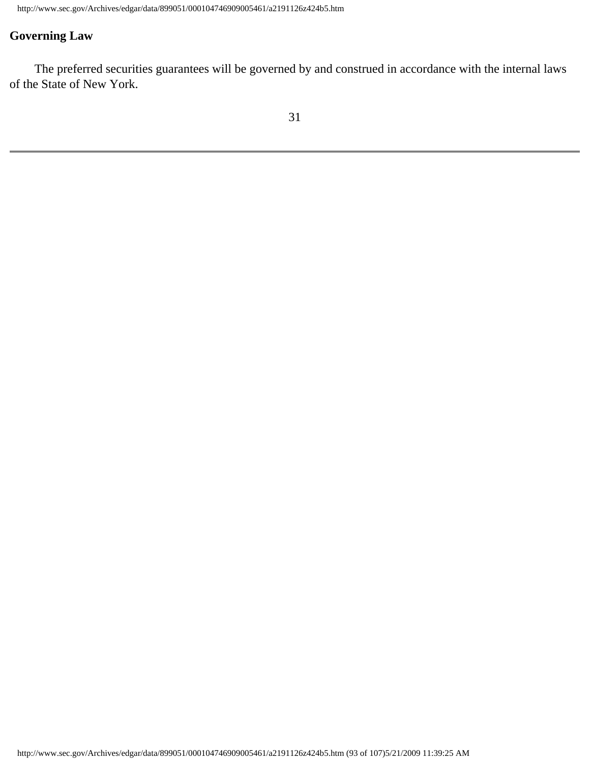# **Governing Law**

 The preferred securities guarantees will be governed by and construed in accordance with the internal laws of the State of New York.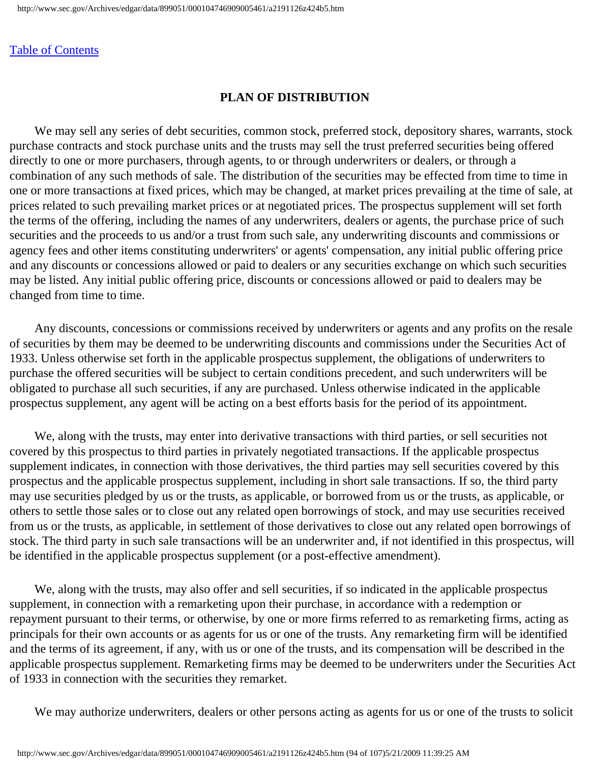#### **PLAN OF DISTRIBUTION**

 We may sell any series of debt securities, common stock, preferred stock, depository shares, warrants, stock purchase contracts and stock purchase units and the trusts may sell the trust preferred securities being offered directly to one or more purchasers, through agents, to or through underwriters or dealers, or through a combination of any such methods of sale. The distribution of the securities may be effected from time to time in one or more transactions at fixed prices, which may be changed, at market prices prevailing at the time of sale, at prices related to such prevailing market prices or at negotiated prices. The prospectus supplement will set forth the terms of the offering, including the names of any underwriters, dealers or agents, the purchase price of such securities and the proceeds to us and/or a trust from such sale, any underwriting discounts and commissions or agency fees and other items constituting underwriters' or agents' compensation, any initial public offering price and any discounts or concessions allowed or paid to dealers or any securities exchange on which such securities may be listed. Any initial public offering price, discounts or concessions allowed or paid to dealers may be changed from time to time.

 Any discounts, concessions or commissions received by underwriters or agents and any profits on the resale of securities by them may be deemed to be underwriting discounts and commissions under the Securities Act of 1933. Unless otherwise set forth in the applicable prospectus supplement, the obligations of underwriters to purchase the offered securities will be subject to certain conditions precedent, and such underwriters will be obligated to purchase all such securities, if any are purchased. Unless otherwise indicated in the applicable prospectus supplement, any agent will be acting on a best efforts basis for the period of its appointment.

 We, along with the trusts, may enter into derivative transactions with third parties, or sell securities not covered by this prospectus to third parties in privately negotiated transactions. If the applicable prospectus supplement indicates, in connection with those derivatives, the third parties may sell securities covered by this prospectus and the applicable prospectus supplement, including in short sale transactions. If so, the third party may use securities pledged by us or the trusts, as applicable, or borrowed from us or the trusts, as applicable, or others to settle those sales or to close out any related open borrowings of stock, and may use securities received from us or the trusts, as applicable, in settlement of those derivatives to close out any related open borrowings of stock. The third party in such sale transactions will be an underwriter and, if not identified in this prospectus, will be identified in the applicable prospectus supplement (or a post-effective amendment).

 We, along with the trusts, may also offer and sell securities, if so indicated in the applicable prospectus supplement, in connection with a remarketing upon their purchase, in accordance with a redemption or repayment pursuant to their terms, or otherwise, by one or more firms referred to as remarketing firms, acting as principals for their own accounts or as agents for us or one of the trusts. Any remarketing firm will be identified and the terms of its agreement, if any, with us or one of the trusts, and its compensation will be described in the applicable prospectus supplement. Remarketing firms may be deemed to be underwriters under the Securities Act of 1933 in connection with the securities they remarket.

We may authorize underwriters, dealers or other persons acting as agents for us or one of the trusts to solicit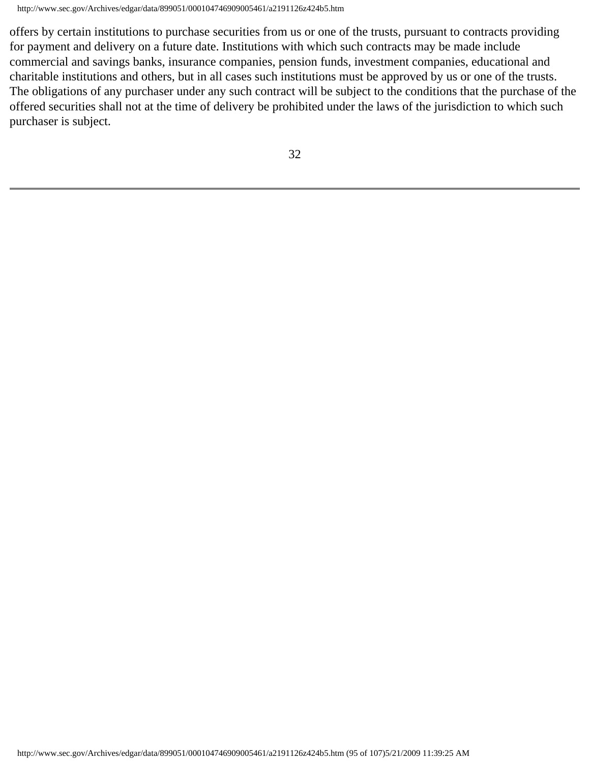offers by certain institutions to purchase securities from us or one of the trusts, pursuant to contracts providing for payment and delivery on a future date. Institutions with which such contracts may be made include commercial and savings banks, insurance companies, pension funds, investment companies, educational and charitable institutions and others, but in all cases such institutions must be approved by us or one of the trusts. The obligations of any purchaser under any such contract will be subject to the conditions that the purchase of the offered securities shall not at the time of delivery be prohibited under the laws of the jurisdiction to which such purchaser is subject.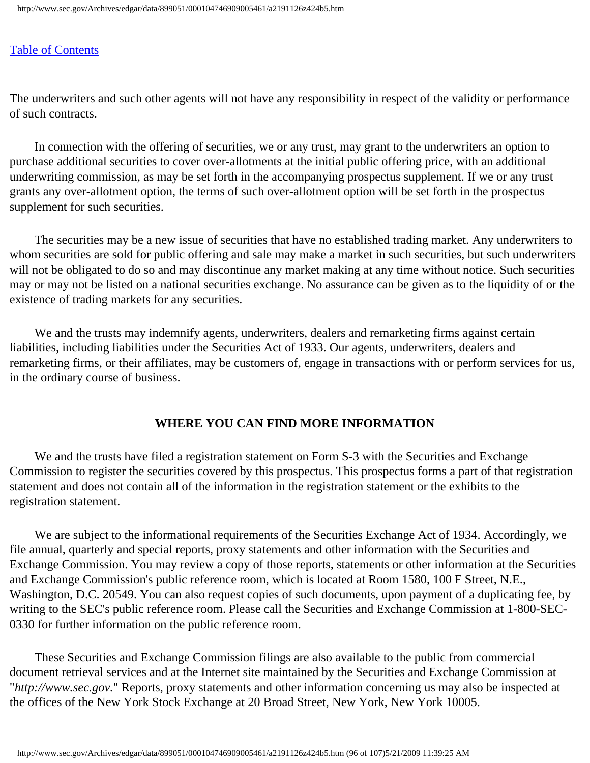The underwriters and such other agents will not have any responsibility in respect of the validity or performance of such contracts.

 In connection with the offering of securities, we or any trust, may grant to the underwriters an option to purchase additional securities to cover over-allotments at the initial public offering price, with an additional underwriting commission, as may be set forth in the accompanying prospectus supplement. If we or any trust grants any over-allotment option, the terms of such over-allotment option will be set forth in the prospectus supplement for such securities.

 The securities may be a new issue of securities that have no established trading market. Any underwriters to whom securities are sold for public offering and sale may make a market in such securities, but such underwriters will not be obligated to do so and may discontinue any market making at any time without notice. Such securities may or may not be listed on a national securities exchange. No assurance can be given as to the liquidity of or the existence of trading markets for any securities.

 We and the trusts may indemnify agents, underwriters, dealers and remarketing firms against certain liabilities, including liabilities under the Securities Act of 1933. Our agents, underwriters, dealers and remarketing firms, or their affiliates, may be customers of, engage in transactions with or perform services for us, in the ordinary course of business.

## **WHERE YOU CAN FIND MORE INFORMATION**

We and the trusts have filed a registration statement on Form S-3 with the Securities and Exchange Commission to register the securities covered by this prospectus. This prospectus forms a part of that registration statement and does not contain all of the information in the registration statement or the exhibits to the registration statement.

 We are subject to the informational requirements of the Securities Exchange Act of 1934. Accordingly, we file annual, quarterly and special reports, proxy statements and other information with the Securities and Exchange Commission. You may review a copy of those reports, statements or other information at the Securities and Exchange Commission's public reference room, which is located at Room 1580, 100 F Street, N.E., Washington, D.C. 20549. You can also request copies of such documents, upon payment of a duplicating fee, by writing to the SEC's public reference room. Please call the Securities and Exchange Commission at 1-800-SEC-0330 for further information on the public reference room.

 These Securities and Exchange Commission filings are also available to the public from commercial document retrieval services and at the Internet site maintained by the Securities and Exchange Commission at "*http://www.sec.gov.*" Reports, proxy statements and other information concerning us may also be inspected at the offices of the New York Stock Exchange at 20 Broad Street, New York, New York 10005.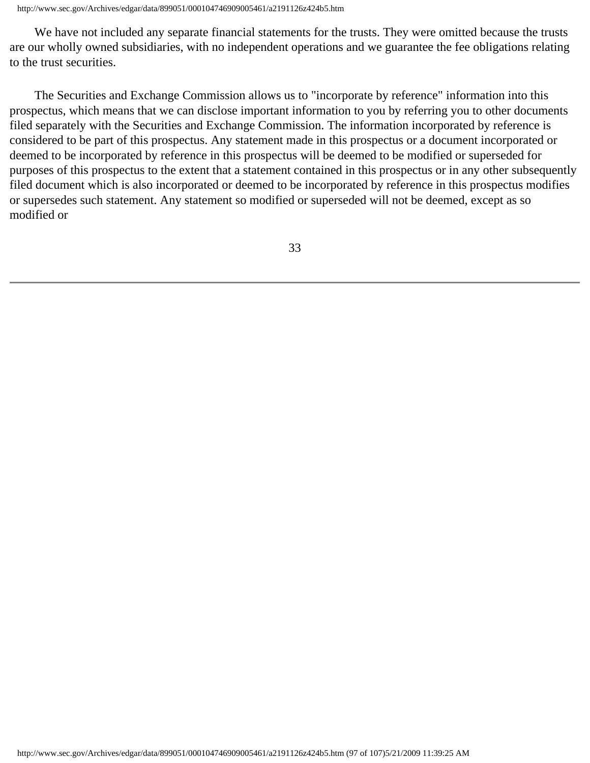We have not included any separate financial statements for the trusts. They were omitted because the trusts are our wholly owned subsidiaries, with no independent operations and we guarantee the fee obligations relating to the trust securities.

 The Securities and Exchange Commission allows us to "incorporate by reference" information into this prospectus, which means that we can disclose important information to you by referring you to other documents filed separately with the Securities and Exchange Commission. The information incorporated by reference is considered to be part of this prospectus. Any statement made in this prospectus or a document incorporated or deemed to be incorporated by reference in this prospectus will be deemed to be modified or superseded for purposes of this prospectus to the extent that a statement contained in this prospectus or in any other subsequently filed document which is also incorporated or deemed to be incorporated by reference in this prospectus modifies or supersedes such statement. Any statement so modified or superseded will not be deemed, except as so modified or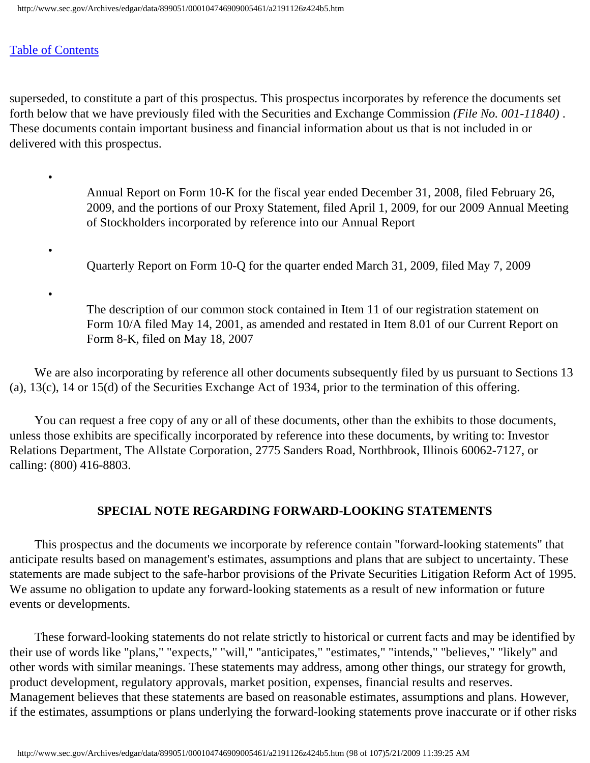•

•

•

superseded, to constitute a part of this prospectus. This prospectus incorporates by reference the documents set forth below that we have previously filed with the Securities and Exchange Commission *(File No. 001-11840)* . These documents contain important business and financial information about us that is not included in or delivered with this prospectus.

> Annual Report on Form 10-K for the fiscal year ended December 31, 2008, filed February 26, 2009, and the portions of our Proxy Statement, filed April 1, 2009, for our 2009 Annual Meeting of Stockholders incorporated by reference into our Annual Report

Quarterly Report on Form 10-Q for the quarter ended March 31, 2009, filed May 7, 2009

The description of our common stock contained in Item 11 of our registration statement on Form 10/A filed May 14, 2001, as amended and restated in Item 8.01 of our Current Report on Form 8-K, filed on May 18, 2007

We are also incorporating by reference all other documents subsequently filed by us pursuant to Sections 13 (a), 13(c), 14 or 15(d) of the Securities Exchange Act of 1934, prior to the termination of this offering.

 You can request a free copy of any or all of these documents, other than the exhibits to those documents, unless those exhibits are specifically incorporated by reference into these documents, by writing to: Investor Relations Department, The Allstate Corporation, 2775 Sanders Road, Northbrook, Illinois 60062-7127, or calling: (800) 416-8803.

## **SPECIAL NOTE REGARDING FORWARD-LOOKING STATEMENTS**

 This prospectus and the documents we incorporate by reference contain "forward-looking statements" that anticipate results based on management's estimates, assumptions and plans that are subject to uncertainty. These statements are made subject to the safe-harbor provisions of the Private Securities Litigation Reform Act of 1995. We assume no obligation to update any forward-looking statements as a result of new information or future events or developments.

 These forward-looking statements do not relate strictly to historical or current facts and may be identified by their use of words like "plans," "expects," "will," "anticipates," "estimates," "intends," "believes," "likely" and other words with similar meanings. These statements may address, among other things, our strategy for growth, product development, regulatory approvals, market position, expenses, financial results and reserves. Management believes that these statements are based on reasonable estimates, assumptions and plans. However, if the estimates, assumptions or plans underlying the forward-looking statements prove inaccurate or if other risks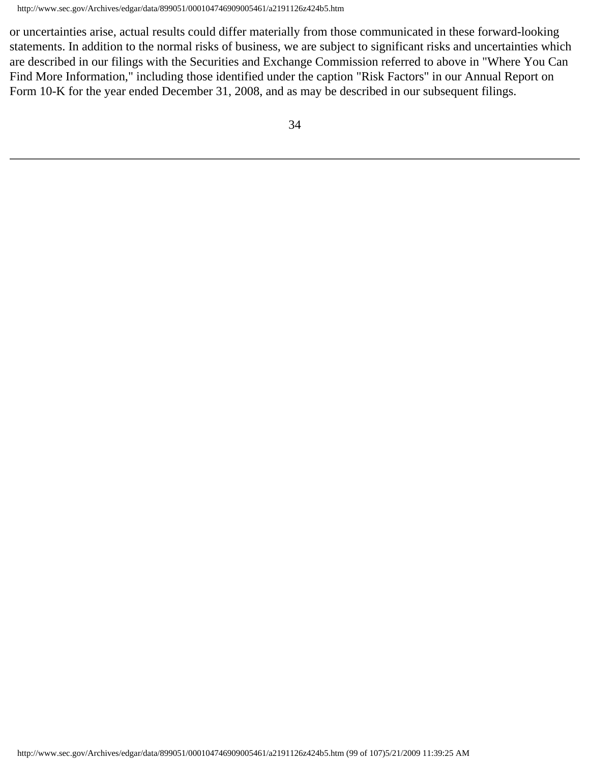or uncertainties arise, actual results could differ materially from those communicated in these forward-looking statements. In addition to the normal risks of business, we are subject to significant risks and uncertainties which are described in our filings with the Securities and Exchange Commission referred to above in "Where You Can Find More Information," including those identified under the caption "Risk Factors" in our Annual Report on Form 10-K for the year ended December 31, 2008, and as may be described in our subsequent filings.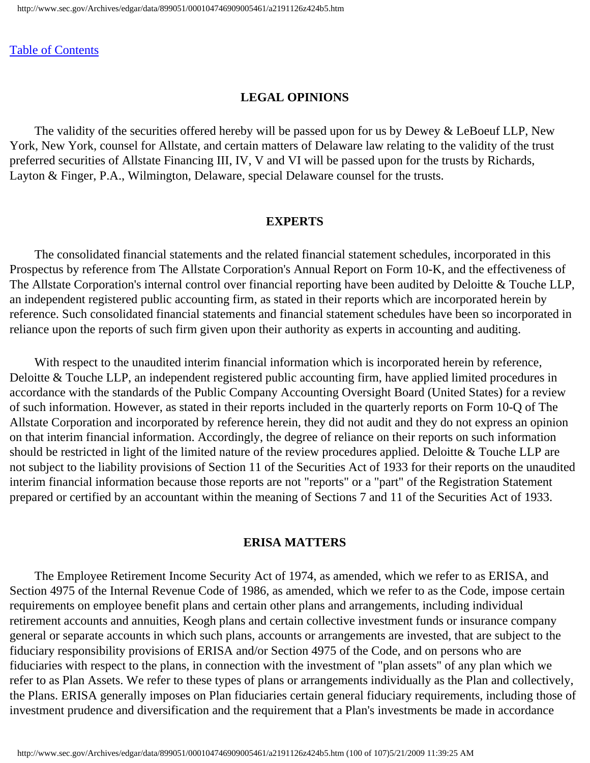#### **LEGAL OPINIONS**

 The validity of the securities offered hereby will be passed upon for us by Dewey & LeBoeuf LLP, New York, New York, counsel for Allstate, and certain matters of Delaware law relating to the validity of the trust preferred securities of Allstate Financing III, IV, V and VI will be passed upon for the trusts by Richards, Layton & Finger, P.A., Wilmington, Delaware, special Delaware counsel for the trusts.

#### **EXPERTS**

 The consolidated financial statements and the related financial statement schedules, incorporated in this Prospectus by reference from The Allstate Corporation's Annual Report on Form 10-K, and the effectiveness of The Allstate Corporation's internal control over financial reporting have been audited by Deloitte & Touche LLP, an independent registered public accounting firm, as stated in their reports which are incorporated herein by reference. Such consolidated financial statements and financial statement schedules have been so incorporated in reliance upon the reports of such firm given upon their authority as experts in accounting and auditing.

 With respect to the unaudited interim financial information which is incorporated herein by reference, Deloitte & Touche LLP, an independent registered public accounting firm, have applied limited procedures in accordance with the standards of the Public Company Accounting Oversight Board (United States) for a review of such information. However, as stated in their reports included in the quarterly reports on Form 10-Q of The Allstate Corporation and incorporated by reference herein, they did not audit and they do not express an opinion on that interim financial information. Accordingly, the degree of reliance on their reports on such information should be restricted in light of the limited nature of the review procedures applied. Deloitte & Touche LLP are not subject to the liability provisions of Section 11 of the Securities Act of 1933 for their reports on the unaudited interim financial information because those reports are not "reports" or a "part" of the Registration Statement prepared or certified by an accountant within the meaning of Sections 7 and 11 of the Securities Act of 1933.

#### **ERISA MATTERS**

 The Employee Retirement Income Security Act of 1974, as amended, which we refer to as ERISA, and Section 4975 of the Internal Revenue Code of 1986, as amended, which we refer to as the Code, impose certain requirements on employee benefit plans and certain other plans and arrangements, including individual retirement accounts and annuities, Keogh plans and certain collective investment funds or insurance company general or separate accounts in which such plans, accounts or arrangements are invested, that are subject to the fiduciary responsibility provisions of ERISA and/or Section 4975 of the Code, and on persons who are fiduciaries with respect to the plans, in connection with the investment of "plan assets" of any plan which we refer to as Plan Assets. We refer to these types of plans or arrangements individually as the Plan and collectively, the Plans. ERISA generally imposes on Plan fiduciaries certain general fiduciary requirements, including those of investment prudence and diversification and the requirement that a Plan's investments be made in accordance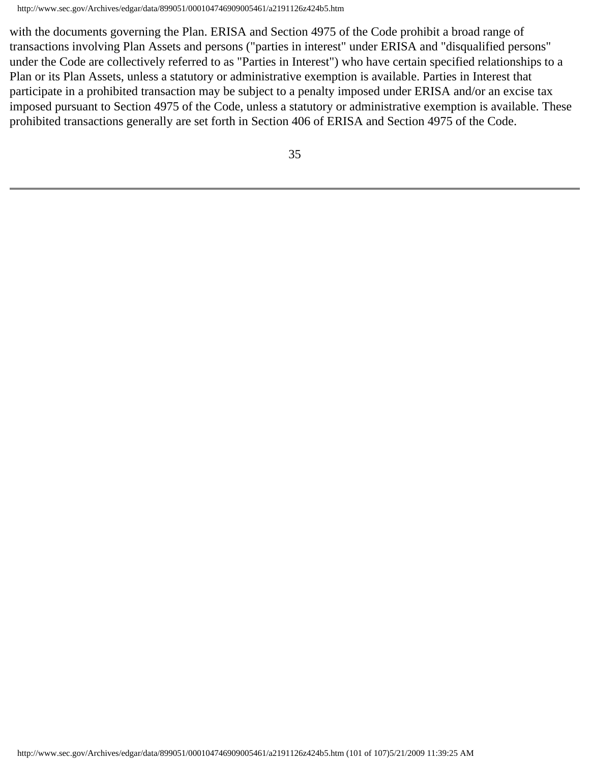with the documents governing the Plan. ERISA and Section 4975 of the Code prohibit a broad range of transactions involving Plan Assets and persons ("parties in interest" under ERISA and "disqualified persons" under the Code are collectively referred to as "Parties in Interest") who have certain specified relationships to a Plan or its Plan Assets, unless a statutory or administrative exemption is available. Parties in Interest that participate in a prohibited transaction may be subject to a penalty imposed under ERISA and/or an excise tax imposed pursuant to Section 4975 of the Code, unless a statutory or administrative exemption is available. These prohibited transactions generally are set forth in Section 406 of ERISA and Section 4975 of the Code.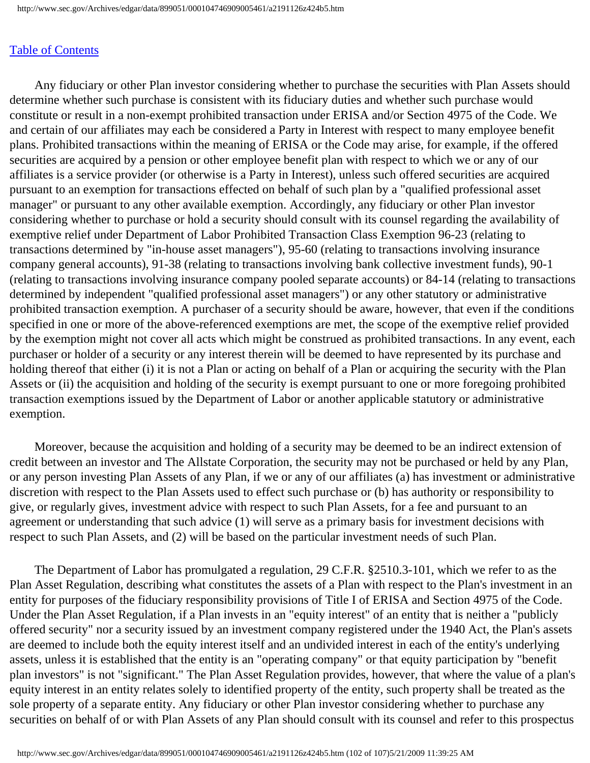Any fiduciary or other Plan investor considering whether to purchase the securities with Plan Assets should determine whether such purchase is consistent with its fiduciary duties and whether such purchase would constitute or result in a non-exempt prohibited transaction under ERISA and/or Section 4975 of the Code. We and certain of our affiliates may each be considered a Party in Interest with respect to many employee benefit plans. Prohibited transactions within the meaning of ERISA or the Code may arise, for example, if the offered securities are acquired by a pension or other employee benefit plan with respect to which we or any of our affiliates is a service provider (or otherwise is a Party in Interest), unless such offered securities are acquired pursuant to an exemption for transactions effected on behalf of such plan by a "qualified professional asset manager" or pursuant to any other available exemption. Accordingly, any fiduciary or other Plan investor considering whether to purchase or hold a security should consult with its counsel regarding the availability of exemptive relief under Department of Labor Prohibited Transaction Class Exemption 96-23 (relating to transactions determined by "in-house asset managers"), 95-60 (relating to transactions involving insurance company general accounts), 91-38 (relating to transactions involving bank collective investment funds), 90-1 (relating to transactions involving insurance company pooled separate accounts) or 84-14 (relating to transactions determined by independent "qualified professional asset managers") or any other statutory or administrative prohibited transaction exemption. A purchaser of a security should be aware, however, that even if the conditions specified in one or more of the above-referenced exemptions are met, the scope of the exemptive relief provided by the exemption might not cover all acts which might be construed as prohibited transactions. In any event, each purchaser or holder of a security or any interest therein will be deemed to have represented by its purchase and holding thereof that either (i) it is not a Plan or acting on behalf of a Plan or acquiring the security with the Plan Assets or (ii) the acquisition and holding of the security is exempt pursuant to one or more foregoing prohibited transaction exemptions issued by the Department of Labor or another applicable statutory or administrative exemption.

 Moreover, because the acquisition and holding of a security may be deemed to be an indirect extension of credit between an investor and The Allstate Corporation, the security may not be purchased or held by any Plan, or any person investing Plan Assets of any Plan, if we or any of our affiliates (a) has investment or administrative discretion with respect to the Plan Assets used to effect such purchase or (b) has authority or responsibility to give, or regularly gives, investment advice with respect to such Plan Assets, for a fee and pursuant to an agreement or understanding that such advice (1) will serve as a primary basis for investment decisions with respect to such Plan Assets, and (2) will be based on the particular investment needs of such Plan.

 The Department of Labor has promulgated a regulation, 29 C.F.R. §2510.3-101, which we refer to as the Plan Asset Regulation, describing what constitutes the assets of a Plan with respect to the Plan's investment in an entity for purposes of the fiduciary responsibility provisions of Title I of ERISA and Section 4975 of the Code. Under the Plan Asset Regulation, if a Plan invests in an "equity interest" of an entity that is neither a "publicly offered security" nor a security issued by an investment company registered under the 1940 Act, the Plan's assets are deemed to include both the equity interest itself and an undivided interest in each of the entity's underlying assets, unless it is established that the entity is an "operating company" or that equity participation by "benefit plan investors" is not "significant." The Plan Asset Regulation provides, however, that where the value of a plan's equity interest in an entity relates solely to identified property of the entity, such property shall be treated as the sole property of a separate entity. Any fiduciary or other Plan investor considering whether to purchase any securities on behalf of or with Plan Assets of any Plan should consult with its counsel and refer to this prospectus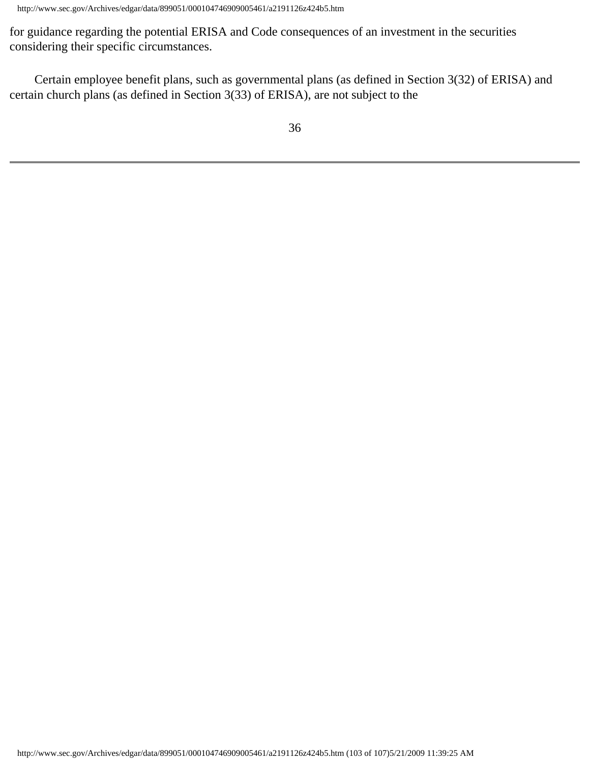for guidance regarding the potential ERISA and Code consequences of an investment in the securities considering their specific circumstances.

 Certain employee benefit plans, such as governmental plans (as defined in Section 3(32) of ERISA) and certain church plans (as defined in Section 3(33) of ERISA), are not subject to the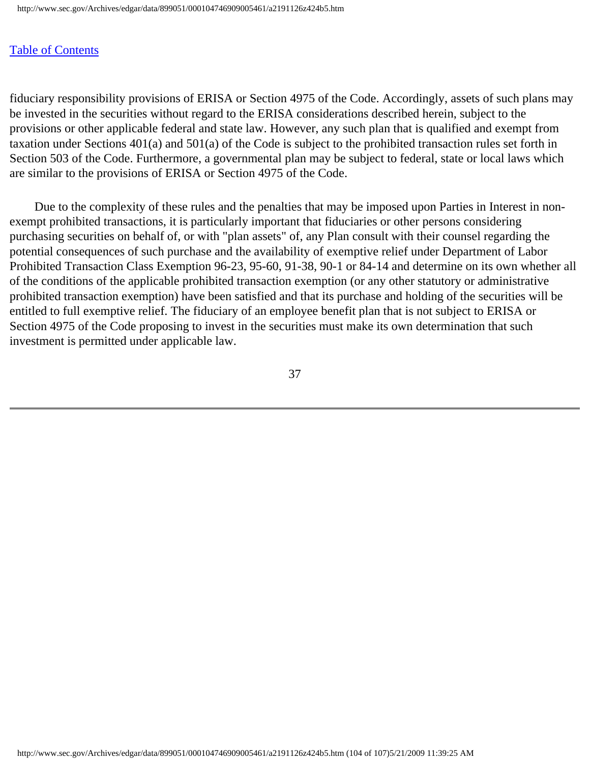fiduciary responsibility provisions of ERISA or Section 4975 of the Code. Accordingly, assets of such plans may be invested in the securities without regard to the ERISA considerations described herein, subject to the provisions or other applicable federal and state law. However, any such plan that is qualified and exempt from taxation under Sections 401(a) and 501(a) of the Code is subject to the prohibited transaction rules set forth in Section 503 of the Code. Furthermore, a governmental plan may be subject to federal, state or local laws which are similar to the provisions of ERISA or Section 4975 of the Code.

 Due to the complexity of these rules and the penalties that may be imposed upon Parties in Interest in nonexempt prohibited transactions, it is particularly important that fiduciaries or other persons considering purchasing securities on behalf of, or with "plan assets" of, any Plan consult with their counsel regarding the potential consequences of such purchase and the availability of exemptive relief under Department of Labor Prohibited Transaction Class Exemption 96-23, 95-60, 91-38, 90-1 or 84-14 and determine on its own whether all of the conditions of the applicable prohibited transaction exemption (or any other statutory or administrative prohibited transaction exemption) have been satisfied and that its purchase and holding of the securities will be entitled to full exemptive relief. The fiduciary of an employee benefit plan that is not subject to ERISA or Section 4975 of the Code proposing to invest in the securities must make its own determination that such investment is permitted under applicable law.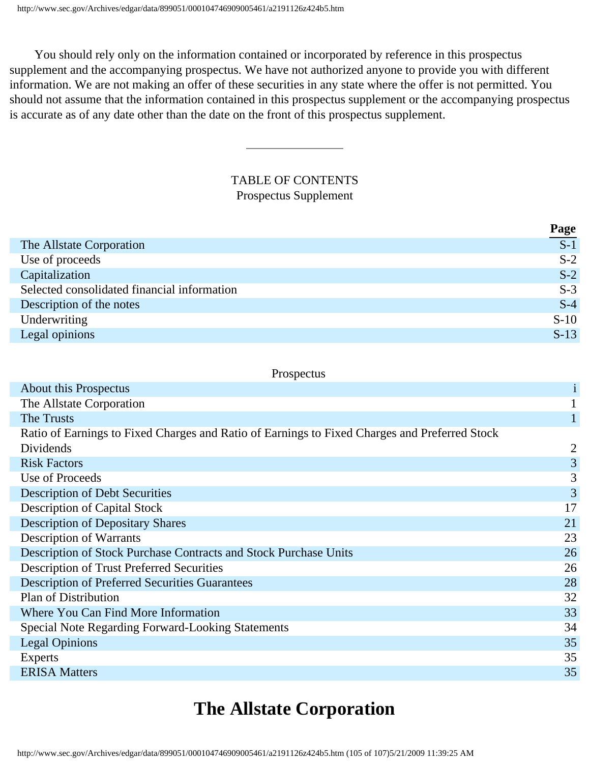You should rely only on the information contained or incorporated by reference in this prospectus supplement and the accompanying prospectus. We have not authorized anyone to provide you with different information. We are not making an offer of these securities in any state where the offer is not permitted. You should not assume that the information contained in this prospectus supplement or the accompanying prospectus is accurate as of any date other than the date on the front of this prospectus supplement.

## TABLE OF CONTENTS Prospectus Supplement

|                                             | $\frac{\textbf{Page}}{\textbf{S-1}}$ |
|---------------------------------------------|--------------------------------------|
| The Allstate Corporation                    |                                      |
| Use of proceeds                             | $S-2$                                |
| Capitalization                              | $S-2$                                |
| Selected consolidated financial information | $S-3$                                |
| Description of the notes                    | $S-4$                                |
| Underwriting                                | $S-10$                               |
| Legal opinions                              | $S-13$                               |

#### Prospectus

| About this Prospectus                                                                         | $\mathbf{i}$   |
|-----------------------------------------------------------------------------------------------|----------------|
| The Allstate Corporation                                                                      |                |
| The Trusts                                                                                    |                |
| Ratio of Earnings to Fixed Charges and Ratio of Earnings to Fixed Charges and Preferred Stock |                |
| Dividends                                                                                     | 2              |
| <b>Risk Factors</b>                                                                           | $\overline{3}$ |
| Use of Proceeds                                                                               | 3              |
| <b>Description of Debt Securities</b>                                                         | 3              |
| <b>Description of Capital Stock</b>                                                           | 17             |
| <b>Description of Depositary Shares</b>                                                       | 21             |
| <b>Description of Warrants</b>                                                                | 23             |
| Description of Stock Purchase Contracts and Stock Purchase Units                              | 26             |
| <b>Description of Trust Preferred Securities</b>                                              | 26             |
| <b>Description of Preferred Securities Guarantees</b>                                         | 28             |
| Plan of Distribution                                                                          | 32             |
| Where You Can Find More Information                                                           | 33             |
| <b>Special Note Regarding Forward-Looking Statements</b>                                      | 34             |
| <b>Legal Opinions</b>                                                                         | 35             |
| <b>Experts</b>                                                                                | 35             |
| <b>ERISA Matters</b>                                                                          | 35             |

# **The Allstate Corporation**